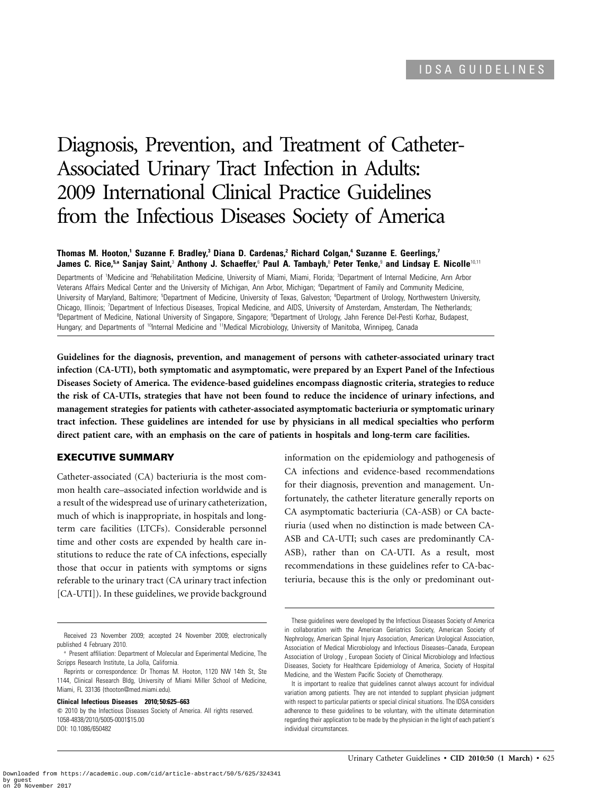# Diagnosis, Prevention, and Treatment of Catheter-Associated Urinary Tract Infection in Adults: 2009 International Clinical Practice Guidelines from the Infectious Diseases Society of America

#### **Thomas M. Hooton,1 Suzanne F. Bradley,3 Diana D. Cardenas,2 Richard Colgan,4 Suzanne E. Geerlings,7 James C. Rice,5,a Sanjay Saint,**<sup>3</sup> **Anthony J. Schaeffer,**<sup>6</sup> **Paul A. Tambayh,**<sup>8</sup> **Peter Tenke,**<sup>9</sup> **and Lindsay E. Nicolle**10,11

Departments of 'Medicine and <sup>2</sup>Rehabilitation Medicine, University of Miami, Miami, Florida; <sup>3</sup>Department of Internal Medicine, Ann Arbor Veterans Affairs Medical Center and the University of Michigan, Ann Arbor, Michigan; <sup>4</sup>Department of Family and Community Medicine, University of Maryland, Baltimore; <sup>5</sup>Department of Medicine, University of Texas, Galveston; <sup>6</sup>Department of Urology, Northwestern University, Chicago, Illinois; <sup>7</sup>Department of Infectious Diseases, Tropical Medicine, and AIDS, University of Amsterdam, Amsterdam, The Netherlands; <sup>8</sup>Department of Medicine, National University of Singapore, Singapore; <sup>9</sup>Department of Urology, Jahn Ference Del-Pesti Korhaz, Budapest, Hungary; and Departments of <sup>10</sup>Internal Medicine and <sup>11</sup>Medical Microbiology, University of Manitoba, Winnipeg, Canada

**Guidelines for the diagnosis, prevention, and management of persons with catheter-associated urinary tract infection (CA-UTI), both symptomatic and asymptomatic, were prepared by an Expert Panel of the Infectious Diseases Society of America. The evidence-based guidelines encompass diagnostic criteria, strategies to reduce the risk of CA-UTIs, strategies that have not been found to reduce the incidence of urinary infections, and management strategies for patients with catheter-associated asymptomatic bacteriuria or symptomatic urinary tract infection. These guidelines are intended for use by physicians in all medical specialties who perform direct patient care, with an emphasis on the care of patients in hospitals and long-term care facilities.**

# **EXECUTIVE SUMMARY**

Catheter-associated (CA) bacteriuria is the most common health care–associated infection worldwide and is a result of the widespread use of urinary catheterization, much of which is inappropriate, in hospitals and longterm care facilities (LTCFs). Considerable personnel time and other costs are expended by health care institutions to reduce the rate of CA infections, especially those that occur in patients with symptoms or signs referable to the urinary tract (CA urinary tract infection [CA-UTI]). In these guidelines, we provide background

**Clinical Infectious Diseases 2010; 50:625–663**

information on the epidemiology and pathogenesis of CA infections and evidence-based recommendations for their diagnosis, prevention and management. Unfortunately, the catheter literature generally reports on CA asymptomatic bacteriuria (CA-ASB) or CA bacteriuria (used when no distinction is made between CA-ASB and CA-UTI; such cases are predominantly CA-ASB), rather than on CA-UTI. As a result, most recommendations in these guidelines refer to CA-bacteriuria, because this is the only or predominant out-

Received 23 November 2009; accepted 24 November 2009; electronically published 4 February 2010.

<sup>a</sup> Present affiliation: Department of Molecular and Experimental Medicine, The Scripps Research Institute, La Jolla, California.

Reprints or correspondence: Dr Thomas M. Hooton, 1120 NW 14th St, Ste 1144, Clinical Research Bldg, University of Miami Miller School of Medicine, Miami, FL 33136 (thooton@med.miami.edu).

 $\degree$  2010 by the Infectious Diseases Society of America. All rights reserved. 1058-4838/2010/5005-0001\$15.00 DOI: 10.1086/650482

These guidelines were developed by the Infectious Diseases Society of America in collaboration with the American Geriatrics Society, American Society of Nephrology, American Spinal Injury Association, American Urological Association, Association of Medical Microbiology and Infectious Diseases–Canada, European Association of Urology , European Society of Clinical Microbiology and Infectious Diseases, Society for Healthcare Epidemiology of America, Society of Hospital Medicine, and the Western Pacific Society of Chemotherapy.

It is important to realize that guidelines cannot always account for individual variation among patients. They are not intended to supplant physician judgment with respect to particular patients or special clinical situations. The IDSA considers adherence to these guidelines to be voluntary, with the ultimate determination regarding their application to be made by the physician in the light of each patient's individual circumstances.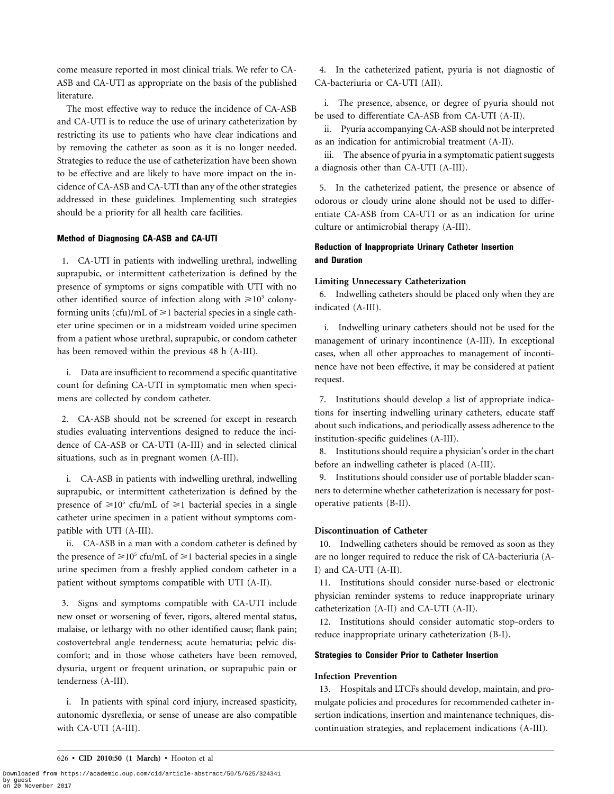come measure reported in most clinical trials. We refer to CA-ASB and CA-UTI as appropriate on the basis of the published literature.

The most effective way to reduce the incidence of CA-ASB and CA-UTI is to reduce the use of urinary catheterization by restricting its use to patients who have clear indications and by removing the catheter as soon as it is no longer needed. Strategies to reduce the use of catheterization have been shown to be effective and are likely to have more impact on the incidence of CA-ASB and CA-UTI than any of the other strategies addressed in these guidelines. Implementing such strategies should be a priority for all health care facilities.

# **Method of Diagnosing CA-ASB and CA-UTI**

1. CA-UTI in patients with indwelling urethral, indwelling suprapubic, or intermittent catheterization is defined by the presence of symptoms or signs compatible with UTI with no other identified source of infection along with  $\geq 10^3$  colonyforming units (cfu)/mL of  $\geq 1$  bacterial species in a single catheter urine specimen or in a midstream voided urine specimen from a patient whose urethral, suprapubic, or condom catheter has been removed within the previous 48 h (A-III).

i. Data are insufficient to recommend a specific quantitative count for defining CA-UTI in symptomatic men when specimens are collected by condom catheter.

2. CA-ASB should not be screened for except in research studies evaluating interventions designed to reduce the incidence of CA-ASB or CA-UTI (A-III) and in selected clinical situations, such as in pregnant women (A-III).

i. CA-ASB in patients with indwelling urethral, indwelling suprapubic, or intermittent catheterization is defined by the presence of  $\geq 10^5$  cfu/mL of  $\geq 1$  bacterial species in a single catheter urine specimen in a patient without symptoms compatible with UTI (A-III).

ii. CA-ASB in a man with a condom catheter is defined by the presence of  $\geq 10^5$  cfu/mL of  $\geq 1$  bacterial species in a single urine specimen from a freshly applied condom catheter in a patient without symptoms compatible with UTI (A-II).

3. Signs and symptoms compatible with CA-UTI include new onset or worsening of fever, rigors, altered mental status, malaise, or lethargy with no other identified cause; flank pain; costovertebral angle tenderness; acute hematuria; pelvic discomfort; and in those whose catheters have been removed, dysuria, urgent or frequent urination, or suprapubic pain or tenderness (A-III).

i. In patients with spinal cord injury, increased spasticity, autonomic dysreflexia, or sense of unease are also compatible with CA-UTI (A-III).

4. In the catheterized patient, pyuria is not diagnostic of CA-bacteriuria or CA-UTI (AII).

i. The presence, absence, or degree of pyuria should not be used to differentiate CA-ASB from CA-UTI (A-II).

ii. Pyuria accompanying CA-ASB should not be interpreted as an indication for antimicrobial treatment (A-II).

iii. The absence of pyuria in a symptomatic patient suggests a diagnosis other than CA-UTI (A-III).

5. In the catheterized patient, the presence or absence of odorous or cloudy urine alone should not be used to differentiate CA-ASB from CA-UTI or as an indication for urine culture or antimicrobial therapy (A-III).

# **Reduction of Inappropriate Urinary Catheter Insertion and Duration**

#### **Limiting Unnecessary Catheterization**

6. Indwelling catheters should be placed only when they are indicated (A-III).

i. Indwelling urinary catheters should not be used for the management of urinary incontinence (A-III). In exceptional cases, when all other approaches to management of incontinence have not been effective, it may be considered at patient request.

7. Institutions should develop a list of appropriate indications for inserting indwelling urinary catheters, educate staff about such indications, and periodically assess adherence to the institution-specific guidelines (A-III).

8. Institutions should require a physician's order in the chart before an indwelling catheter is placed (A-III).

9. Institutions should consider use of portable bladder scanners to determine whether catheterization is necessary for postoperative patients (B-II).

#### **Discontinuation of Catheter**

10. Indwelling catheters should be removed as soon as they are no longer required to reduce the risk of CA-bacteriuria (A-I) and CA-UTI (A-II).

11. Institutions should consider nurse-based or electronic physician reminder systems to reduce inappropriate urinary catheterization (A-II) and CA-UTI (A-II).

12. Institutions should consider automatic stop-orders to reduce inappropriate urinary catheterization (B-I).

#### **Strategies to Consider Prior to Catheter Insertion**

#### **Infection Prevention**

13. Hospitals and LTCFs should develop, maintain, and promulgate policies and procedures for recommended catheter insertion indications, insertion and maintenance techniques, discontinuation strategies, and replacement indications (A-III).

<sup>626</sup> • **CID 2010:50 (1 March)** • Hooton et al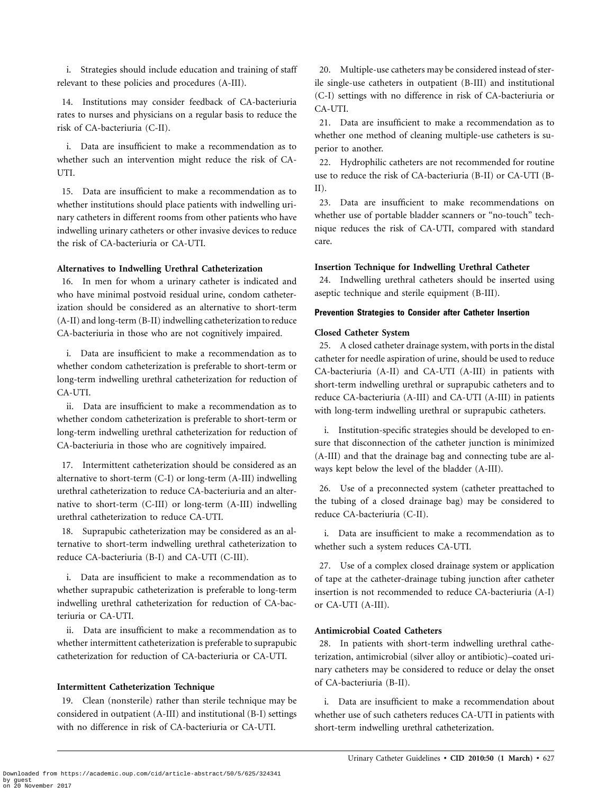i. Strategies should include education and training of staff relevant to these policies and procedures (A-III).

14. Institutions may consider feedback of CA-bacteriuria rates to nurses and physicians on a regular basis to reduce the risk of CA-bacteriuria (C-II).

i. Data are insufficient to make a recommendation as to whether such an intervention might reduce the risk of CA-UTI.

15. Data are insufficient to make a recommendation as to whether institutions should place patients with indwelling urinary catheters in different rooms from other patients who have indwelling urinary catheters or other invasive devices to reduce the risk of CA-bacteriuria or CA-UTI.

# **Alternatives to Indwelling Urethral Catheterization**

16. In men for whom a urinary catheter is indicated and who have minimal postvoid residual urine, condom catheterization should be considered as an alternative to short-term (A-II) and long-term (B-II) indwelling catheterization to reduce CA-bacteriuria in those who are not cognitively impaired.

i. Data are insufficient to make a recommendation as to whether condom catheterization is preferable to short-term or long-term indwelling urethral catheterization for reduction of CA-UTI.

ii. Data are insufficient to make a recommendation as to whether condom catheterization is preferable to short-term or long-term indwelling urethral catheterization for reduction of CA-bacteriuria in those who are cognitively impaired.

17. Intermittent catheterization should be considered as an alternative to short-term (C-I) or long-term (A-III) indwelling urethral catheterization to reduce CA-bacteriuria and an alternative to short-term (C-III) or long-term (A-III) indwelling urethral catheterization to reduce CA-UTI.

18. Suprapubic catheterization may be considered as an alternative to short-term indwelling urethral catheterization to reduce CA-bacteriuria (B-I) and CA-UTI (C-III).

i. Data are insufficient to make a recommendation as to whether suprapubic catheterization is preferable to long-term indwelling urethral catheterization for reduction of CA-bacteriuria or CA-UTI.

ii. Data are insufficient to make a recommendation as to whether intermittent catheterization is preferable to suprapubic catheterization for reduction of CA-bacteriuria or CA-UTI.

# **Intermittent Catheterization Technique**

19. Clean (nonsterile) rather than sterile technique may be considered in outpatient (A-III) and institutional (B-I) settings with no difference in risk of CA-bacteriuria or CA-UTI.

20. Multiple-use catheters may be considered instead of sterile single-use catheters in outpatient (B-III) and institutional (C-I) settings with no difference in risk of CA-bacteriuria or CA-UTI.

21. Data are insufficient to make a recommendation as to whether one method of cleaning multiple-use catheters is superior to another.

22. Hydrophilic catheters are not recommended for routine use to reduce the risk of CA-bacteriuria (B-II) or CA-UTI (B- $II$ ).

23. Data are insufficient to make recommendations on whether use of portable bladder scanners or "no-touch" technique reduces the risk of CA-UTI, compared with standard care.

# **Insertion Technique for Indwelling Urethral Catheter**

24. Indwelling urethral catheters should be inserted using aseptic technique and sterile equipment (B-III).

# **Prevention Strategies to Consider after Catheter Insertion**

# **Closed Catheter System**

25. A closed catheter drainage system, with ports in the distal catheter for needle aspiration of urine, should be used to reduce CA-bacteriuria (A-II) and CA-UTI (A-III) in patients with short-term indwelling urethral or suprapubic catheters and to reduce CA-bacteriuria (A-III) and CA-UTI (A-III) in patients with long-term indwelling urethral or suprapubic catheters.

i. Institution-specific strategies should be developed to ensure that disconnection of the catheter junction is minimized (A-III) and that the drainage bag and connecting tube are always kept below the level of the bladder (A-III).

26. Use of a preconnected system (catheter preattached to the tubing of a closed drainage bag) may be considered to reduce CA-bacteriuria (C-II).

i. Data are insufficient to make a recommendation as to whether such a system reduces CA-UTI.

27. Use of a complex closed drainage system or application of tape at the catheter-drainage tubing junction after catheter insertion is not recommended to reduce CA-bacteriuria (A-I) or CA-UTI (A-III).

# **Antimicrobial Coated Catheters**

28. In patients with short-term indwelling urethral catheterization, antimicrobial (silver alloy or antibiotic)–coated urinary catheters may be considered to reduce or delay the onset of CA-bacteriuria (B-II).

i. Data are insufficient to make a recommendation about whether use of such catheters reduces CA-UTI in patients with short-term indwelling urethral catheterization.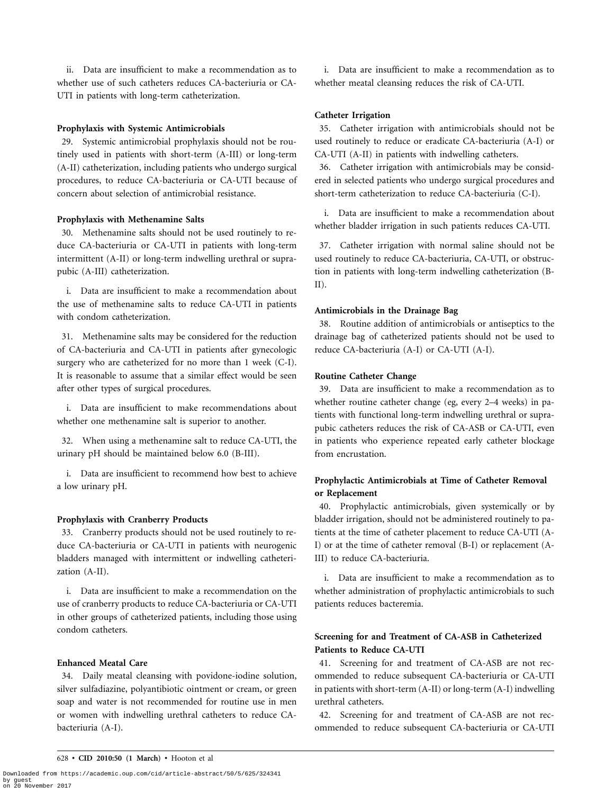ii. Data are insufficient to make a recommendation as to whether use of such catheters reduces CA-bacteriuria or CA-UTI in patients with long-term catheterization.

### **Prophylaxis with Systemic Antimicrobials**

29. Systemic antimicrobial prophylaxis should not be routinely used in patients with short-term (A-III) or long-term (A-II) catheterization, including patients who undergo surgical procedures, to reduce CA-bacteriuria or CA-UTI because of concern about selection of antimicrobial resistance.

#### **Prophylaxis with Methenamine Salts**

30. Methenamine salts should not be used routinely to reduce CA-bacteriuria or CA-UTI in patients with long-term intermittent (A-II) or long-term indwelling urethral or suprapubic (A-III) catheterization.

i. Data are insufficient to make a recommendation about the use of methenamine salts to reduce CA-UTI in patients with condom catheterization.

31. Methenamine salts may be considered for the reduction of CA-bacteriuria and CA-UTI in patients after gynecologic surgery who are catheterized for no more than 1 week (C-I). It is reasonable to assume that a similar effect would be seen after other types of surgical procedures.

i. Data are insufficient to make recommendations about whether one methenamine salt is superior to another.

32. When using a methenamine salt to reduce CA-UTI, the urinary pH should be maintained below 6.0 (B-III).

i. Data are insufficient to recommend how best to achieve a low urinary pH.

#### **Prophylaxis with Cranberry Products**

33. Cranberry products should not be used routinely to reduce CA-bacteriuria or CA-UTI in patients with neurogenic bladders managed with intermittent or indwelling catheterization (A-II).

i. Data are insufficient to make a recommendation on the use of cranberry products to reduce CA-bacteriuria or CA-UTI in other groups of catheterized patients, including those using condom catheters.

# **Enhanced Meatal Care**

34. Daily meatal cleansing with povidone-iodine solution, silver sulfadiazine, polyantibiotic ointment or cream, or green soap and water is not recommended for routine use in men or women with indwelling urethral catheters to reduce CAbacteriuria (A-I).

i. Data are insufficient to make a recommendation as to whether meatal cleansing reduces the risk of CA-UTI.

#### **Catheter Irrigation**

35. Catheter irrigation with antimicrobials should not be used routinely to reduce or eradicate CA-bacteriuria (A-I) or CA-UTI (A-II) in patients with indwelling catheters.

36. Catheter irrigation with antimicrobials may be considered in selected patients who undergo surgical procedures and short-term catheterization to reduce CA-bacteriuria (C-I).

i. Data are insufficient to make a recommendation about whether bladder irrigation in such patients reduces CA-UTI.

37. Catheter irrigation with normal saline should not be used routinely to reduce CA-bacteriuria, CA-UTI, or obstruction in patients with long-term indwelling catheterization (B- $II$ ).

#### **Antimicrobials in the Drainage Bag**

38. Routine addition of antimicrobials or antiseptics to the drainage bag of catheterized patients should not be used to reduce CA-bacteriuria (A-I) or CA-UTI (A-I).

# **Routine Catheter Change**

39. Data are insufficient to make a recommendation as to whether routine catheter change (eg, every 2–4 weeks) in patients with functional long-term indwelling urethral or suprapubic catheters reduces the risk of CA-ASB or CA-UTI, even in patients who experience repeated early catheter blockage from encrustation.

# **Prophylactic Antimicrobials at Time of Catheter Removal or Replacement**

40. Prophylactic antimicrobials, given systemically or by bladder irrigation, should not be administered routinely to patients at the time of catheter placement to reduce CA-UTI (A-I) or at the time of catheter removal (B-I) or replacement (A-III) to reduce CA-bacteriuria.

i. Data are insufficient to make a recommendation as to whether administration of prophylactic antimicrobials to such patients reduces bacteremia.

# **Screening for and Treatment of CA-ASB in Catheterized Patients to Reduce CA-UTI**

41. Screening for and treatment of CA-ASB are not recommended to reduce subsequent CA-bacteriuria or CA-UTI in patients with short-term (A-II) or long-term (A-I) indwelling urethral catheters.

42. Screening for and treatment of CA-ASB are not recommended to reduce subsequent CA-bacteriuria or CA-UTI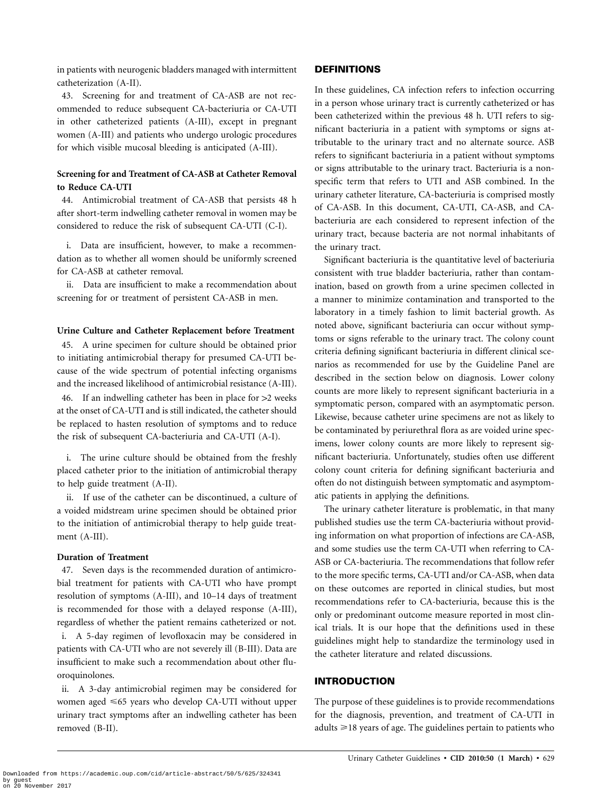in patients with neurogenic bladders managed with intermittent catheterization (A-II).

43. Screening for and treatment of CA-ASB are not recommended to reduce subsequent CA-bacteriuria or CA-UTI in other catheterized patients (A-III), except in pregnant women (A-III) and patients who undergo urologic procedures for which visible mucosal bleeding is anticipated (A-III).

# **Screening for and Treatment of CA-ASB at Catheter Removal to Reduce CA-UTI**

44. Antimicrobial treatment of CA-ASB that persists 48 h after short-term indwelling catheter removal in women may be considered to reduce the risk of subsequent CA-UTI (C-I).

i. Data are insufficient, however, to make a recommendation as to whether all women should be uniformly screened for CA-ASB at catheter removal.

ii. Data are insufficient to make a recommendation about screening for or treatment of persistent CA-ASB in men.

# **Urine Culture and Catheter Replacement before Treatment**

45. A urine specimen for culture should be obtained prior to initiating antimicrobial therapy for presumed CA-UTI because of the wide spectrum of potential infecting organisms and the increased likelihood of antimicrobial resistance (A-III).

46. If an indwelling catheter has been in place for  $>2$  weeks at the onset of CA-UTI and is still indicated, the catheter should be replaced to hasten resolution of symptoms and to reduce the risk of subsequent CA-bacteriuria and CA-UTI (A-I).

i. The urine culture should be obtained from the freshly placed catheter prior to the initiation of antimicrobial therapy to help guide treatment (A-II).

ii. If use of the catheter can be discontinued, a culture of a voided midstream urine specimen should be obtained prior to the initiation of antimicrobial therapy to help guide treatment (A-III).

# **Duration of Treatment**

47. Seven days is the recommended duration of antimicrobial treatment for patients with CA-UTI who have prompt resolution of symptoms (A-III), and 10–14 days of treatment is recommended for those with a delayed response (A-III), regardless of whether the patient remains catheterized or not. i. A 5-day regimen of levofloxacin may be considered in patients with CA-UTI who are not severely ill (B-III). Data are insufficient to make such a recommendation about other fluoroquinolones.

ii. A 3-day antimicrobial regimen may be considered for women aged -65 years who develop CA-UTI without upper urinary tract symptoms after an indwelling catheter has been removed (B-II).

# **DEFINITIONS**

In these guidelines, CA infection refers to infection occurring in a person whose urinary tract is currently catheterized or has been catheterized within the previous 48 h. UTI refers to significant bacteriuria in a patient with symptoms or signs attributable to the urinary tract and no alternate source. ASB refers to significant bacteriuria in a patient without symptoms or signs attributable to the urinary tract. Bacteriuria is a nonspecific term that refers to UTI and ASB combined. In the urinary catheter literature, CA-bacteriuria is comprised mostly of CA-ASB. In this document, CA-UTI, CA-ASB, and CAbacteriuria are each considered to represent infection of the urinary tract, because bacteria are not normal inhabitants of the urinary tract.

Significant bacteriuria is the quantitative level of bacteriuria consistent with true bladder bacteriuria, rather than contamination, based on growth from a urine specimen collected in a manner to minimize contamination and transported to the laboratory in a timely fashion to limit bacterial growth. As noted above, significant bacteriuria can occur without symptoms or signs referable to the urinary tract. The colony count criteria defining significant bacteriuria in different clinical scenarios as recommended for use by the Guideline Panel are described in the section below on diagnosis. Lower colony counts are more likely to represent significant bacteriuria in a symptomatic person, compared with an asymptomatic person. Likewise, because catheter urine specimens are not as likely to be contaminated by periurethral flora as are voided urine specimens, lower colony counts are more likely to represent significant bacteriuria. Unfortunately, studies often use different colony count criteria for defining significant bacteriuria and often do not distinguish between symptomatic and asymptomatic patients in applying the definitions.

The urinary catheter literature is problematic, in that many published studies use the term CA-bacteriuria without providing information on what proportion of infections are CA-ASB, and some studies use the term CA-UTI when referring to CA-ASB or CA-bacteriuria. The recommendations that follow refer to the more specific terms, CA-UTI and/or CA-ASB, when data on these outcomes are reported in clinical studies, but most recommendations refer to CA-bacteriuria, because this is the only or predominant outcome measure reported in most clinical trials. It is our hope that the definitions used in these guidelines might help to standardize the terminology used in the catheter literature and related discussions.

# **INTRODUCTION**

The purpose of these guidelines is to provide recommendations for the diagnosis, prevention, and treatment of CA-UTI in adults  $\geq 18$  years of age. The guidelines pertain to patients who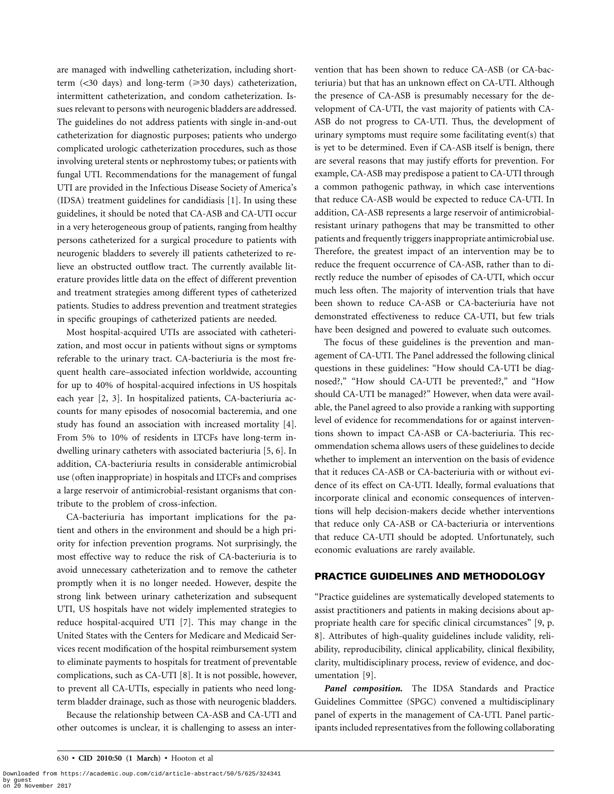are managed with indwelling catheterization, including shortterm  $(<$ 30 days) and long-term ( $\ge$ 30 days) catheterization, intermittent catheterization, and condom catheterization. Issues relevant to persons with neurogenic bladders are addressed. The guidelines do not address patients with single in-and-out catheterization for diagnostic purposes; patients who undergo complicated urologic catheterization procedures, such as those involving ureteral stents or nephrostomy tubes; or patients with fungal UTI. Recommendations for the management of fungal UTI are provided in the Infectious Disease Society of America's (IDSA) treatment guidelines for candidiasis [1]. In using these guidelines, it should be noted that CA-ASB and CA-UTI occur in a very heterogeneous group of patients, ranging from healthy persons catheterized for a surgical procedure to patients with neurogenic bladders to severely ill patients catheterized to relieve an obstructed outflow tract. The currently available literature provides little data on the effect of different prevention and treatment strategies among different types of catheterized patients. Studies to address prevention and treatment strategies in specific groupings of catheterized patients are needed.

Most hospital-acquired UTIs are associated with catheterization, and most occur in patients without signs or symptoms referable to the urinary tract. CA-bacteriuria is the most frequent health care–associated infection worldwide, accounting for up to 40% of hospital-acquired infections in US hospitals each year [2, 3]. In hospitalized patients, CA-bacteriuria accounts for many episodes of nosocomial bacteremia, and one study has found an association with increased mortality [4]. From 5% to 10% of residents in LTCFs have long-term indwelling urinary catheters with associated bacteriuria [5, 6]. In addition, CA-bacteriuria results in considerable antimicrobial use (often inappropriate) in hospitals and LTCFs and comprises a large reservoir of antimicrobial-resistant organisms that contribute to the problem of cross-infection.

CA-bacteriuria has important implications for the patient and others in the environment and should be a high priority for infection prevention programs. Not surprisingly, the most effective way to reduce the risk of CA-bacteriuria is to avoid unnecessary catheterization and to remove the catheter promptly when it is no longer needed. However, despite the strong link between urinary catheterization and subsequent UTI, US hospitals have not widely implemented strategies to reduce hospital-acquired UTI [7]. This may change in the United States with the Centers for Medicare and Medicaid Services recent modification of the hospital reimbursement system to eliminate payments to hospitals for treatment of preventable complications, such as CA-UTI [8]. It is not possible, however, to prevent all CA-UTIs, especially in patients who need longterm bladder drainage, such as those with neurogenic bladders.

Because the relationship between CA-ASB and CA-UTI and other outcomes is unclear, it is challenging to assess an intervention that has been shown to reduce CA-ASB (or CA-bacteriuria) but that has an unknown effect on CA-UTI. Although the presence of CA-ASB is presumably necessary for the development of CA-UTI, the vast majority of patients with CA-ASB do not progress to CA-UTI. Thus, the development of urinary symptoms must require some facilitating event(s) that is yet to be determined. Even if CA-ASB itself is benign, there are several reasons that may justify efforts for prevention. For example, CA-ASB may predispose a patient to CA-UTI through a common pathogenic pathway, in which case interventions that reduce CA-ASB would be expected to reduce CA-UTI. In addition, CA-ASB represents a large reservoir of antimicrobialresistant urinary pathogens that may be transmitted to other patients and frequently triggers inappropriate antimicrobial use. Therefore, the greatest impact of an intervention may be to reduce the frequent occurrence of CA-ASB, rather than to directly reduce the number of episodes of CA-UTI, which occur much less often. The majority of intervention trials that have been shown to reduce CA-ASB or CA-bacteriuria have not demonstrated effectiveness to reduce CA-UTI, but few trials have been designed and powered to evaluate such outcomes.

The focus of these guidelines is the prevention and management of CA-UTI. The Panel addressed the following clinical questions in these guidelines: "How should CA-UTI be diagnosed?," "How should CA-UTI be prevented?," and "How should CA-UTI be managed?" However, when data were available, the Panel agreed to also provide a ranking with supporting level of evidence for recommendations for or against interventions shown to impact CA-ASB or CA-bacteriuria. This recommendation schema allows users of these guidelines to decide whether to implement an intervention on the basis of evidence that it reduces CA-ASB or CA-bacteriuria with or without evidence of its effect on CA-UTI. Ideally, formal evaluations that incorporate clinical and economic consequences of interventions will help decision-makers decide whether interventions that reduce only CA-ASB or CA-bacteriuria or interventions that reduce CA-UTI should be adopted. Unfortunately, such economic evaluations are rarely available.

# **PRACTICE GUIDELINES AND METHODOLOGY**

"Practice guidelines are systematically developed statements to assist practitioners and patients in making decisions about appropriate health care for specific clinical circumstances" [9, p. 8]. Attributes of high-quality guidelines include validity, reliability, reproducibility, clinical applicability, clinical flexibility, clarity, multidisciplinary process, review of evidence, and documentation [9].

*Panel composition.* The IDSA Standards and Practice Guidelines Committee (SPGC) convened a multidisciplinary panel of experts in the management of CA-UTI. Panel participants included representatives from the following collaborating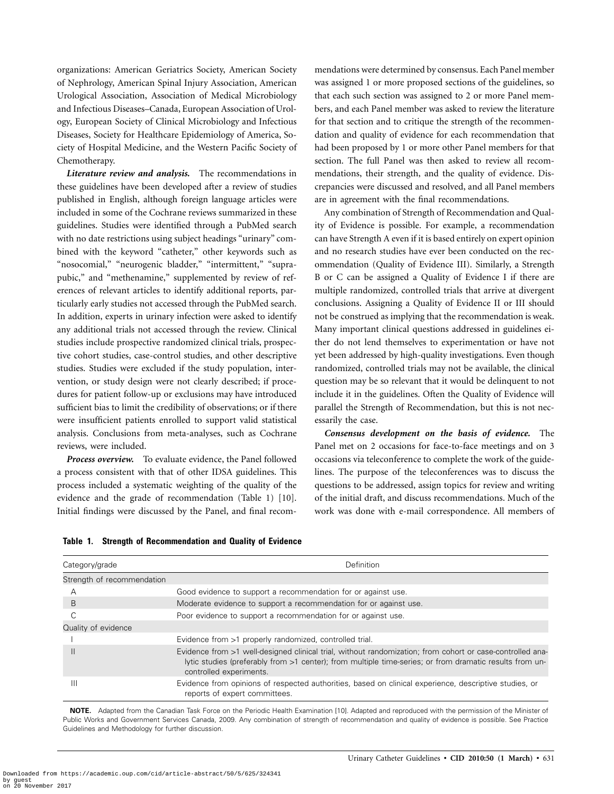organizations: American Geriatrics Society, American Society of Nephrology, American Spinal Injury Association, American Urological Association, Association of Medical Microbiology and Infectious Diseases–Canada, European Association of Urology, European Society of Clinical Microbiology and Infectious Diseases, Society for Healthcare Epidemiology of America, Society of Hospital Medicine, and the Western Pacific Society of Chemotherapy.

*Literature review and analysis.* The recommendations in these guidelines have been developed after a review of studies published in English, although foreign language articles were included in some of the Cochrane reviews summarized in these guidelines. Studies were identified through a PubMed search with no date restrictions using subject headings "urinary" combined with the keyword "catheter," other keywords such as "nosocomial," "neurogenic bladder," "intermittent," "suprapubic," and "methenamine," supplemented by review of references of relevant articles to identify additional reports, particularly early studies not accessed through the PubMed search. In addition, experts in urinary infection were asked to identify any additional trials not accessed through the review. Clinical studies include prospective randomized clinical trials, prospective cohort studies, case-control studies, and other descriptive studies. Studies were excluded if the study population, intervention, or study design were not clearly described; if procedures for patient follow-up or exclusions may have introduced sufficient bias to limit the credibility of observations; or if there were insufficient patients enrolled to support valid statistical analysis. Conclusions from meta-analyses, such as Cochrane reviews, were included.

*Process overview.* To evaluate evidence, the Panel followed a process consistent with that of other IDSA guidelines. This process included a systematic weighting of the quality of the evidence and the grade of recommendation (Table 1) [10]. Initial findings were discussed by the Panel, and final recommendations were determined by consensus. Each Panel member was assigned 1 or more proposed sections of the guidelines, so that each such section was assigned to 2 or more Panel members, and each Panel member was asked to review the literature for that section and to critique the strength of the recommendation and quality of evidence for each recommendation that had been proposed by 1 or more other Panel members for that section. The full Panel was then asked to review all recommendations, their strength, and the quality of evidence. Discrepancies were discussed and resolved, and all Panel members are in agreement with the final recommendations.

Any combination of Strength of Recommendation and Quality of Evidence is possible. For example, a recommendation can have Strength A even if it is based entirely on expert opinion and no research studies have ever been conducted on the recommendation (Quality of Evidence III). Similarly, a Strength B or C can be assigned a Quality of Evidence I if there are multiple randomized, controlled trials that arrive at divergent conclusions. Assigning a Quality of Evidence II or III should not be construed as implying that the recommendation is weak. Many important clinical questions addressed in guidelines either do not lend themselves to experimentation or have not yet been addressed by high-quality investigations. Even though randomized, controlled trials may not be available, the clinical question may be so relevant that it would be delinquent to not include it in the guidelines. Often the Quality of Evidence will parallel the Strength of Recommendation, but this is not necessarily the case.

*Consensus development on the basis of evidence.* The Panel met on 2 occasions for face-to-face meetings and on 3 occasions via teleconference to complete the work of the guidelines. The purpose of the teleconferences was to discuss the questions to be addressed, assign topics for review and writing of the initial draft, and discuss recommendations. Much of the work was done with e-mail correspondence. All members of

| Table 1. Strength of Recommendation and Quality of Evidence |  |
|-------------------------------------------------------------|--|
|-------------------------------------------------------------|--|

| Category/grade             | Definition                                                                                                                                                                                                                                      |
|----------------------------|-------------------------------------------------------------------------------------------------------------------------------------------------------------------------------------------------------------------------------------------------|
| Strength of recommendation |                                                                                                                                                                                                                                                 |
|                            | Good evidence to support a recommendation for or against use.                                                                                                                                                                                   |
| B                          | Moderate evidence to support a recommendation for or against use.                                                                                                                                                                               |
|                            | Poor evidence to support a recommendation for or against use.                                                                                                                                                                                   |
| Quality of evidence        |                                                                                                                                                                                                                                                 |
|                            | Evidence from >1 properly randomized, controlled trial.                                                                                                                                                                                         |
|                            | Evidence from >1 well-designed clinical trial, without randomization; from cohort or case-controlled ana-<br>lytic studies (preferably from >1 center); from multiple time-series; or from dramatic results from un-<br>controlled experiments. |
| Ш                          | Evidence from opinions of respected authorities, based on clinical experience, descriptive studies, or<br>reports of expert committees.                                                                                                         |

**NOTE.** Adapted from the Canadian Task Force on the Periodic Health Examination [10]. Adapted and reproduced with the permission of the Minister of Public Works and Government Services Canada, 2009. Any combination of strength of recommendation and quality of evidence is possible. See Practice Guidelines and Methodology for further discussion.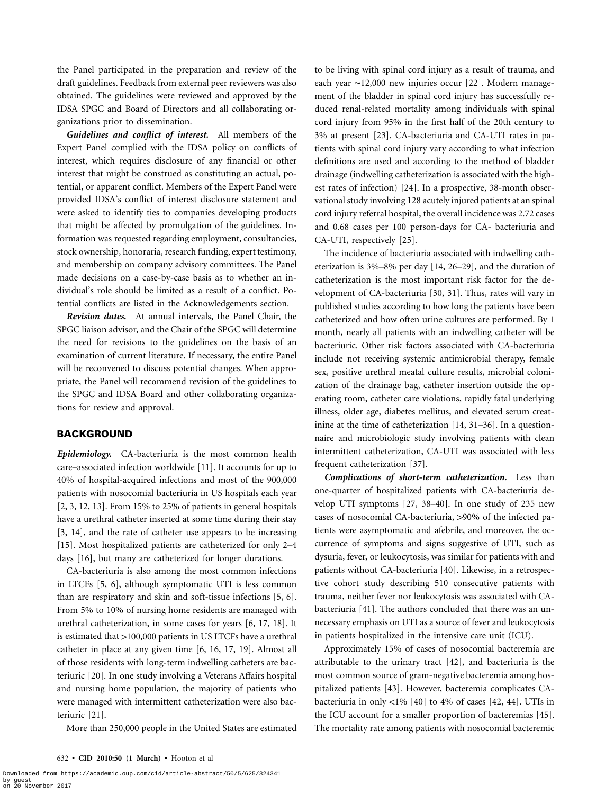the Panel participated in the preparation and review of the draft guidelines. Feedback from external peer reviewers was also obtained. The guidelines were reviewed and approved by the IDSA SPGC and Board of Directors and all collaborating organizations prior to dissemination.

*Guidelines and conflict of interest.* All members of the Expert Panel complied with the IDSA policy on conflicts of interest, which requires disclosure of any financial or other interest that might be construed as constituting an actual, potential, or apparent conflict. Members of the Expert Panel were provided IDSA's conflict of interest disclosure statement and were asked to identify ties to companies developing products that might be affected by promulgation of the guidelines. Information was requested regarding employment, consultancies, stock ownership, honoraria, research funding, expert testimony, and membership on company advisory committees. The Panel made decisions on a case-by-case basis as to whether an individual's role should be limited as a result of a conflict. Potential conflicts are listed in the Acknowledgements section.

*Revision dates.* At annual intervals, the Panel Chair, the SPGC liaison advisor, and the Chair of the SPGC will determine the need for revisions to the guidelines on the basis of an examination of current literature. If necessary, the entire Panel will be reconvened to discuss potential changes. When appropriate, the Panel will recommend revision of the guidelines to the SPGC and IDSA Board and other collaborating organizations for review and approval.

# **BACKGROUND**

*Epidemiology.* CA-bacteriuria is the most common health care–associated infection worldwide [11]. It accounts for up to 40% of hospital-acquired infections and most of the 900,000 patients with nosocomial bacteriuria in US hospitals each year [2, 3, 12, 13]. From 15% to 25% of patients in general hospitals have a urethral catheter inserted at some time during their stay [3, 14], and the rate of catheter use appears to be increasing [15]. Most hospitalized patients are catheterized for only 2–4 days [16], but many are catheterized for longer durations.

CA-bacteriuria is also among the most common infections in LTCFs [5, 6], although symptomatic UTI is less common than are respiratory and skin and soft-tissue infections [5, 6]. From 5% to 10% of nursing home residents are managed with urethral catheterization, in some cases for years [6, 17, 18]. It is estimated that >100,000 patients in US LTCFs have a urethral catheter in place at any given time [6, 16, 17, 19]. Almost all of those residents with long-term indwelling catheters are bacteriuric [20]. In one study involving a Veterans Affairs hospital and nursing home population, the majority of patients who were managed with intermittent catheterization were also bacteriuric [21].

More than 250,000 people in the United States are estimated

to be living with spinal cord injury as a result of trauma, and each year ∼12,000 new injuries occur [22]. Modern management of the bladder in spinal cord injury has successfully reduced renal-related mortality among individuals with spinal cord injury from 95% in the first half of the 20th century to 3% at present [23]. CA-bacteriuria and CA-UTI rates in patients with spinal cord injury vary according to what infection definitions are used and according to the method of bladder drainage (indwelling catheterization is associated with the highest rates of infection) [24]. In a prospective, 38-month observational study involving 128 acutely injured patients at an spinal cord injury referral hospital, the overall incidence was 2.72 cases and 0.68 cases per 100 person-days for CA- bacteriuria and CA-UTI, respectively [25].

The incidence of bacteriuria associated with indwelling catheterization is 3%–8% per day [14, 26–29], and the duration of catheterization is the most important risk factor for the development of CA-bacteriuria [30, 31]. Thus, rates will vary in published studies according to how long the patients have been catheterized and how often urine cultures are performed. By 1 month, nearly all patients with an indwelling catheter will be bacteriuric. Other risk factors associated with CA-bacteriuria include not receiving systemic antimicrobial therapy, female sex, positive urethral meatal culture results, microbial colonization of the drainage bag, catheter insertion outside the operating room, catheter care violations, rapidly fatal underlying illness, older age, diabetes mellitus, and elevated serum creatinine at the time of catheterization [14, 31–36]. In a questionnaire and microbiologic study involving patients with clean intermittent catheterization, CA-UTI was associated with less frequent catheterization [37].

*Complications of short-term catheterization.* Less than one-quarter of hospitalized patients with CA-bacteriuria develop UTI symptoms [27, 38–40]. In one study of 235 new cases of nosocomial CA-bacteriuria, >90% of the infected patients were asymptomatic and afebrile, and moreover, the occurrence of symptoms and signs suggestive of UTI, such as dysuria, fever, or leukocytosis, was similar for patients with and patients without CA-bacteriuria [40]. Likewise, in a retrospective cohort study describing 510 consecutive patients with trauma, neither fever nor leukocytosis was associated with CAbacteriuria [41]. The authors concluded that there was an unnecessary emphasis on UTI as a source of fever and leukocytosis in patients hospitalized in the intensive care unit (ICU).

Approximately 15% of cases of nosocomial bacteremia are attributable to the urinary tract [42], and bacteriuria is the most common source of gram-negative bacteremia among hospitalized patients [43]. However, bacteremia complicates CAbacteriuria in only <1%  $[40]$  to 4% of cases  $[42, 44]$ . UTIs in the ICU account for a smaller proportion of bacteremias [45]. The mortality rate among patients with nosocomial bacteremic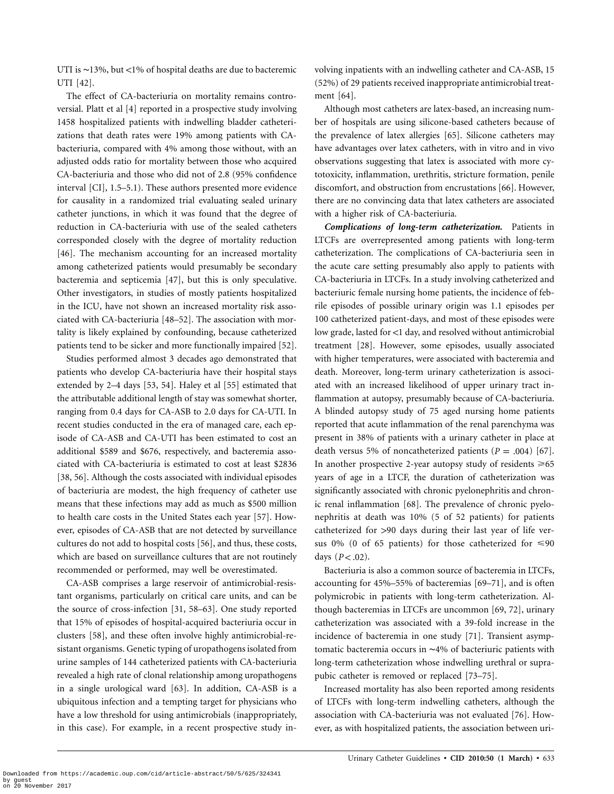UTI is ~13%, but <1% of hospital deaths are due to bacteremic UTI [42].

The effect of CA-bacteriuria on mortality remains controversial. Platt et al [4] reported in a prospective study involving 1458 hospitalized patients with indwelling bladder catheterizations that death rates were 19% among patients with CAbacteriuria, compared with 4% among those without, with an adjusted odds ratio for mortality between those who acquired CA-bacteriuria and those who did not of 2.8 (95% confidence interval [CI], 1.5–5.1). These authors presented more evidence for causality in a randomized trial evaluating sealed urinary catheter junctions, in which it was found that the degree of reduction in CA-bacteriuria with use of the sealed catheters corresponded closely with the degree of mortality reduction [46]. The mechanism accounting for an increased mortality among catheterized patients would presumably be secondary bacteremia and septicemia [47], but this is only speculative. Other investigators, in studies of mostly patients hospitalized in the ICU, have not shown an increased mortality risk associated with CA-bacteriuria [48–52]. The association with mortality is likely explained by confounding, because catheterized patients tend to be sicker and more functionally impaired [52].

Studies performed almost 3 decades ago demonstrated that patients who develop CA-bacteriuria have their hospital stays extended by 2–4 days [53, 54]. Haley et al [55] estimated that the attributable additional length of stay was somewhat shorter, ranging from 0.4 days for CA-ASB to 2.0 days for CA-UTI. In recent studies conducted in the era of managed care, each episode of CA-ASB and CA-UTI has been estimated to cost an additional \$589 and \$676, respectively, and bacteremia associated with CA-bacteriuria is estimated to cost at least \$2836 [38, 56]. Although the costs associated with individual episodes of bacteriuria are modest, the high frequency of catheter use means that these infections may add as much as \$500 million to health care costs in the United States each year [57]. However, episodes of CA-ASB that are not detected by surveillance cultures do not add to hospital costs [56], and thus, these costs, which are based on surveillance cultures that are not routinely recommended or performed, may well be overestimated.

CA-ASB comprises a large reservoir of antimicrobial-resistant organisms, particularly on critical care units, and can be the source of cross-infection [31, 58–63]. One study reported that 15% of episodes of hospital-acquired bacteriuria occur in clusters [58], and these often involve highly antimicrobial-resistant organisms. Genetic typing of uropathogens isolated from urine samples of 144 catheterized patients with CA-bacteriuria revealed a high rate of clonal relationship among uropathogens in a single urological ward [63]. In addition, CA-ASB is a ubiquitous infection and a tempting target for physicians who have a low threshold for using antimicrobials (inappropriately, in this case). For example, in a recent prospective study involving inpatients with an indwelling catheter and CA-ASB, 15 (52%) of 29 patients received inappropriate antimicrobial treatment [64].

Although most catheters are latex-based, an increasing number of hospitals are using silicone-based catheters because of the prevalence of latex allergies [65]. Silicone catheters may have advantages over latex catheters, with in vitro and in vivo observations suggesting that latex is associated with more cytotoxicity, inflammation, urethritis, stricture formation, penile discomfort, and obstruction from encrustations [66]. However, there are no convincing data that latex catheters are associated with a higher risk of CA-bacteriuria.

*Complications of long-term catheterization.* Patients in LTCFs are overrepresented among patients with long-term catheterization. The complications of CA-bacteriuria seen in the acute care setting presumably also apply to patients with CA-bacteriuria in LTCFs. In a study involving catheterized and bacteriuric female nursing home patients, the incidence of febrile episodes of possible urinary origin was 1.1 episodes per 100 catheterized patient-days, and most of these episodes were low grade, lasted for <1 day, and resolved without antimicrobial treatment [28]. However, some episodes, usually associated with higher temperatures, were associated with bacteremia and death. Moreover, long-term urinary catheterization is associated with an increased likelihood of upper urinary tract inflammation at autopsy, presumably because of CA-bacteriuria. A blinded autopsy study of 75 aged nursing home patients reported that acute inflammation of the renal parenchyma was present in 38% of patients with a urinary catheter in place at death versus 5% of noncatheterized patients  $(P = .004)$  [67]. In another prospective 2-year autopsy study of residents  $\geq 65$ years of age in a LTCF, the duration of catheterization was significantly associated with chronic pyelonephritis and chronic renal inflammation [68]. The prevalence of chronic pyelonephritis at death was 10% (5 of 52 patients) for patients catheterized for >90 days during their last year of life versus 0% (0 of 65 patients) for those catheterized for  $\leq 90$ days ( $P < .02$ ).

Bacteriuria is also a common source of bacteremia in LTCFs, accounting for 45%–55% of bacteremias [69–71], and is often polymicrobic in patients with long-term catheterization. Although bacteremias in LTCFs are uncommon [69, 72], urinary catheterization was associated with a 39-fold increase in the incidence of bacteremia in one study [71]. Transient asymptomatic bacteremia occurs in ∼4% of bacteriuric patients with long-term catheterization whose indwelling urethral or suprapubic catheter is removed or replaced [73–75].

Increased mortality has also been reported among residents of LTCFs with long-term indwelling catheters, although the association with CA-bacteriuria was not evaluated [76]. However, as with hospitalized patients, the association between uri-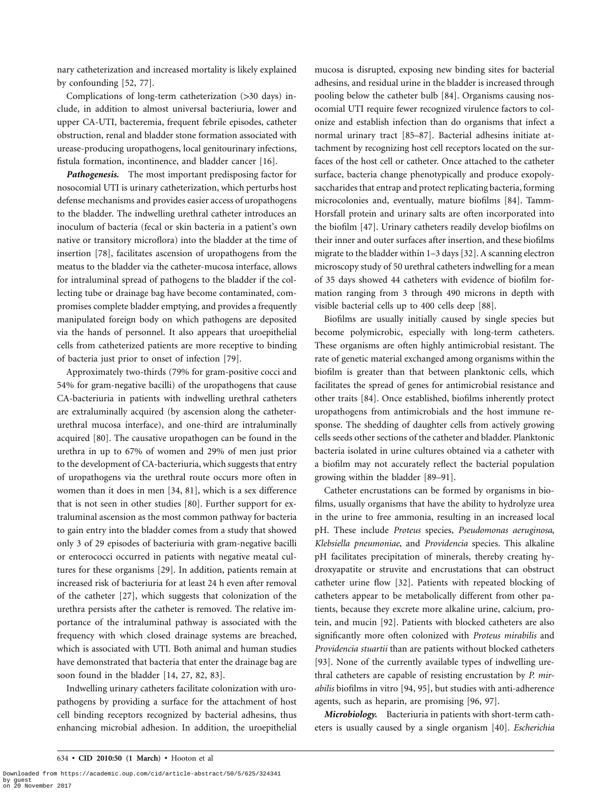nary catheterization and increased mortality is likely explained by confounding [52, 77].

Complications of long-term catheterization  $(>30$  days) include, in addition to almost universal bacteriuria, lower and upper CA-UTI, bacteremia, frequent febrile episodes, catheter obstruction, renal and bladder stone formation associated with urease-producing uropathogens, local genitourinary infections, fistula formation, incontinence, and bladder cancer [16].

*Pathogenesis.* The most important predisposing factor for nosocomial UTI is urinary catheterization, which perturbs host defense mechanisms and provides easier access of uropathogens to the bladder. The indwelling urethral catheter introduces an inoculum of bacteria (fecal or skin bacteria in a patient's own native or transitory microflora) into the bladder at the time of insertion [78], facilitates ascension of uropathogens from the meatus to the bladder via the catheter-mucosa interface, allows for intraluminal spread of pathogens to the bladder if the collecting tube or drainage bag have become contaminated, compromises complete bladder emptying, and provides a frequently manipulated foreign body on which pathogens are deposited via the hands of personnel. It also appears that uroepithelial cells from catheterized patients are more receptive to binding of bacteria just prior to onset of infection [79].

Approximately two-thirds (79% for gram-positive cocci and 54% for gram-negative bacilli) of the uropathogens that cause CA-bacteriuria in patients with indwelling urethral catheters are extraluminally acquired (by ascension along the catheterurethral mucosa interface), and one-third are intraluminally acquired [80]. The causative uropathogen can be found in the urethra in up to 67% of women and 29% of men just prior to the development of CA-bacteriuria, which suggests that entry of uropathogens via the urethral route occurs more often in women than it does in men [34, 81], which is a sex difference that is not seen in other studies [80]. Further support for extraluminal ascension as the most common pathway for bacteria to gain entry into the bladder comes from a study that showed only 3 of 29 episodes of bacteriuria with gram-negative bacilli or enterococci occurred in patients with negative meatal cultures for these organisms [29]. In addition, patients remain at increased risk of bacteriuria for at least 24 h even after removal of the catheter [27], which suggests that colonization of the urethra persists after the catheter is removed. The relative importance of the intraluminal pathway is associated with the frequency with which closed drainage systems are breached, which is associated with UTI. Both animal and human studies have demonstrated that bacteria that enter the drainage bag are soon found in the bladder [14, 27, 82, 83].

Indwelling urinary catheters facilitate colonization with uropathogens by providing a surface for the attachment of host cell binding receptors recognized by bacterial adhesins, thus enhancing microbial adhesion. In addition, the uroepithelial

mucosa is disrupted, exposing new binding sites for bacterial adhesins, and residual urine in the bladder is increased through pooling below the catheter bulb [84]. Organisms causing nosocomial UTI require fewer recognized virulence factors to colonize and establish infection than do organisms that infect a normal urinary tract [85–87]. Bacterial adhesins initiate attachment by recognizing host cell receptors located on the surfaces of the host cell or catheter. Once attached to the catheter surface, bacteria change phenotypically and produce exopolysaccharides that entrap and protect replicating bacteria, forming microcolonies and, eventually, mature biofilms [84]. Tamm-Horsfall protein and urinary salts are often incorporated into the biofilm [47]. Urinary catheters readily develop biofilms on their inner and outer surfaces after insertion, and these biofilms migrate to the bladder within 1–3 days [32]. A scanning electron microscopy study of 50 urethral catheters indwelling for a mean of 35 days showed 44 catheters with evidence of biofilm formation ranging from 3 through 490 microns in depth with visible bacterial cells up to 400 cells deep [88].

Biofilms are usually initially caused by single species but become polymicrobic, especially with long-term catheters. These organisms are often highly antimicrobial resistant. The rate of genetic material exchanged among organisms within the biofilm is greater than that between planktonic cells, which facilitates the spread of genes for antimicrobial resistance and other traits [84]. Once established, biofilms inherently protect uropathogens from antimicrobials and the host immune response. The shedding of daughter cells from actively growing cells seeds other sections of the catheter and bladder. Planktonic bacteria isolated in urine cultures obtained via a catheter with a biofilm may not accurately reflect the bacterial population growing within the bladder [89–91].

Catheter encrustations can be formed by organisms in biofilms, usually organisms that have the ability to hydrolyze urea in the urine to free ammonia, resulting in an increased local pH. These include *Proteus* species, *Pseudomonas aeruginosa*, *Klebsiella pneumoniae*, and *Providencia* species. This alkaline pH facilitates precipitation of minerals, thereby creating hydroxyapatite or struvite and encrustations that can obstruct catheter urine flow [32]. Patients with repeated blocking of catheters appear to be metabolically different from other patients, because they excrete more alkaline urine, calcium, protein, and mucin [92]. Patients with blocked catheters are also significantly more often colonized with *Proteus mirabilis* and *Providencia stuartii* than are patients without blocked catheters [93]. None of the currently available types of indwelling urethral catheters are capable of resisting encrustation by *P. mirabilis* biofilms in vitro [94, 95], but studies with anti-adherence agents, such as heparin, are promising [96, 97].

*Microbiology.* Bacteriuria in patients with short-term catheters is usually caused by a single organism [40]. *Escherichia*

Downloaded from https://academic.oup.com/cid/article-abstract/50/5/625/324341 by guest on 20 November 2017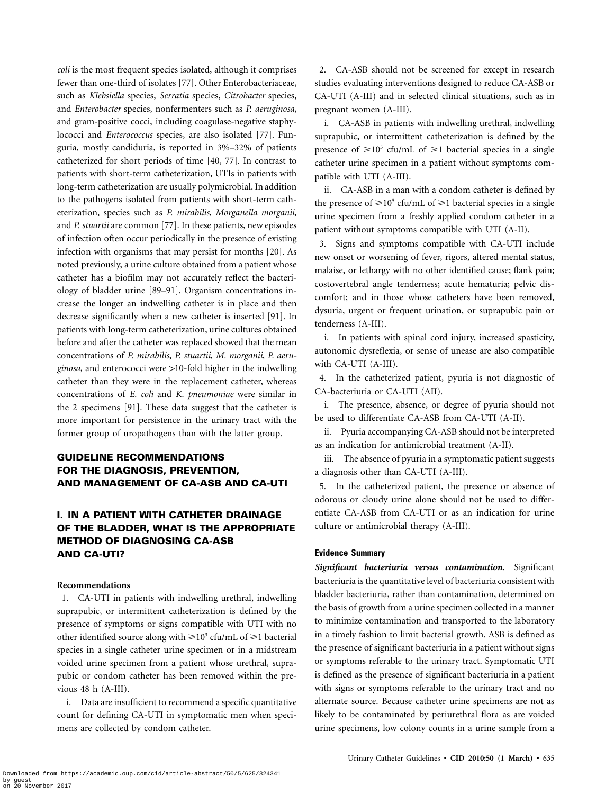*coli* is the most frequent species isolated, although it comprises fewer than one-third of isolates [77]. Other Enterobacteriaceae, such as *Klebsiella* species, *Serratia* species, *Citrobacter* species, and *Enterobacter* species, nonfermenters such as *P. aeruginosa*, and gram-positive cocci, including coagulase-negative staphylococci and *Enterococcus* species, are also isolated [77]. Funguria, mostly candiduria, is reported in 3%–32% of patients catheterized for short periods of time [40, 77]. In contrast to patients with short-term catheterization, UTIs in patients with long-term catheterization are usually polymicrobial. In addition to the pathogens isolated from patients with short-term catheterization, species such as *P. mirabilis*, *Morganella morganii*, and *P. stuartii* are common [77]. In these patients, new episodes of infection often occur periodically in the presence of existing infection with organisms that may persist for months [20]. As noted previously, a urine culture obtained from a patient whose catheter has a biofilm may not accurately reflect the bacteriology of bladder urine [89–91]. Organism concentrations increase the longer an indwelling catheter is in place and then decrease significantly when a new catheter is inserted [91]. In patients with long-term catheterization, urine cultures obtained before and after the catheter was replaced showed that the mean concentrations of *P. mirabilis*, *P. stuartii*, *M. morganii*, *P. aeruginosa,* and enterococci were 110-fold higher in the indwelling catheter than they were in the replacement catheter, whereas concentrations of *E. coli* and *K. pneumoniae* were similar in the 2 specimens [91]. These data suggest that the catheter is more important for persistence in the urinary tract with the former group of uropathogens than with the latter group.

# **GUIDELINE RECOMMENDATIONS FOR THE DIAGNOSIS, PREVENTION, AND MANAGEMENT OF CA-ASB AND CA-UTI**

# **I. IN A PATIENT WITH CATHETER DRAINAGE OF THE BLADDER, WHAT IS THE APPROPRIATE METHOD OF DIAGNOSING CA-ASB AND CA-UTI?**

## **Recommendations**

1. CA-UTI in patients with indwelling urethral, indwelling suprapubic, or intermittent catheterization is defined by the presence of symptoms or signs compatible with UTI with no other identified source along with  $\geq 10^3$  cfu/mL of  $\geq 1$  bacterial species in a single catheter urine specimen or in a midstream voided urine specimen from a patient whose urethral, suprapubic or condom catheter has been removed within the previous 48 h (A-III).

i. Data are insufficient to recommend a specific quantitative count for defining CA-UTI in symptomatic men when specimens are collected by condom catheter.

2. CA-ASB should not be screened for except in research studies evaluating interventions designed to reduce CA-ASB or CA-UTI (A-III) and in selected clinical situations, such as in pregnant women (A-III).

i. CA-ASB in patients with indwelling urethral, indwelling suprapubic, or intermittent catheterization is defined by the presence of  $\geq 10^5$  cfu/mL of  $\geq 1$  bacterial species in a single catheter urine specimen in a patient without symptoms compatible with UTI (A-III).

ii. CA-ASB in a man with a condom catheter is defined by the presence of  $\geq 10^5$  cfu/mL of  $\geq 1$  bacterial species in a single urine specimen from a freshly applied condom catheter in a patient without symptoms compatible with UTI (A-II).

3. Signs and symptoms compatible with CA-UTI include new onset or worsening of fever, rigors, altered mental status, malaise, or lethargy with no other identified cause; flank pain; costovertebral angle tenderness; acute hematuria; pelvic discomfort; and in those whose catheters have been removed, dysuria, urgent or frequent urination, or suprapubic pain or tenderness (A-III).

i. In patients with spinal cord injury, increased spasticity, autonomic dysreflexia, or sense of unease are also compatible with CA-UTI (A-III).

4. In the catheterized patient, pyuria is not diagnostic of CA-bacteriuria or CA-UTI (AII).

i. The presence, absence, or degree of pyuria should not be used to differentiate CA-ASB from CA-UTI (A-II).

ii. Pyuria accompanying CA-ASB should not be interpreted as an indication for antimicrobial treatment (A-II).

iii. The absence of pyuria in a symptomatic patient suggests a diagnosis other than CA-UTI (A-III).

5. In the catheterized patient, the presence or absence of odorous or cloudy urine alone should not be used to differentiate CA-ASB from CA-UTI or as an indication for urine culture or antimicrobial therapy (A-III).

#### **Evidence Summary**

*Significant bacteriuria versus contamination.* Significant bacteriuria is the quantitative level of bacteriuria consistent with bladder bacteriuria, rather than contamination, determined on the basis of growth from a urine specimen collected in a manner to minimize contamination and transported to the laboratory in a timely fashion to limit bacterial growth. ASB is defined as the presence of significant bacteriuria in a patient without signs or symptoms referable to the urinary tract. Symptomatic UTI is defined as the presence of significant bacteriuria in a patient with signs or symptoms referable to the urinary tract and no alternate source. Because catheter urine specimens are not as likely to be contaminated by periurethral flora as are voided urine specimens, low colony counts in a urine sample from a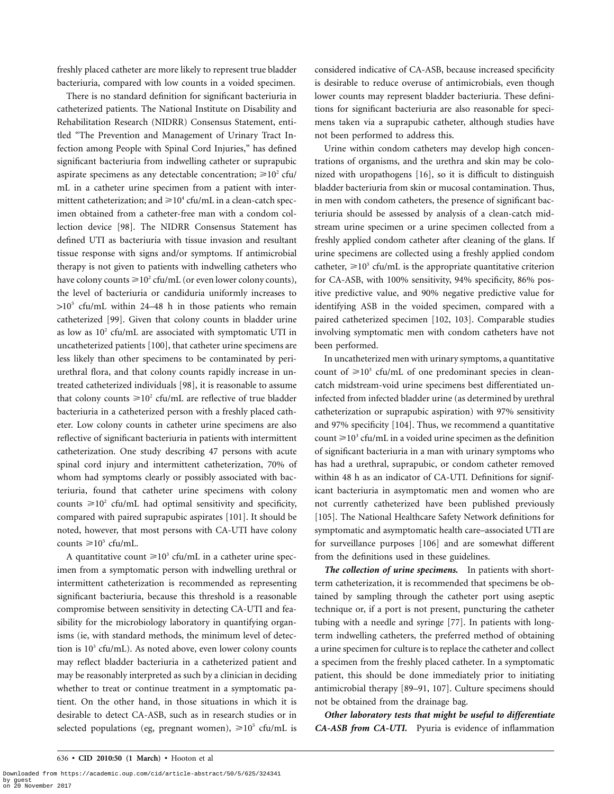freshly placed catheter are more likely to represent true bladder bacteriuria, compared with low counts in a voided specimen.

There is no standard definition for significant bacteriuria in catheterized patients. The National Institute on Disability and Rehabilitation Research (NIDRR) Consensus Statement, entitled "The Prevention and Management of Urinary Tract Infection among People with Spinal Cord Injuries," has defined significant bacteriuria from indwelling catheter or suprapubic aspirate specimens as any detectable concentration;  $\geq 10^2$  cfu/ mL in a catheter urine specimen from a patient with intermittent catheterization; and  $\geq 10^4$  cfu/mL in a clean-catch specimen obtained from a catheter-free man with a condom collection device [98]. The NIDRR Consensus Statement has defined UTI as bacteriuria with tissue invasion and resultant tissue response with signs and/or symptoms. If antimicrobial therapy is not given to patients with indwelling catheters who have colony counts  $\geq 10^2$  cfu/mL (or even lower colony counts), the level of bacteriuria or candiduria uniformly increases to  $>10^5$  cfu/mL within 24–48 h in those patients who remain catheterized [99]. Given that colony counts in bladder urine as low as  $10^2$  cfu/mL are associated with symptomatic UTI in uncatheterized patients [100], that catheter urine specimens are less likely than other specimens to be contaminated by periurethral flora, and that colony counts rapidly increase in untreated catheterized individuals [98], it is reasonable to assume that colony counts  $\geq 10^2$  cfu/mL are reflective of true bladder bacteriuria in a catheterized person with a freshly placed catheter. Low colony counts in catheter urine specimens are also reflective of significant bacteriuria in patients with intermittent catheterization. One study describing 47 persons with acute spinal cord injury and intermittent catheterization, 70% of whom had symptoms clearly or possibly associated with bacteriuria, found that catheter urine specimens with colony counts  $\geq 10^2$  cfu/mL had optimal sensitivity and specificity, compared with paired suprapubic aspirates [101]. It should be noted, however, that most persons with CA-UTI have colony counts  $\geq 10^5$  cfu/mL.

A quantitative count  $\geq 10^3$  cfu/mL in a catheter urine specimen from a symptomatic person with indwelling urethral or intermittent catheterization is recommended as representing significant bacteriuria, because this threshold is a reasonable compromise between sensitivity in detecting CA-UTI and feasibility for the microbiology laboratory in quantifying organisms (ie, with standard methods, the minimum level of detection is  $10<sup>3</sup>$  cfu/mL). As noted above, even lower colony counts may reflect bladder bacteriuria in a catheterized patient and may be reasonably interpreted as such by a clinician in deciding whether to treat or continue treatment in a symptomatic patient. On the other hand, in those situations in which it is desirable to detect CA-ASB, such as in research studies or in selected populations (eg, pregnant women),  $\geq 10^5$  cfu/mL is

considered indicative of CA-ASB, because increased specificity is desirable to reduce overuse of antimicrobials, even though lower counts may represent bladder bacteriuria. These definitions for significant bacteriuria are also reasonable for specimens taken via a suprapubic catheter, although studies have not been performed to address this.

Urine within condom catheters may develop high concentrations of organisms, and the urethra and skin may be colonized with uropathogens [16], so it is difficult to distinguish bladder bacteriuria from skin or mucosal contamination. Thus, in men with condom catheters, the presence of significant bacteriuria should be assessed by analysis of a clean-catch midstream urine specimen or a urine specimen collected from a freshly applied condom catheter after cleaning of the glans. If urine specimens are collected using a freshly applied condom catheter,  $\geq 10^5$  cfu/mL is the appropriate quantitative criterion for CA-ASB, with 100% sensitivity, 94% specificity, 86% positive predictive value, and 90% negative predictive value for identifying ASB in the voided specimen, compared with a paired catheterized specimen [102, 103]. Comparable studies involving symptomatic men with condom catheters have not been performed.

In uncatheterized men with urinary symptoms, a quantitative count of  $\geq 10^3$  cfu/mL of one predominant species in cleancatch midstream-void urine specimens best differentiated uninfected from infected bladder urine (as determined by urethral catheterization or suprapubic aspiration) with 97% sensitivity and 97% specificity [104]. Thus, we recommend a quantitative count  $\geq 10^3$  cfu/mL in a voided urine specimen as the definition of significant bacteriuria in a man with urinary symptoms who has had a urethral, suprapubic, or condom catheter removed within 48 h as an indicator of CA-UTI. Definitions for significant bacteriuria in asymptomatic men and women who are not currently catheterized have been published previously [105]. The National Healthcare Safety Network definitions for symptomatic and asymptomatic health care–associated UTI are for surveillance purposes [106] and are somewhat different from the definitions used in these guidelines.

*The collection of urine specimens.* In patients with shortterm catheterization, it is recommended that specimens be obtained by sampling through the catheter port using aseptic technique or, if a port is not present, puncturing the catheter tubing with a needle and syringe [77]. In patients with longterm indwelling catheters, the preferred method of obtaining a urine specimen for culture is to replace the catheter and collect a specimen from the freshly placed catheter. In a symptomatic patient, this should be done immediately prior to initiating antimicrobial therapy [89–91, 107]. Culture specimens should not be obtained from the drainage bag.

*Other laboratory tests that might be useful to differentiate CA-ASB from CA-UTI.* Pyuria is evidence of inflammation

Downloaded from https://academic.oup.com/cid/article-abstract/50/5/625/324341 by guest on 20 November 2017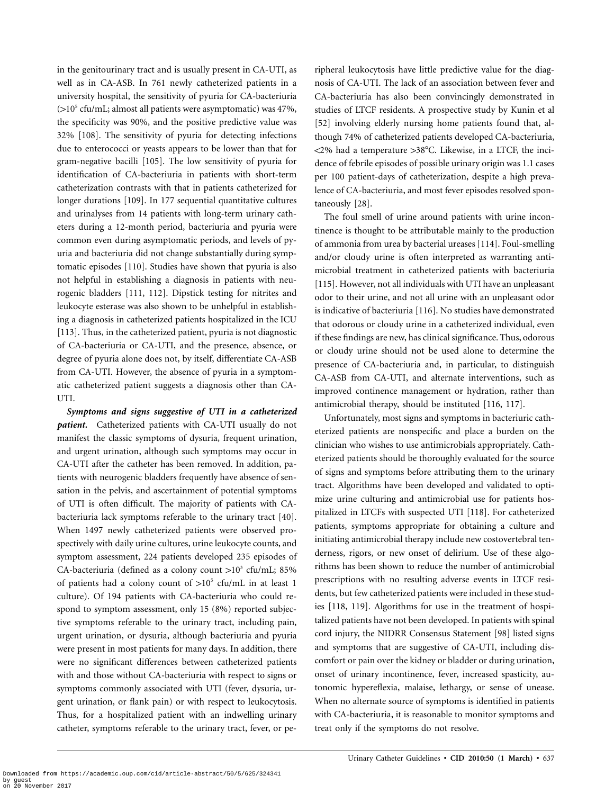in the genitourinary tract and is usually present in CA-UTI, as well as in CA-ASB. In 761 newly catheterized patients in a university hospital, the sensitivity of pyuria for CA-bacteriuria  $(>10^5 \text{ cfu/mL}$ ; almost all patients were asymptomatic) was 47%, the specificity was 90%, and the positive predictive value was 32% [108]. The sensitivity of pyuria for detecting infections due to enterococci or yeasts appears to be lower than that for gram-negative bacilli [105]. The low sensitivity of pyuria for identification of CA-bacteriuria in patients with short-term catheterization contrasts with that in patients catheterized for longer durations [109]. In 177 sequential quantitative cultures and urinalyses from 14 patients with long-term urinary catheters during a 12-month period, bacteriuria and pyuria were common even during asymptomatic periods, and levels of pyuria and bacteriuria did not change substantially during symptomatic episodes [110]. Studies have shown that pyuria is also not helpful in establishing a diagnosis in patients with neurogenic bladders [111, 112]. Dipstick testing for nitrites and leukocyte esterase was also shown to be unhelpful in establishing a diagnosis in catheterized patients hospitalized in the ICU [113]. Thus, in the catheterized patient, pyuria is not diagnostic of CA-bacteriuria or CA-UTI, and the presence, absence, or degree of pyuria alone does not, by itself, differentiate CA-ASB from CA-UTI. However, the absence of pyuria in a symptomatic catheterized patient suggests a diagnosis other than CA-UTI.

*Symptoms and signs suggestive of UTI in a catheterized patient.* Catheterized patients with CA-UTI usually do not manifest the classic symptoms of dysuria, frequent urination, and urgent urination, although such symptoms may occur in CA-UTI after the catheter has been removed. In addition, patients with neurogenic bladders frequently have absence of sensation in the pelvis, and ascertainment of potential symptoms of UTI is often difficult. The majority of patients with CAbacteriuria lack symptoms referable to the urinary tract [40]. When 1497 newly catheterized patients were observed prospectively with daily urine cultures, urine leukocyte counts, and symptom assessment, 224 patients developed 235 episodes of CA-bacteriuria (defined as a colony count  $>10^3$  cfu/mL; 85% of patients had a colony count of  $>10^5$  cfu/mL in at least 1 culture). Of 194 patients with CA-bacteriuria who could respond to symptom assessment, only 15 (8%) reported subjective symptoms referable to the urinary tract, including pain, urgent urination, or dysuria, although bacteriuria and pyuria were present in most patients for many days. In addition, there were no significant differences between catheterized patients with and those without CA-bacteriuria with respect to signs or symptoms commonly associated with UTI (fever, dysuria, urgent urination, or flank pain) or with respect to leukocytosis. Thus, for a hospitalized patient with an indwelling urinary catheter, symptoms referable to the urinary tract, fever, or peripheral leukocytosis have little predictive value for the diagnosis of CA-UTI. The lack of an association between fever and CA-bacteriuria has also been convincingly demonstrated in studies of LTCF residents. A prospective study by Kunin et al [52] involving elderly nursing home patients found that, although 74% of catheterized patients developed CA-bacteriuria,  $< 2\%$  had a temperature  $> 38^{\circ}$ C. Likewise, in a LTCF, the incidence of febrile episodes of possible urinary origin was 1.1 cases per 100 patient-days of catheterization, despite a high prevalence of CA-bacteriuria, and most fever episodes resolved spontaneously [28].

The foul smell of urine around patients with urine incontinence is thought to be attributable mainly to the production of ammonia from urea by bacterial ureases [114]. Foul-smelling and/or cloudy urine is often interpreted as warranting antimicrobial treatment in catheterized patients with bacteriuria [115]. However, not all individuals with UTI have an unpleasant odor to their urine, and not all urine with an unpleasant odor is indicative of bacteriuria [116]. No studies have demonstrated that odorous or cloudy urine in a catheterized individual, even if these findings are new, has clinical significance. Thus, odorous or cloudy urine should not be used alone to determine the presence of CA-bacteriuria and, in particular, to distinguish CA-ASB from CA-UTI, and alternate interventions, such as improved continence management or hydration, rather than antimicrobial therapy, should be instituted [116, 117].

Unfortunately, most signs and symptoms in bacteriuric catheterized patients are nonspecific and place a burden on the clinician who wishes to use antimicrobials appropriately. Catheterized patients should be thoroughly evaluated for the source of signs and symptoms before attributing them to the urinary tract. Algorithms have been developed and validated to optimize urine culturing and antimicrobial use for patients hospitalized in LTCFs with suspected UTI [118]. For catheterized patients, symptoms appropriate for obtaining a culture and initiating antimicrobial therapy include new costovertebral tenderness, rigors, or new onset of delirium. Use of these algorithms has been shown to reduce the number of antimicrobial prescriptions with no resulting adverse events in LTCF residents, but few catheterized patients were included in these studies [118, 119]. Algorithms for use in the treatment of hospitalized patients have not been developed. In patients with spinal cord injury, the NIDRR Consensus Statement [98] listed signs and symptoms that are suggestive of CA-UTI, including discomfort or pain over the kidney or bladder or during urination, onset of urinary incontinence, fever, increased spasticity, autonomic hypereflexia, malaise, lethargy, or sense of unease. When no alternate source of symptoms is identified in patients with CA-bacteriuria, it is reasonable to monitor symptoms and treat only if the symptoms do not resolve.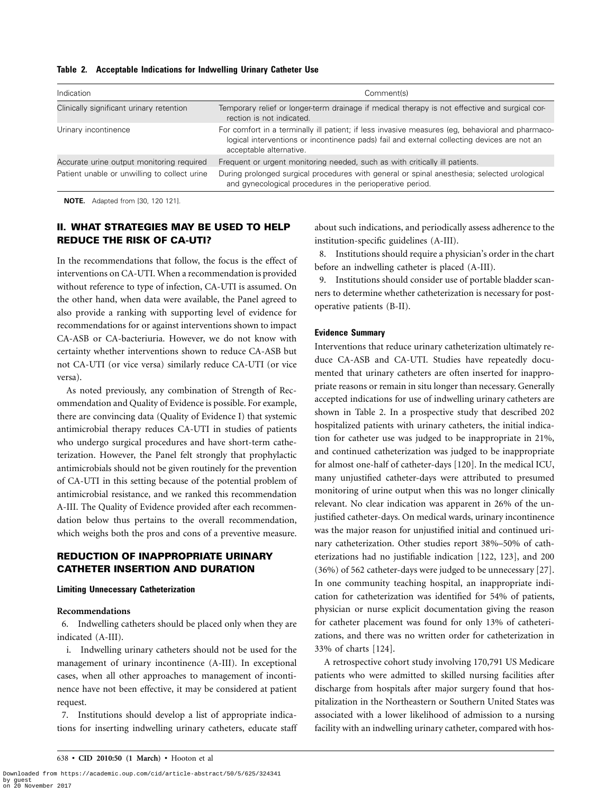#### **Table 2. Acceptable Indications for Indwelling Urinary Catheter Use**

| Indication                                   | Comment(s)                                                                                                                                                                                                                 |
|----------------------------------------------|----------------------------------------------------------------------------------------------------------------------------------------------------------------------------------------------------------------------------|
| Clinically significant urinary retention     | Temporary relief or longer-term drainage if medical therapy is not effective and surgical cor-<br>rection is not indicated.                                                                                                |
| Urinary incontinence                         | For comfort in a terminally ill patient; if less invasive measures (eg, behavioral and pharmaco-<br>logical interventions or incontinence pads) fail and external collecting devices are not an<br>acceptable alternative. |
| Accurate urine output monitoring required    | Frequent or urgent monitoring needed, such as with critically ill patients.                                                                                                                                                |
| Patient unable or unwilling to collect urine | During prolonged surgical procedures with general or spinal anesthesia; selected urological<br>and gynecological procedures in the perioperative period.                                                                   |

**NOTE.** Adapted from [30, 120 121].

# **II. WHAT STRATEGIES MAY BE USED TO HELP REDUCE THE RISK OF CA-UTI?**

In the recommendations that follow, the focus is the effect of interventions on CA-UTI. When a recommendation is provided without reference to type of infection, CA-UTI is assumed. On the other hand, when data were available, the Panel agreed to also provide a ranking with supporting level of evidence for recommendations for or against interventions shown to impact CA-ASB or CA-bacteriuria. However, we do not know with certainty whether interventions shown to reduce CA-ASB but not CA-UTI (or vice versa) similarly reduce CA-UTI (or vice versa).

As noted previously, any combination of Strength of Recommendation and Quality of Evidence is possible. For example, there are convincing data (Quality of Evidence I) that systemic antimicrobial therapy reduces CA-UTI in studies of patients who undergo surgical procedures and have short-term catheterization. However, the Panel felt strongly that prophylactic antimicrobials should not be given routinely for the prevention of CA-UTI in this setting because of the potential problem of antimicrobial resistance, and we ranked this recommendation A-III. The Quality of Evidence provided after each recommendation below thus pertains to the overall recommendation, which weighs both the pros and cons of a preventive measure.

# **REDUCTION OF INAPPROPRIATE URINARY CATHETER INSERTION AND DURATION**

#### **Limiting Unnecessary Catheterization**

#### **Recommendations**

6. Indwelling catheters should be placed only when they are indicated (A-III).

i. Indwelling urinary catheters should not be used for the management of urinary incontinence (A-III). In exceptional cases, when all other approaches to management of incontinence have not been effective, it may be considered at patient request.

7. Institutions should develop a list of appropriate indications for inserting indwelling urinary catheters, educate staff about such indications, and periodically assess adherence to the institution-specific guidelines (A-III).

8. Institutions should require a physician's order in the chart before an indwelling catheter is placed (A-III).

9. Institutions should consider use of portable bladder scanners to determine whether catheterization is necessary for postoperative patients (B-II).

#### **Evidence Summary**

Interventions that reduce urinary catheterization ultimately reduce CA-ASB and CA-UTI. Studies have repeatedly documented that urinary catheters are often inserted for inappropriate reasons or remain in situ longer than necessary. Generally accepted indications for use of indwelling urinary catheters are shown in Table 2. In a prospective study that described 202 hospitalized patients with urinary catheters, the initial indication for catheter use was judged to be inappropriate in 21%, and continued catheterization was judged to be inappropriate for almost one-half of catheter-days [120]. In the medical ICU, many unjustified catheter-days were attributed to presumed monitoring of urine output when this was no longer clinically relevant. No clear indication was apparent in 26% of the unjustified catheter-days. On medical wards, urinary incontinence was the major reason for unjustified initial and continued urinary catheterization. Other studies report 38%–50% of catheterizations had no justifiable indication [122, 123], and 200 (36%) of 562 catheter-days were judged to be unnecessary [27]. In one community teaching hospital, an inappropriate indication for catheterization was identified for 54% of patients, physician or nurse explicit documentation giving the reason for catheter placement was found for only 13% of catheterizations, and there was no written order for catheterization in 33% of charts [124].

A retrospective cohort study involving 170,791 US Medicare patients who were admitted to skilled nursing facilities after discharge from hospitals after major surgery found that hospitalization in the Northeastern or Southern United States was associated with a lower likelihood of admission to a nursing facility with an indwelling urinary catheter, compared with hos-

Downloaded from https://academic.oup.com/cid/article-abstract/50/5/625/324341 by guest on 20 November 2017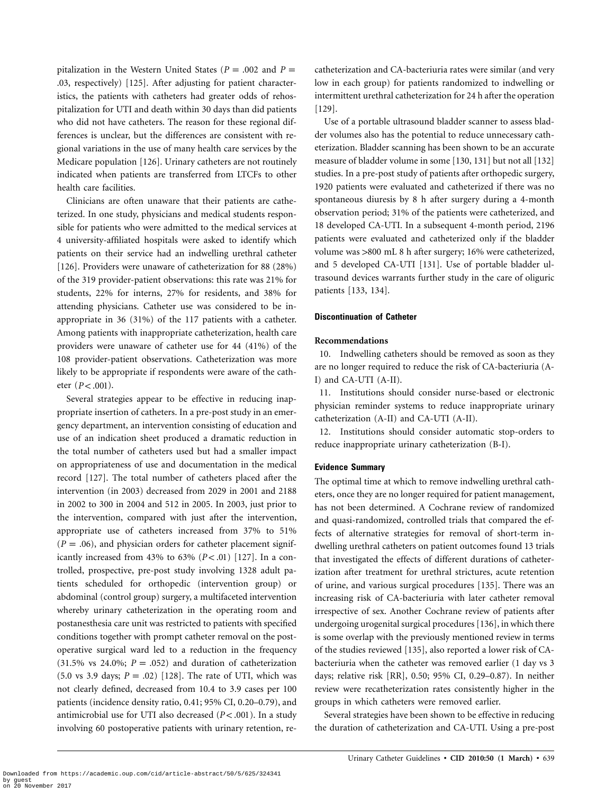pitalization in the Western United States ( $P = .002$  and  $P =$ .03, respectively) [125]. After adjusting for patient characteristics, the patients with catheters had greater odds of rehospitalization for UTI and death within 30 days than did patients who did not have catheters. The reason for these regional differences is unclear, but the differences are consistent with regional variations in the use of many health care services by the Medicare population [126]. Urinary catheters are not routinely indicated when patients are transferred from LTCFs to other health care facilities.

Clinicians are often unaware that their patients are catheterized. In one study, physicians and medical students responsible for patients who were admitted to the medical services at 4 university-affiliated hospitals were asked to identify which patients on their service had an indwelling urethral catheter [126]. Providers were unaware of catheterization for 88 (28%) of the 319 provider-patient observations: this rate was 21% for students, 22% for interns, 27% for residents, and 38% for attending physicians. Catheter use was considered to be inappropriate in 36 (31%) of the 117 patients with a catheter. Among patients with inappropriate catheterization, health care providers were unaware of catheter use for 44 (41%) of the 108 provider-patient observations. Catheterization was more likely to be appropriate if respondents were aware of the catheter ( $P < .001$ ).

Several strategies appear to be effective in reducing inappropriate insertion of catheters. In a pre-post study in an emergency department, an intervention consisting of education and use of an indication sheet produced a dramatic reduction in the total number of catheters used but had a smaller impact on appropriateness of use and documentation in the medical record [127]. The total number of catheters placed after the intervention (in 2003) decreased from 2029 in 2001 and 2188 in 2002 to 300 in 2004 and 512 in 2005. In 2003, just prior to the intervention, compared with just after the intervention, appropriate use of catheters increased from 37% to 51%  $(P = .06)$ , and physician orders for catheter placement significantly increased from 43% to 63% ( $P < .01$ ) [127]. In a controlled, prospective, pre-post study involving 1328 adult patients scheduled for orthopedic (intervention group) or abdominal (control group) surgery, a multifaceted intervention whereby urinary catheterization in the operating room and postanesthesia care unit was restricted to patients with specified conditions together with prompt catheter removal on the postoperative surgical ward led to a reduction in the frequency  $(31.5\% \text{ vs } 24.0\%; P = .052)$  and duration of catheterization  $(5.0 \text{ vs } 3.9 \text{ days}; P = .02)$  [128]. The rate of UTI, which was not clearly defined, decreased from 10.4 to 3.9 cases per 100 patients (incidence density ratio, 0.41; 95% CI, 0.20–0.79), and antimicrobial use for UTI also decreased  $(P < .001)$ . In a study involving 60 postoperative patients with urinary retention, recatheterization and CA-bacteriuria rates were similar (and very low in each group) for patients randomized to indwelling or intermittent urethral catheterization for 24 h after the operation [129].

Use of a portable ultrasound bladder scanner to assess bladder volumes also has the potential to reduce unnecessary catheterization. Bladder scanning has been shown to be an accurate measure of bladder volume in some [130, 131] but not all [132] studies. In a pre-post study of patients after orthopedic surgery, 1920 patients were evaluated and catheterized if there was no spontaneous diuresis by 8 h after surgery during a 4-month observation period; 31% of the patients were catheterized, and 18 developed CA-UTI. In a subsequent 4-month period, 2196 patients were evaluated and catheterized only if the bladder volume was >800 mL 8 h after surgery; 16% were catheterized, and 5 developed CA-UTI [131]. Use of portable bladder ultrasound devices warrants further study in the care of oliguric patients [133, 134].

# **Discontinuation of Catheter**

# **Recommendations**

10. Indwelling catheters should be removed as soon as they are no longer required to reduce the risk of CA-bacteriuria (A-I) and CA-UTI (A-II).

11. Institutions should consider nurse-based or electronic physician reminder systems to reduce inappropriate urinary catheterization (A-II) and CA-UTI (A-II).

12. Institutions should consider automatic stop-orders to reduce inappropriate urinary catheterization (B-I).

# **Evidence Summary**

The optimal time at which to remove indwelling urethral catheters, once they are no longer required for patient management, has not been determined. A Cochrane review of randomized and quasi-randomized, controlled trials that compared the effects of alternative strategies for removal of short-term indwelling urethral catheters on patient outcomes found 13 trials that investigated the effects of different durations of catheterization after treatment for urethral strictures, acute retention of urine, and various surgical procedures [135]. There was an increasing risk of CA-bacteriuria with later catheter removal irrespective of sex. Another Cochrane review of patients after undergoing urogenital surgical procedures [136], in which there is some overlap with the previously mentioned review in terms of the studies reviewed [135], also reported a lower risk of CAbacteriuria when the catheter was removed earlier (1 day vs 3 days; relative risk [RR], 0.50; 95% CI, 0.29–0.87). In neither review were recatheterization rates consistently higher in the groups in which catheters were removed earlier.

Several strategies have been shown to be effective in reducing the duration of catheterization and CA-UTI. Using a pre-post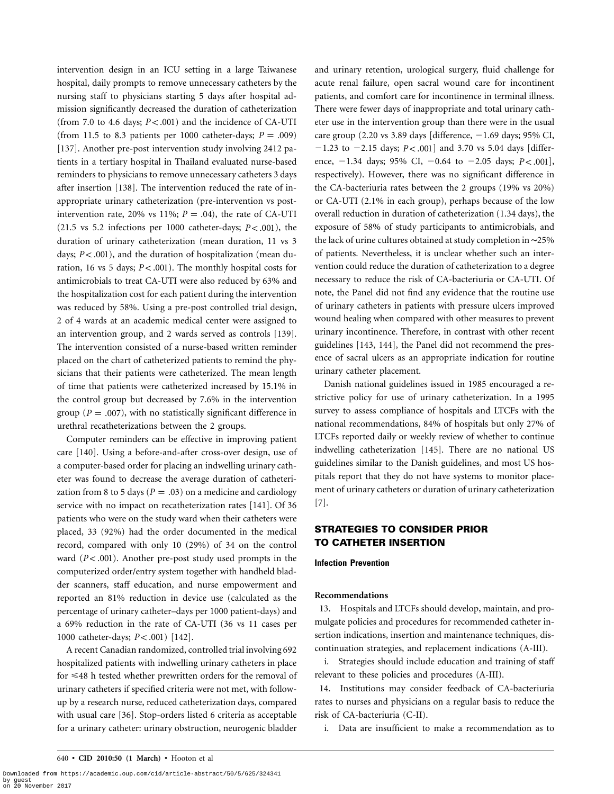intervention design in an ICU setting in a large Taiwanese hospital, daily prompts to remove unnecessary catheters by the nursing staff to physicians starting 5 days after hospital admission significantly decreased the duration of catheterization (from 7.0 to 4.6 days;  $P < .001$ ) and the incidence of CA-UTI (from 11.5 to 8.3 patients per 1000 catheter-days;  $P = .009$ ) [137]. Another pre-post intervention study involving 2412 patients in a tertiary hospital in Thailand evaluated nurse-based reminders to physicians to remove unnecessary catheters 3 days after insertion [138]. The intervention reduced the rate of inappropriate urinary catheterization (pre-intervention vs postintervention rate, 20% vs 11%;  $P = .04$ ), the rate of CA-UTI (21.5 vs 5.2 infections per 1000 catheter-days;  $P < .001$ ), the duration of urinary catheterization (mean duration, 11 vs 3 days;  $P < .001$ ), and the duration of hospitalization (mean duration, 16 vs 5 days;  $P < .001$ ). The monthly hospital costs for antimicrobials to treat CA-UTI were also reduced by 63% and the hospitalization cost for each patient during the intervention was reduced by 58%. Using a pre-post controlled trial design, 2 of 4 wards at an academic medical center were assigned to an intervention group, and 2 wards served as controls [139]. The intervention consisted of a nurse-based written reminder placed on the chart of catheterized patients to remind the physicians that their patients were catheterized. The mean length of time that patients were catheterized increased by 15.1% in the control group but decreased by 7.6% in the intervention group ( $P = .007$ ), with no statistically significant difference in urethral recatheterizations between the 2 groups.

Computer reminders can be effective in improving patient care [140]. Using a before-and-after cross-over design, use of a computer-based order for placing an indwelling urinary catheter was found to decrease the average duration of catheterization from 8 to 5 days ( $P = .03$ ) on a medicine and cardiology service with no impact on recatheterization rates [141]. Of 36 patients who were on the study ward when their catheters were placed, 33 (92%) had the order documented in the medical record, compared with only 10 (29%) of 34 on the control ward ( $P < .001$ ). Another pre-post study used prompts in the computerized order/entry system together with handheld bladder scanners, staff education, and nurse empowerment and reported an 81% reduction in device use (calculated as the percentage of urinary catheter–days per 1000 patient-days) and a 69% reduction in the rate of CA-UTI (36 vs 11 cases per 1000 catheter-days;  $P < .001$ ) [142].

A recent Canadian randomized, controlled trial involving 692 hospitalized patients with indwelling urinary catheters in place for  $\leq 48$  h tested whether prewritten orders for the removal of urinary catheters if specified criteria were not met, with followup by a research nurse, reduced catheterization days, compared with usual care [36]. Stop-orders listed 6 criteria as acceptable for a urinary catheter: urinary obstruction, neurogenic bladder and urinary retention, urological surgery, fluid challenge for acute renal failure, open sacral wound care for incontinent patients, and comfort care for incontinence in terminal illness. There were fewer days of inappropriate and total urinary catheter use in the intervention group than there were in the usual care group (2.20 vs 3.89 days [difference,  $-1.69$  days; 95% CI,  $-1.23$  to  $-2.15$  days;  $P < .001$ ] and 3.70 vs 5.04 days [difference,  $-1.34$  days; 95% CI,  $-0.64$  to  $-2.05$  days;  $P < .001$ ], respectively). However, there was no significant difference in the CA-bacteriuria rates between the 2 groups (19% vs 20%) or CA-UTI (2.1% in each group), perhaps because of the low overall reduction in duration of catheterization (1.34 days), the exposure of 58% of study participants to antimicrobials, and the lack of urine cultures obtained at study completion in ∼25% of patients. Nevertheless, it is unclear whether such an intervention could reduce the duration of catheterization to a degree necessary to reduce the risk of CA-bacteriuria or CA-UTI. Of note, the Panel did not find any evidence that the routine use of urinary catheters in patients with pressure ulcers improved wound healing when compared with other measures to prevent urinary incontinence. Therefore, in contrast with other recent guidelines [143, 144], the Panel did not recommend the presence of sacral ulcers as an appropriate indication for routine urinary catheter placement.

Danish national guidelines issued in 1985 encouraged a restrictive policy for use of urinary catheterization. In a 1995 survey to assess compliance of hospitals and LTCFs with the national recommendations, 84% of hospitals but only 27% of LTCFs reported daily or weekly review of whether to continue indwelling catheterization [145]. There are no national US guidelines similar to the Danish guidelines, and most US hospitals report that they do not have systems to monitor placement of urinary catheters or duration of urinary catheterization [7].

# **STRATEGIES TO CONSIDER PRIOR TO CATHETER INSERTION**

#### **Infection Prevention**

# **Recommendations**

13. Hospitals and LTCFs should develop, maintain, and promulgate policies and procedures for recommended catheter insertion indications, insertion and maintenance techniques, discontinuation strategies, and replacement indications (A-III).

i. Strategies should include education and training of staff relevant to these policies and procedures (A-III).

14. Institutions may consider feedback of CA-bacteriuria rates to nurses and physicians on a regular basis to reduce the risk of CA-bacteriuria (C-II).

i. Data are insufficient to make a recommendation as to

Downloaded from https://academic.oup.com/cid/article-abstract/50/5/625/324341 by guest on 20 November 2017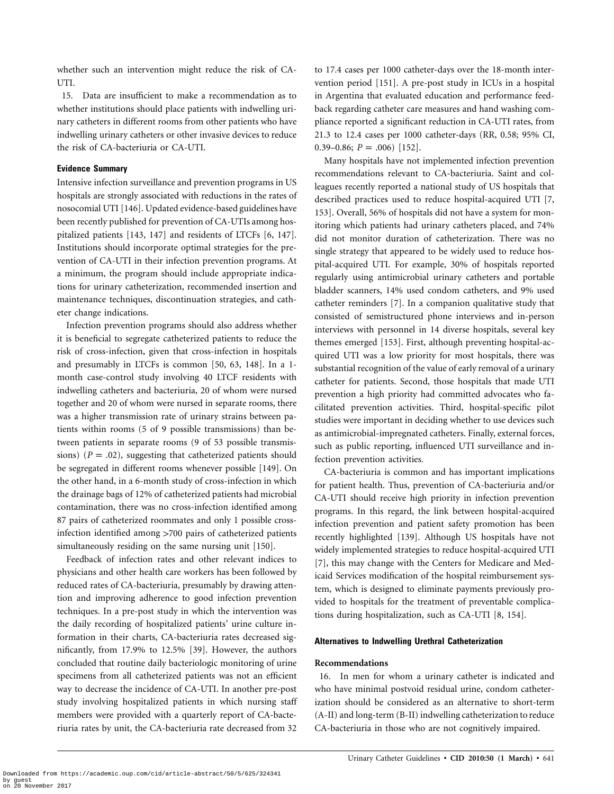whether such an intervention might reduce the risk of CA-UTI.

15. Data are insufficient to make a recommendation as to whether institutions should place patients with indwelling urinary catheters in different rooms from other patients who have indwelling urinary catheters or other invasive devices to reduce the risk of CA-bacteriuria or CA-UTI.

#### **Evidence Summary**

Intensive infection surveillance and prevention programs in US hospitals are strongly associated with reductions in the rates of nosocomial UTI [146]. Updated evidence-based guidelines have been recently published for prevention of CA-UTIs among hospitalized patients [143, 147] and residents of LTCFs [6, 147]. Institutions should incorporate optimal strategies for the prevention of CA-UTI in their infection prevention programs. At a minimum, the program should include appropriate indications for urinary catheterization, recommended insertion and maintenance techniques, discontinuation strategies, and catheter change indications.

Infection prevention programs should also address whether it is beneficial to segregate catheterized patients to reduce the risk of cross-infection, given that cross-infection in hospitals and presumably in LTCFs is common [50, 63, 148]. In a 1 month case-control study involving 40 LTCF residents with indwelling catheters and bacteriuria, 20 of whom were nursed together and 20 of whom were nursed in separate rooms, there was a higher transmission rate of urinary strains between patients within rooms (5 of 9 possible transmissions) than between patients in separate rooms (9 of 53 possible transmissions)  $(P = .02)$ , suggesting that catheterized patients should be segregated in different rooms whenever possible [149]. On the other hand, in a 6-month study of cross-infection in which the drainage bags of 12% of catheterized patients had microbial contamination, there was no cross-infection identified among 87 pairs of catheterized roommates and only 1 possible crossinfection identified among >700 pairs of catheterized patients simultaneously residing on the same nursing unit [150].

Feedback of infection rates and other relevant indices to physicians and other health care workers has been followed by reduced rates of CA-bacteriuria, presumably by drawing attention and improving adherence to good infection prevention techniques. In a pre-post study in which the intervention was the daily recording of hospitalized patients' urine culture information in their charts, CA-bacteriuria rates decreased significantly, from 17.9% to 12.5% [39]. However, the authors concluded that routine daily bacteriologic monitoring of urine specimens from all catheterized patients was not an efficient way to decrease the incidence of CA-UTI. In another pre-post study involving hospitalized patients in which nursing staff members were provided with a quarterly report of CA-bacteriuria rates by unit, the CA-bacteriuria rate decreased from 32

to 17.4 cases per 1000 catheter-days over the 18-month intervention period [151]. A pre-post study in ICUs in a hospital in Argentina that evaluated education and performance feedback regarding catheter care measures and hand washing compliance reported a significant reduction in CA-UTI rates, from 21.3 to 12.4 cases per 1000 catheter-days (RR, 0.58; 95% CI,  $0.39-0.86$ ;  $P = .006$  [152].

Many hospitals have not implemented infection prevention recommendations relevant to CA-bacteriuria. Saint and colleagues recently reported a national study of US hospitals that described practices used to reduce hospital-acquired UTI [7, 153]. Overall, 56% of hospitals did not have a system for monitoring which patients had urinary catheters placed, and 74% did not monitor duration of catheterization. There was no single strategy that appeared to be widely used to reduce hospital-acquired UTI. For example, 30% of hospitals reported regularly using antimicrobial urinary catheters and portable bladder scanners, 14% used condom catheters, and 9% used catheter reminders [7]. In a companion qualitative study that consisted of semistructured phone interviews and in-person interviews with personnel in 14 diverse hospitals, several key themes emerged [153]. First, although preventing hospital-acquired UTI was a low priority for most hospitals, there was substantial recognition of the value of early removal of a urinary catheter for patients. Second, those hospitals that made UTI prevention a high priority had committed advocates who facilitated prevention activities. Third, hospital-specific pilot studies were important in deciding whether to use devices such as antimicrobial-impregnated catheters. Finally, external forces, such as public reporting, influenced UTI surveillance and infection prevention activities.

CA-bacteriuria is common and has important implications for patient health. Thus, prevention of CA-bacteriuria and/or CA-UTI should receive high priority in infection prevention programs. In this regard, the link between hospital-acquired infection prevention and patient safety promotion has been recently highlighted [139]. Although US hospitals have not widely implemented strategies to reduce hospital-acquired UTI [7], this may change with the Centers for Medicare and Medicaid Services modification of the hospital reimbursement system, which is designed to eliminate payments previously provided to hospitals for the treatment of preventable complications during hospitalization, such as CA-UTI [8, 154].

#### **Alternatives to Indwelling Urethral Catheterization**

#### **Recommendations**

16. In men for whom a urinary catheter is indicated and who have minimal postvoid residual urine, condom catheterization should be considered as an alternative to short-term (A-II) and long-term (B-II) indwelling catheterization to reduce CA-bacteriuria in those who are not cognitively impaired.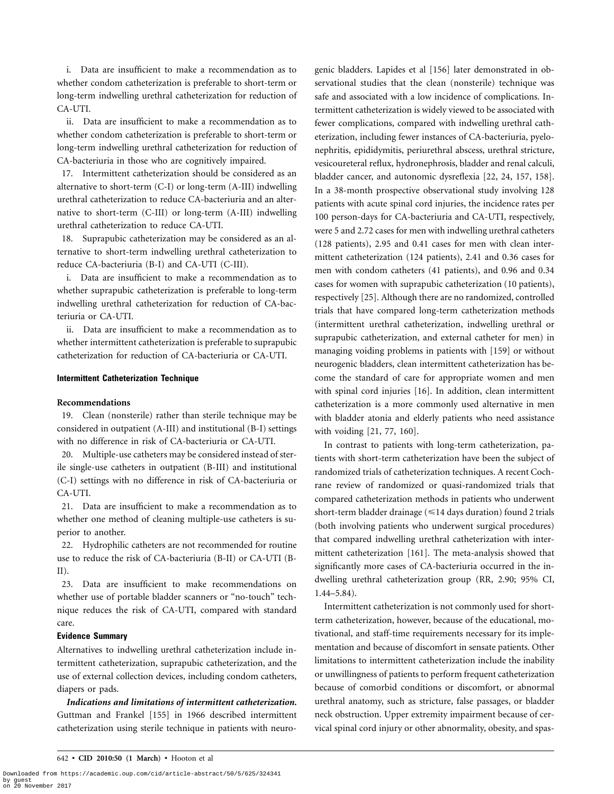i. Data are insufficient to make a recommendation as to whether condom catheterization is preferable to short-term or long-term indwelling urethral catheterization for reduction of CA-UTI.

ii. Data are insufficient to make a recommendation as to whether condom catheterization is preferable to short-term or long-term indwelling urethral catheterization for reduction of CA-bacteriuria in those who are cognitively impaired.

17. Intermittent catheterization should be considered as an alternative to short-term (C-I) or long-term (A-III) indwelling urethral catheterization to reduce CA-bacteriuria and an alternative to short-term (C-III) or long-term (A-III) indwelling urethral catheterization to reduce CA-UTI.

18. Suprapubic catheterization may be considered as an alternative to short-term indwelling urethral catheterization to reduce CA-bacteriuria (B-I) and CA-UTI (C-III).

i. Data are insufficient to make a recommendation as to whether suprapubic catheterization is preferable to long-term indwelling urethral catheterization for reduction of CA-bacteriuria or CA-UTI.

ii. Data are insufficient to make a recommendation as to whether intermittent catheterization is preferable to suprapubic catheterization for reduction of CA-bacteriuria or CA-UTI.

#### **Intermittent Catheterization Technique**

#### **Recommendations**

19. Clean (nonsterile) rather than sterile technique may be considered in outpatient (A-III) and institutional (B-I) settings with no difference in risk of CA-bacteriuria or CA-UTI.

20. Multiple-use catheters may be considered instead of sterile single-use catheters in outpatient (B-III) and institutional (C-I) settings with no difference in risk of CA-bacteriuria or CA-UTI.

21. Data are insufficient to make a recommendation as to whether one method of cleaning multiple-use catheters is superior to another.

22. Hydrophilic catheters are not recommended for routine use to reduce the risk of CA-bacteriuria (B-II) or CA-UTI (B-II).

23. Data are insufficient to make recommendations on whether use of portable bladder scanners or "no-touch" technique reduces the risk of CA-UTI, compared with standard care.

# **Evidence Summary**

Alternatives to indwelling urethral catheterization include intermittent catheterization, suprapubic catheterization, and the use of external collection devices, including condom catheters, diapers or pads.

*Indications and limitations of intermittent catheterization.* Guttman and Frankel [155] in 1966 described intermittent catheterization using sterile technique in patients with neurogenic bladders. Lapides et al [156] later demonstrated in observational studies that the clean (nonsterile) technique was safe and associated with a low incidence of complications. Intermittent catheterization is widely viewed to be associated with fewer complications, compared with indwelling urethral catheterization, including fewer instances of CA-bacteriuria, pyelonephritis, epididymitis, periurethral abscess, urethral stricture, vesicoureteral reflux, hydronephrosis, bladder and renal calculi, bladder cancer, and autonomic dysreflexia [22, 24, 157, 158]. In a 38-month prospective observational study involving 128 patients with acute spinal cord injuries, the incidence rates per 100 person-days for CA-bacteriuria and CA-UTI, respectively, were 5 and 2.72 cases for men with indwelling urethral catheters (128 patients), 2.95 and 0.41 cases for men with clean intermittent catheterization (124 patients), 2.41 and 0.36 cases for men with condom catheters (41 patients), and 0.96 and 0.34 cases for women with suprapubic catheterization (10 patients), respectively [25]. Although there are no randomized, controlled trials that have compared long-term catheterization methods (intermittent urethral catheterization, indwelling urethral or suprapubic catheterization, and external catheter for men) in managing voiding problems in patients with [159] or without neurogenic bladders, clean intermittent catheterization has become the standard of care for appropriate women and men with spinal cord injuries [16]. In addition, clean intermittent catheterization is a more commonly used alternative in men with bladder atonia and elderly patients who need assistance with voiding [21, 77, 160].

In contrast to patients with long-term catheterization, patients with short-term catheterization have been the subject of randomized trials of catheterization techniques. A recent Cochrane review of randomized or quasi-randomized trials that compared catheterization methods in patients who underwent short-term bladder drainage  $(\leq 14$  days duration) found 2 trials (both involving patients who underwent surgical procedures) that compared indwelling urethral catheterization with intermittent catheterization [161]. The meta-analysis showed that significantly more cases of CA-bacteriuria occurred in the indwelling urethral catheterization group (RR, 2.90; 95% CI, 1.44–5.84).

Intermittent catheterization is not commonly used for shortterm catheterization, however, because of the educational, motivational, and staff-time requirements necessary for its implementation and because of discomfort in sensate patients. Other limitations to intermittent catheterization include the inability or unwillingness of patients to perform frequent catheterization because of comorbid conditions or discomfort, or abnormal urethral anatomy, such as stricture, false passages, or bladder neck obstruction. Upper extremity impairment because of cervical spinal cord injury or other abnormality, obesity, and spas-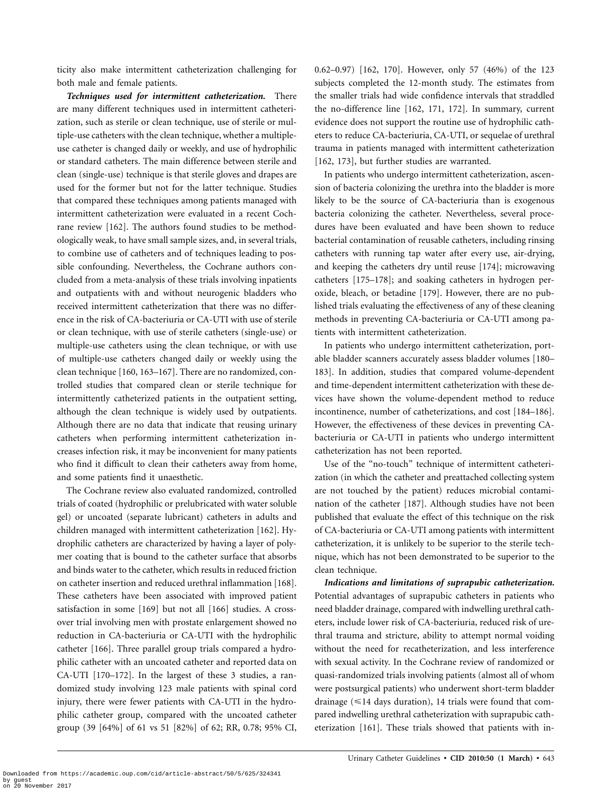ticity also make intermittent catheterization challenging for both male and female patients.

*Techniques used for intermittent catheterization.* There are many different techniques used in intermittent catheterization, such as sterile or clean technique, use of sterile or multiple-use catheters with the clean technique, whether a multipleuse catheter is changed daily or weekly, and use of hydrophilic or standard catheters. The main difference between sterile and clean (single-use) technique is that sterile gloves and drapes are used for the former but not for the latter technique. Studies that compared these techniques among patients managed with intermittent catheterization were evaluated in a recent Cochrane review [162]. The authors found studies to be methodologically weak, to have small sample sizes, and, in several trials, to combine use of catheters and of techniques leading to possible confounding. Nevertheless, the Cochrane authors concluded from a meta-analysis of these trials involving inpatients and outpatients with and without neurogenic bladders who received intermittent catheterization that there was no difference in the risk of CA-bacteriuria or CA-UTI with use of sterile or clean technique, with use of sterile catheters (single-use) or multiple-use catheters using the clean technique, or with use of multiple-use catheters changed daily or weekly using the clean technique [160, 163–167]. There are no randomized, controlled studies that compared clean or sterile technique for intermittently catheterized patients in the outpatient setting, although the clean technique is widely used by outpatients. Although there are no data that indicate that reusing urinary catheters when performing intermittent catheterization increases infection risk, it may be inconvenient for many patients who find it difficult to clean their catheters away from home, and some patients find it unaesthetic.

The Cochrane review also evaluated randomized, controlled trials of coated (hydrophilic or prelubricated with water soluble gel) or uncoated (separate lubricant) catheters in adults and children managed with intermittent catheterization [162]. Hydrophilic catheters are characterized by having a layer of polymer coating that is bound to the catheter surface that absorbs and binds water to the catheter, which results in reduced friction on catheter insertion and reduced urethral inflammation [168]. These catheters have been associated with improved patient satisfaction in some [169] but not all [166] studies. A crossover trial involving men with prostate enlargement showed no reduction in CA-bacteriuria or CA-UTI with the hydrophilic catheter [166]. Three parallel group trials compared a hydrophilic catheter with an uncoated catheter and reported data on CA-UTI [170–172]. In the largest of these 3 studies, a randomized study involving 123 male patients with spinal cord injury, there were fewer patients with CA-UTI in the hydrophilic catheter group, compared with the uncoated catheter group (39 [64%] of 61 vs 51 [82%] of 62; RR, 0.78; 95% CI,

0.62–0.97) [162, 170]. However, only 57 (46%) of the 123 subjects completed the 12-month study. The estimates from the smaller trials had wide confidence intervals that straddled the no-difference line [162, 171, 172]. In summary, current evidence does not support the routine use of hydrophilic catheters to reduce CA-bacteriuria, CA-UTI, or sequelae of urethral trauma in patients managed with intermittent catheterization [162, 173], but further studies are warranted.

In patients who undergo intermittent catheterization, ascension of bacteria colonizing the urethra into the bladder is more likely to be the source of CA-bacteriuria than is exogenous bacteria colonizing the catheter. Nevertheless, several procedures have been evaluated and have been shown to reduce bacterial contamination of reusable catheters, including rinsing catheters with running tap water after every use, air-drying, and keeping the catheters dry until reuse [174]; microwaving catheters [175–178]; and soaking catheters in hydrogen peroxide, bleach, or betadine [179]. However, there are no published trials evaluating the effectiveness of any of these cleaning methods in preventing CA-bacteriuria or CA-UTI among patients with intermittent catheterization.

In patients who undergo intermittent catheterization, portable bladder scanners accurately assess bladder volumes [180– 183]. In addition, studies that compared volume-dependent and time-dependent intermittent catheterization with these devices have shown the volume-dependent method to reduce incontinence, number of catheterizations, and cost [184–186]. However, the effectiveness of these devices in preventing CAbacteriuria or CA-UTI in patients who undergo intermittent catheterization has not been reported.

Use of the "no-touch" technique of intermittent catheterization (in which the catheter and preattached collecting system are not touched by the patient) reduces microbial contamination of the catheter [187]. Although studies have not been published that evaluate the effect of this technique on the risk of CA-bacteriuria or CA-UTI among patients with intermittent catheterization, it is unlikely to be superior to the sterile technique, which has not been demonstrated to be superior to the clean technique.

*Indications and limitations of suprapubic catheterization.* Potential advantages of suprapubic catheters in patients who need bladder drainage, compared with indwelling urethral catheters, include lower risk of CA-bacteriuria, reduced risk of urethral trauma and stricture, ability to attempt normal voiding without the need for recatheterization, and less interference with sexual activity. In the Cochrane review of randomized or quasi-randomized trials involving patients (almost all of whom were postsurgical patients) who underwent short-term bladder drainage  $(\leq 14$  days duration), 14 trials were found that compared indwelling urethral catheterization with suprapubic catheterization [161]. These trials showed that patients with in-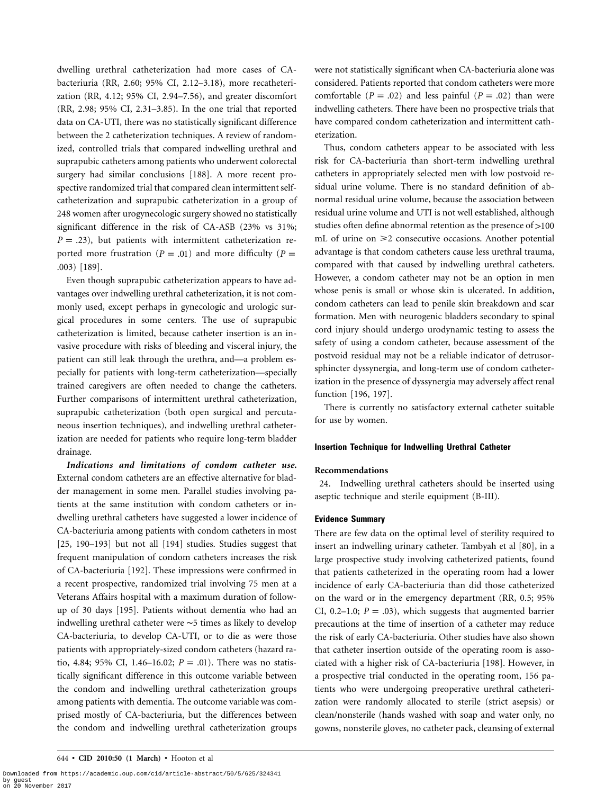dwelling urethral catheterization had more cases of CAbacteriuria (RR, 2.60; 95% CI, 2.12–3.18), more recatheterization (RR, 4.12; 95% CI, 2.94–7.56), and greater discomfort (RR, 2.98; 95% CI, 2.31–3.85). In the one trial that reported data on CA-UTI, there was no statistically significant difference between the 2 catheterization techniques. A review of randomized, controlled trials that compared indwelling urethral and suprapubic catheters among patients who underwent colorectal surgery had similar conclusions [188]. A more recent prospective randomized trial that compared clean intermittent selfcatheterization and suprapubic catheterization in a group of 248 women after urogynecologic surgery showed no statistically significant difference in the risk of CA-ASB (23% vs 31%;  $P = .23$ ), but patients with intermittent catheterization reported more frustration ( $P = .01$ ) and more difficulty ( $P =$ .003) [189].

Even though suprapubic catheterization appears to have advantages over indwelling urethral catheterization, it is not commonly used, except perhaps in gynecologic and urologic surgical procedures in some centers. The use of suprapubic catheterization is limited, because catheter insertion is an invasive procedure with risks of bleeding and visceral injury, the patient can still leak through the urethra, and—a problem especially for patients with long-term catheterization—specially trained caregivers are often needed to change the catheters. Further comparisons of intermittent urethral catheterization, suprapubic catheterization (both open surgical and percutaneous insertion techniques), and indwelling urethral catheterization are needed for patients who require long-term bladder drainage.

*Indications and limitations of condom catheter use.* External condom catheters are an effective alternative for bladder management in some men. Parallel studies involving patients at the same institution with condom catheters or indwelling urethral catheters have suggested a lower incidence of CA-bacteriuria among patients with condom catheters in most [25, 190–193] but not all [194] studies. Studies suggest that frequent manipulation of condom catheters increases the risk of CA-bacteriuria [192]. These impressions were confirmed in a recent prospective, randomized trial involving 75 men at a Veterans Affairs hospital with a maximum duration of followup of 30 days [195]. Patients without dementia who had an indwelling urethral catheter were ∼5 times as likely to develop CA-bacteriuria, to develop CA-UTI, or to die as were those patients with appropriately-sized condom catheters (hazard ratio, 4.84; 95% CI, 1.46–16.02;  $P = .01$ ). There was no statistically significant difference in this outcome variable between the condom and indwelling urethral catheterization groups among patients with dementia. The outcome variable was comprised mostly of CA-bacteriuria, but the differences between the condom and indwelling urethral catheterization groups

were not statistically significant when CA-bacteriuria alone was considered. Patients reported that condom catheters were more comfortable  $(P = .02)$  and less painful  $(P = .02)$  than were indwelling catheters. There have been no prospective trials that have compared condom catheterization and intermittent catheterization.

Thus, condom catheters appear to be associated with less risk for CA-bacteriuria than short-term indwelling urethral catheters in appropriately selected men with low postvoid residual urine volume. There is no standard definition of abnormal residual urine volume, because the association between residual urine volume and UTI is not well established, although studies often define abnormal retention as the presence of >100 mL of urine on  $\geq 2$  consecutive occasions. Another potential advantage is that condom catheters cause less urethral trauma, compared with that caused by indwelling urethral catheters. However, a condom catheter may not be an option in men whose penis is small or whose skin is ulcerated. In addition, condom catheters can lead to penile skin breakdown and scar formation. Men with neurogenic bladders secondary to spinal cord injury should undergo urodynamic testing to assess the safety of using a condom catheter, because assessment of the postvoid residual may not be a reliable indicator of detrusorsphincter dyssynergia, and long-term use of condom catheterization in the presence of dyssynergia may adversely affect renal function [196, 197].

There is currently no satisfactory external catheter suitable for use by women.

#### **Insertion Technique for Indwelling Urethral Catheter**

#### **Recommendations**

24. Indwelling urethral catheters should be inserted using aseptic technique and sterile equipment (B-III).

# **Evidence Summary**

There are few data on the optimal level of sterility required to insert an indwelling urinary catheter. Tambyah et al [80], in a large prospective study involving catheterized patients, found that patients catheterized in the operating room had a lower incidence of early CA-bacteriuria than did those catheterized on the ward or in the emergency department (RR, 0.5; 95% CI, 0.2–1.0;  $P = .03$ ), which suggests that augmented barrier precautions at the time of insertion of a catheter may reduce the risk of early CA-bacteriuria. Other studies have also shown that catheter insertion outside of the operating room is associated with a higher risk of CA-bacteriuria [198]. However, in a prospective trial conducted in the operating room, 156 patients who were undergoing preoperative urethral catheterization were randomly allocated to sterile (strict asepsis) or clean/nonsterile (hands washed with soap and water only, no gowns, nonsterile gloves, no catheter pack, cleansing of external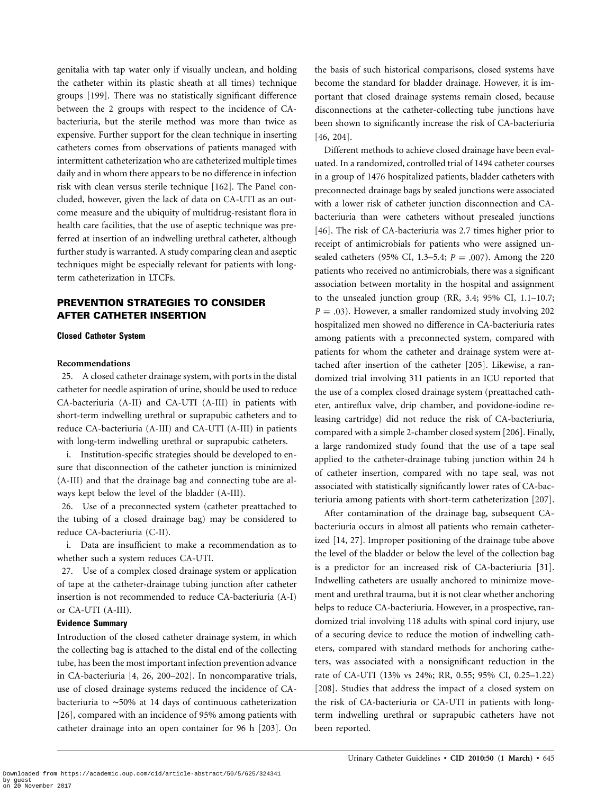genitalia with tap water only if visually unclean, and holding the catheter within its plastic sheath at all times) technique groups [199]. There was no statistically significant difference between the 2 groups with respect to the incidence of CAbacteriuria, but the sterile method was more than twice as expensive. Further support for the clean technique in inserting catheters comes from observations of patients managed with intermittent catheterization who are catheterized multiple times daily and in whom there appears to be no difference in infection risk with clean versus sterile technique [162]. The Panel concluded, however, given the lack of data on CA-UTI as an outcome measure and the ubiquity of multidrug-resistant flora in health care facilities, that the use of aseptic technique was preferred at insertion of an indwelling urethral catheter, although further study is warranted. A study comparing clean and aseptic techniques might be especially relevant for patients with longterm catheterization in LTCFs.

# **PREVENTION STRATEGIES TO CONSIDER AFTER CATHETER INSERTION**

#### **Closed Catheter System**

#### **Recommendations**

25. A closed catheter drainage system, with ports in the distal catheter for needle aspiration of urine, should be used to reduce CA-bacteriuria (A-II) and CA-UTI (A-III) in patients with short-term indwelling urethral or suprapubic catheters and to reduce CA-bacteriuria (A-III) and CA-UTI (A-III) in patients with long-term indwelling urethral or suprapubic catheters.

i. Institution-specific strategies should be developed to ensure that disconnection of the catheter junction is minimized (A-III) and that the drainage bag and connecting tube are always kept below the level of the bladder (A-III).

26. Use of a preconnected system (catheter preattached to the tubing of a closed drainage bag) may be considered to reduce CA-bacteriuria (C-II).

i. Data are insufficient to make a recommendation as to whether such a system reduces CA-UTI.

27. Use of a complex closed drainage system or application of tape at the catheter-drainage tubing junction after catheter insertion is not recommended to reduce CA-bacteriuria (A-I) or CA-UTI (A-III).

#### **Evidence Summary**

Introduction of the closed catheter drainage system, in which the collecting bag is attached to the distal end of the collecting tube, has been the most important infection prevention advance in CA-bacteriuria [4, 26, 200–202]. In noncomparative trials, use of closed drainage systems reduced the incidence of CAbacteriuria to ∼50% at 14 days of continuous catheterization [26], compared with an incidence of 95% among patients with catheter drainage into an open container for 96 h [203]. On the basis of such historical comparisons, closed systems have become the standard for bladder drainage. However, it is important that closed drainage systems remain closed, because disconnections at the catheter-collecting tube junctions have been shown to significantly increase the risk of CA-bacteriuria [46, 204].

Different methods to achieve closed drainage have been evaluated. In a randomized, controlled trial of 1494 catheter courses in a group of 1476 hospitalized patients, bladder catheters with preconnected drainage bags by sealed junctions were associated with a lower risk of catheter junction disconnection and CAbacteriuria than were catheters without presealed junctions [46]. The risk of CA-bacteriuria was 2.7 times higher prior to receipt of antimicrobials for patients who were assigned unsealed catheters (95% CI, 1.3–5.4;  $P = .007$ ). Among the 220 patients who received no antimicrobials, there was a significant association between mortality in the hospital and assignment to the unsealed junction group (RR, 3.4; 95% CI, 1.1–10.7;  $P = .03$ ). However, a smaller randomized study involving 202 hospitalized men showed no difference in CA-bacteriuria rates among patients with a preconnected system, compared with patients for whom the catheter and drainage system were attached after insertion of the catheter [205]. Likewise, a randomized trial involving 311 patients in an ICU reported that the use of a complex closed drainage system (preattached catheter, antireflux valve, drip chamber, and povidone-iodine releasing cartridge) did not reduce the risk of CA-bacteriuria, compared with a simple 2-chamber closed system [206]. Finally, a large randomized study found that the use of a tape seal applied to the catheter-drainage tubing junction within 24 h of catheter insertion, compared with no tape seal, was not associated with statistically significantly lower rates of CA-bacteriuria among patients with short-term catheterization [207].

After contamination of the drainage bag, subsequent CAbacteriuria occurs in almost all patients who remain catheterized [14, 27]. Improper positioning of the drainage tube above the level of the bladder or below the level of the collection bag is a predictor for an increased risk of CA-bacteriuria [31]. Indwelling catheters are usually anchored to minimize movement and urethral trauma, but it is not clear whether anchoring helps to reduce CA-bacteriuria. However, in a prospective, randomized trial involving 118 adults with spinal cord injury, use of a securing device to reduce the motion of indwelling catheters, compared with standard methods for anchoring catheters, was associated with a nonsignificant reduction in the rate of CA-UTI (13% vs 24%; RR, 0.55; 95% CI, 0.25–1.22) [208]. Studies that address the impact of a closed system on the risk of CA-bacteriuria or CA-UTI in patients with longterm indwelling urethral or suprapubic catheters have not been reported.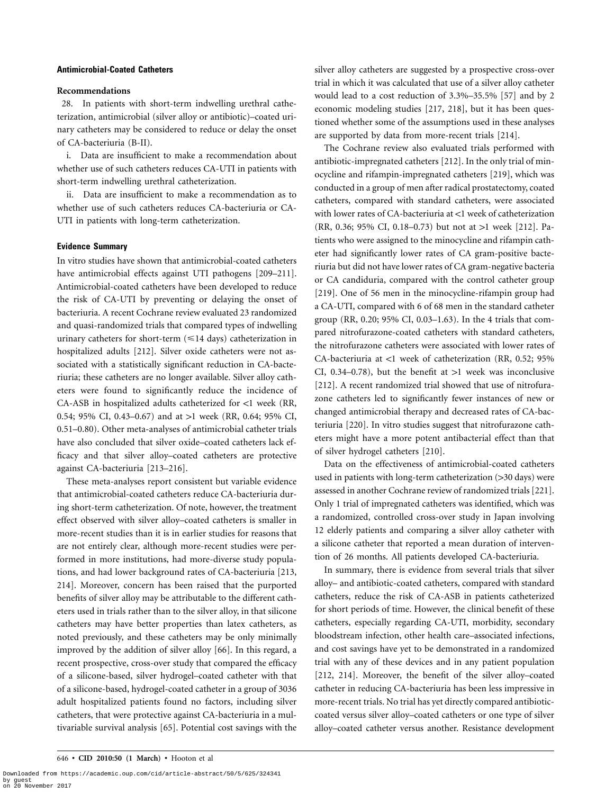#### **Antimicrobial-Coated Catheters**

#### **Recommendations**

28. In patients with short-term indwelling urethral catheterization, antimicrobial (silver alloy or antibiotic)–coated urinary catheters may be considered to reduce or delay the onset of CA-bacteriuria (B-II).

i. Data are insufficient to make a recommendation about whether use of such catheters reduces CA-UTI in patients with short-term indwelling urethral catheterization.

ii. Data are insufficient to make a recommendation as to whether use of such catheters reduces CA-bacteriuria or CA-UTI in patients with long-term catheterization.

#### **Evidence Summary**

In vitro studies have shown that antimicrobial-coated catheters have antimicrobial effects against UTI pathogens [209–211]. Antimicrobial-coated catheters have been developed to reduce the risk of CA-UTI by preventing or delaying the onset of bacteriuria. A recent Cochrane review evaluated 23 randomized and quasi-randomized trials that compared types of indwelling urinary catheters for short-term (<14 days) catheterization in hospitalized adults [212]. Silver oxide catheters were not associated with a statistically significant reduction in CA-bacteriuria; these catheters are no longer available. Silver alloy catheters were found to significantly reduce the incidence of  $CA-ASB$  in hospitalized adults catheterized for  $\lt 1$  week (RR, 0.54; 95% CI, 0.43-0.67) and at >1 week (RR, 0.64; 95% CI, 0.51–0.80). Other meta-analyses of antimicrobial catheter trials have also concluded that silver oxide–coated catheters lack efficacy and that silver alloy–coated catheters are protective against CA-bacteriuria [213–216].

These meta-analyses report consistent but variable evidence that antimicrobial-coated catheters reduce CA-bacteriuria during short-term catheterization. Of note, however, the treatment effect observed with silver alloy–coated catheters is smaller in more-recent studies than it is in earlier studies for reasons that are not entirely clear, although more-recent studies were performed in more institutions, had more-diverse study populations, and had lower background rates of CA-bacteriuria [213, 214]. Moreover, concern has been raised that the purported benefits of silver alloy may be attributable to the different catheters used in trials rather than to the silver alloy, in that silicone catheters may have better properties than latex catheters, as noted previously, and these catheters may be only minimally improved by the addition of silver alloy [66]. In this regard, a recent prospective, cross-over study that compared the efficacy of a silicone-based, silver hydrogel–coated catheter with that of a silicone-based, hydrogel-coated catheter in a group of 3036 adult hospitalized patients found no factors, including silver catheters, that were protective against CA-bacteriuria in a multivariable survival analysis [65]. Potential cost savings with the

silver alloy catheters are suggested by a prospective cross-over trial in which it was calculated that use of a silver alloy catheter would lead to a cost reduction of 3.3%–35.5% [57] and by 2 economic modeling studies [217, 218], but it has been questioned whether some of the assumptions used in these analyses are supported by data from more-recent trials [214].

The Cochrane review also evaluated trials performed with antibiotic-impregnated catheters [212]. In the only trial of minocycline and rifampin-impregnated catheters [219], which was conducted in a group of men after radical prostatectomy, coated catheters, compared with standard catheters, were associated with lower rates of CA-bacteriuria at  $<$ 1 week of catheterization (RR, 0.36; 95% CI, 0.18-0.73) but not at >1 week [212]. Patients who were assigned to the minocycline and rifampin catheter had significantly lower rates of CA gram-positive bacteriuria but did not have lower rates of CA gram-negative bacteria or CA candiduria, compared with the control catheter group [219]. One of 56 men in the minocycline-rifampin group had a CA-UTI, compared with 6 of 68 men in the standard catheter group (RR, 0.20; 95% CI, 0.03–1.63). In the 4 trials that compared nitrofurazone-coated catheters with standard catheters, the nitrofurazone catheters were associated with lower rates of CA-bacteriuria at  $<$ 1 week of catheterization (RR, 0.52; 95%) CI, 0.34–0.78), but the benefit at  $>1$  week was inconclusive [212]. A recent randomized trial showed that use of nitrofurazone catheters led to significantly fewer instances of new or changed antimicrobial therapy and decreased rates of CA-bacteriuria [220]. In vitro studies suggest that nitrofurazone catheters might have a more potent antibacterial effect than that of silver hydrogel catheters [210].

Data on the effectiveness of antimicrobial-coated catheters used in patients with long-term catheterization  $(>30$  days) were assessed in another Cochrane review of randomized trials [221]. Only 1 trial of impregnated catheters was identified, which was a randomized, controlled cross-over study in Japan involving 12 elderly patients and comparing a silver alloy catheter with a silicone catheter that reported a mean duration of intervention of 26 months. All patients developed CA-bacteriuria.

In summary, there is evidence from several trials that silver alloy– and antibiotic-coated catheters, compared with standard catheters, reduce the risk of CA-ASB in patients catheterized for short periods of time. However, the clinical benefit of these catheters, especially regarding CA-UTI, morbidity, secondary bloodstream infection, other health care–associated infections, and cost savings have yet to be demonstrated in a randomized trial with any of these devices and in any patient population [212, 214]. Moreover, the benefit of the silver alloy–coated catheter in reducing CA-bacteriuria has been less impressive in more-recent trials. No trial has yet directly compared antibioticcoated versus silver alloy–coated catheters or one type of silver alloy–coated catheter versus another. Resistance development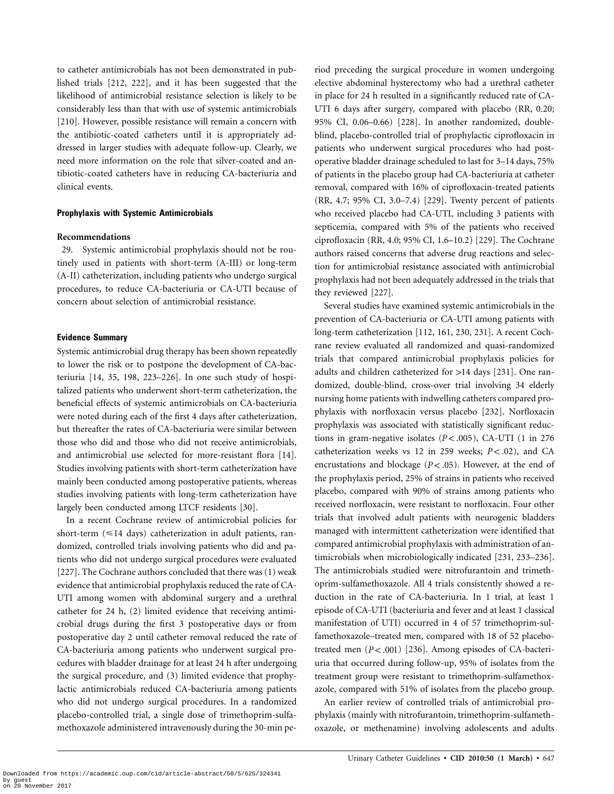to catheter antimicrobials has not been demonstrated in published trials [212, 222], and it has been suggested that the likelihood of antimicrobial resistance selection is likely to be considerably less than that with use of systemic antimicrobials [210]. However, possible resistance will remain a concern with the antibiotic-coated catheters until it is appropriately addressed in larger studies with adequate follow-up. Clearly, we need more information on the role that silver-coated and antibiotic-coated catheters have in reducing CA-bacteriuria and clinical events.

#### **Prophylaxis with Systemic Antimicrobials**

#### **Recommendations**

29. Systemic antimicrobial prophylaxis should not be routinely used in patients with short-term (A-III) or long-term (A-II) catheterization, including patients who undergo surgical procedures, to reduce CA-bacteriuria or CA-UTI because of concern about selection of antimicrobial resistance.

#### **Evidence Summary**

Systemic antimicrobial drug therapy has been shown repeatedly to lower the risk or to postpone the development of CA-bacteriuria [14, 35, 198, 223–226]. In one such study of hospitalized patients who underwent short-term catheterization, the beneficial effects of systemic antimicrobials on CA-bacteriuria were noted during each of the first 4 days after catheterization, but thereafter the rates of CA-bacteriuria were similar between those who did and those who did not receive antimicrobials, and antimicrobial use selected for more-resistant flora [14]. Studies involving patients with short-term catheterization have mainly been conducted among postoperative patients, whereas studies involving patients with long-term catheterization have largely been conducted among LTCF residents [30].

In a recent Cochrane review of antimicrobial policies for short-term (<14 days) catheterization in adult patients, randomized, controlled trials involving patients who did and patients who did not undergo surgical procedures were evaluated [227]. The Cochrane authors concluded that there was (1) weak evidence that antimicrobial prophylaxis reduced the rate of CA-UTI among women with abdominal surgery and a urethral catheter for 24 h, (2) limited evidence that receiving antimicrobial drugs during the first 3 postoperative days or from postoperative day 2 until catheter removal reduced the rate of CA-bacteriuria among patients who underwent surgical procedures with bladder drainage for at least 24 h after undergoing the surgical procedure, and (3) limited evidence that prophylactic antimicrobials reduced CA-bacteriuria among patients who did not undergo surgical procedures. In a randomized placebo-controlled trial, a single dose of trimethoprim-sulfamethoxazole administered intravenously during the 30-min period preceding the surgical procedure in women undergoing elective abdominal hysterectomy who had a urethral catheter in place for 24 h resulted in a significantly reduced rate of CA-UTI 6 days after surgery, compared with placebo (RR, 0.20; 95% CI, 0.06–0.66) [228]. In another randomized, doubleblind, placebo-controlled trial of prophylactic ciprofloxacin in patients who underwent surgical procedures who had postoperative bladder drainage scheduled to last for 3–14 days, 75% of patients in the placebo group had CA-bacteriuria at catheter removal, compared with 16% of ciprofloxacin-treated patients (RR, 4.7; 95% CI, 3.0–7.4) [229]. Twenty percent of patients who received placebo had CA-UTI, including 3 patients with septicemia, compared with 5% of the patients who received ciprofloxacin (RR, 4.0; 95% CI, 1.6–10.2) [229]. The Cochrane authors raised concerns that adverse drug reactions and selection for antimicrobial resistance associated with antimicrobial prophylaxis had not been adequately addressed in the trials that they reviewed [227].

Several studies have examined systemic antimicrobials in the prevention of CA-bacteriuria or CA-UTI among patients with long-term catheterization [112, 161, 230, 231]. A recent Cochrane review evaluated all randomized and quasi-randomized trials that compared antimicrobial prophylaxis policies for adults and children catheterized for >14 days [231]. One randomized, double-blind, cross-over trial involving 34 elderly nursing home patients with indwelling catheters compared prophylaxis with norfloxacin versus placebo [232]. Norfloxacin prophylaxis was associated with statistically significant reductions in gram-negative isolates ( $P < .005$ ), CA-UTI (1 in 276 catheterization weeks vs  $12$  in  $259$  weeks;  $P < .02$ ), and CA encrustations and blockage  $(P < .05)$ . However, at the end of the prophylaxis period, 25% of strains in patients who received placebo, compared with 90% of strains among patients who received norfloxacin, were resistant to norfloxacin. Four other trials that involved adult patients with neurogenic bladders managed with intermittent catheterization were identified that compared antimicrobial prophylaxis with administration of antimicrobials when microbiologically indicated [231, 233–236]. The antimicrobials studied were nitrofurantoin and trimethoprim-sulfamethoxazole. All 4 trials consistently showed a reduction in the rate of CA-bacteriuria. In 1 trial, at least 1 episode of CA-UTI (bacteriuria and fever and at least 1 classical manifestation of UTI) occurred in 4 of 57 trimethoprim-sulfamethoxazole–treated men, compared with 18 of 52 placebotreated men ( $P < .001$ ) [236]. Among episodes of CA-bacteriuria that occurred during follow-up, 95% of isolates from the treatment group were resistant to trimethoprim-sulfamethoxazole, compared with 51% of isolates from the placebo group.

An earlier review of controlled trials of antimicrobial prophylaxis (mainly with nitrofurantoin, trimethoprim-sulfamethoxazole, or methenamine) involving adolescents and adults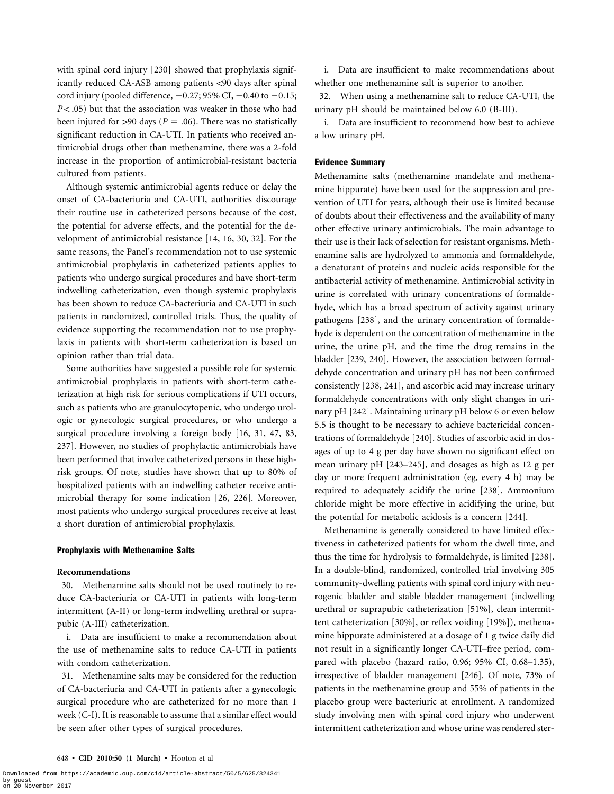with spinal cord injury [230] showed that prophylaxis significantly reduced CA-ASB among patients <90 days after spinal cord injury (pooled difference,  $-0.27$ ; 95% CI,  $-0.40$  to  $-0.15$ ;  $P$  < .05) but that the association was weaker in those who had been injured for  $>90$  days ( $P = .06$ ). There was no statistically significant reduction in CA-UTI. In patients who received antimicrobial drugs other than methenamine, there was a 2-fold increase in the proportion of antimicrobial-resistant bacteria cultured from patients.

Although systemic antimicrobial agents reduce or delay the onset of CA-bacteriuria and CA-UTI, authorities discourage their routine use in catheterized persons because of the cost, the potential for adverse effects, and the potential for the development of antimicrobial resistance [14, 16, 30, 32]. For the same reasons, the Panel's recommendation not to use systemic antimicrobial prophylaxis in catheterized patients applies to patients who undergo surgical procedures and have short-term indwelling catheterization, even though systemic prophylaxis has been shown to reduce CA-bacteriuria and CA-UTI in such patients in randomized, controlled trials. Thus, the quality of evidence supporting the recommendation not to use prophylaxis in patients with short-term catheterization is based on opinion rather than trial data.

Some authorities have suggested a possible role for systemic antimicrobial prophylaxis in patients with short-term catheterization at high risk for serious complications if UTI occurs, such as patients who are granulocytopenic, who undergo urologic or gynecologic surgical procedures, or who undergo a surgical procedure involving a foreign body [16, 31, 47, 83, 237]. However, no studies of prophylactic antimicrobials have been performed that involve catheterized persons in these highrisk groups. Of note, studies have shown that up to 80% of hospitalized patients with an indwelling catheter receive antimicrobial therapy for some indication [26, 226]. Moreover, most patients who undergo surgical procedures receive at least a short duration of antimicrobial prophylaxis.

#### **Prophylaxis with Methenamine Salts**

#### **Recommendations**

30. Methenamine salts should not be used routinely to reduce CA-bacteriuria or CA-UTI in patients with long-term intermittent (A-II) or long-term indwelling urethral or suprapubic (A-III) catheterization.

i. Data are insufficient to make a recommendation about the use of methenamine salts to reduce CA-UTI in patients with condom catheterization.

31. Methenamine salts may be considered for the reduction of CA-bacteriuria and CA-UTI in patients after a gynecologic surgical procedure who are catheterized for no more than 1 week (C-I). It is reasonable to assume that a similar effect would be seen after other types of surgical procedures.

i. Data are insufficient to make recommendations about whether one methenamine salt is superior to another.

32. When using a methenamine salt to reduce CA-UTI, the urinary pH should be maintained below 6.0 (B-III).

i. Data are insufficient to recommend how best to achieve a low urinary pH.

#### **Evidence Summary**

Methenamine salts (methenamine mandelate and methenamine hippurate) have been used for the suppression and prevention of UTI for years, although their use is limited because of doubts about their effectiveness and the availability of many other effective urinary antimicrobials. The main advantage to their use is their lack of selection for resistant organisms. Methenamine salts are hydrolyzed to ammonia and formaldehyde, a denaturant of proteins and nucleic acids responsible for the antibacterial activity of methenamine. Antimicrobial activity in urine is correlated with urinary concentrations of formaldehyde, which has a broad spectrum of activity against urinary pathogens [238], and the urinary concentration of formaldehyde is dependent on the concentration of methenamine in the urine, the urine pH, and the time the drug remains in the bladder [239, 240]. However, the association between formaldehyde concentration and urinary pH has not been confirmed consistently [238, 241], and ascorbic acid may increase urinary formaldehyde concentrations with only slight changes in urinary pH [242]. Maintaining urinary pH below 6 or even below 5.5 is thought to be necessary to achieve bactericidal concentrations of formaldehyde [240]. Studies of ascorbic acid in dosages of up to 4 g per day have shown no significant effect on mean urinary pH [243–245], and dosages as high as 12 g per day or more frequent administration (eg, every 4 h) may be required to adequately acidify the urine [238]. Ammonium chloride might be more effective in acidifying the urine, but the potential for metabolic acidosis is a concern [244].

Methenamine is generally considered to have limited effectiveness in catheterized patients for whom the dwell time, and thus the time for hydrolysis to formaldehyde, is limited [238]. In a double-blind, randomized, controlled trial involving 305 community-dwelling patients with spinal cord injury with neurogenic bladder and stable bladder management (indwelling urethral or suprapubic catheterization [51%], clean intermittent catheterization [30%], or reflex voiding [19%]), methenamine hippurate administered at a dosage of 1 g twice daily did not result in a significantly longer CA-UTI–free period, compared with placebo (hazard ratio, 0.96; 95% CI, 0.68–1.35), irrespective of bladder management [246]. Of note, 73% of patients in the methenamine group and 55% of patients in the placebo group were bacteriuric at enrollment. A randomized study involving men with spinal cord injury who underwent intermittent catheterization and whose urine was rendered ster-

Downloaded from https://academic.oup.com/cid/article-abstract/50/5/625/324341 by guest on 20 November 2017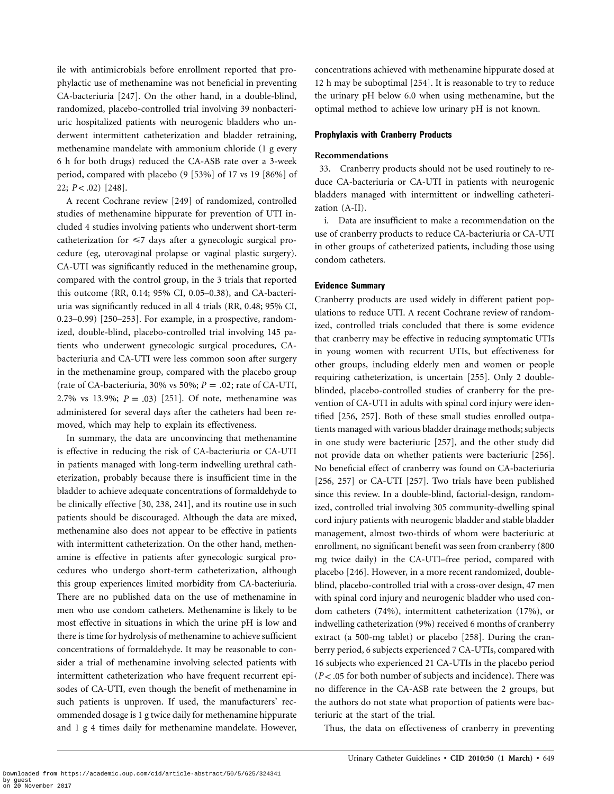ile with antimicrobials before enrollment reported that prophylactic use of methenamine was not beneficial in preventing CA-bacteriuria [247]. On the other hand, in a double-blind, randomized, placebo-controlled trial involving 39 nonbacteriuric hospitalized patients with neurogenic bladders who underwent intermittent catheterization and bladder retraining, methenamine mandelate with ammonium chloride (1 g every 6 h for both drugs) reduced the CA-ASB rate over a 3-week period, compared with placebo (9 [53%] of 17 vs 19 [86%] of 22;  $P < .02$ ) [248].

A recent Cochrane review [249] of randomized, controlled studies of methenamine hippurate for prevention of UTI included 4 studies involving patients who underwent short-term catheterization for  $\leq 7$  days after a gynecologic surgical procedure (eg, uterovaginal prolapse or vaginal plastic surgery). CA-UTI was significantly reduced in the methenamine group, compared with the control group, in the 3 trials that reported this outcome (RR, 0.14; 95% CI, 0.05–0.38), and CA-bacteriuria was significantly reduced in all 4 trials (RR, 0.48; 95% CI, 0.23–0.99) [250–253]. For example, in a prospective, randomized, double-blind, placebo-controlled trial involving 145 patients who underwent gynecologic surgical procedures, CAbacteriuria and CA-UTI were less common soon after surgery in the methenamine group, compared with the placebo group (rate of CA-bacteriuria, 30% vs 50%;  $P = .02$ ; rate of CA-UTI, 2.7% vs 13.9%;  $P = .03$  [251]. Of note, methenamine was administered for several days after the catheters had been removed, which may help to explain its effectiveness.

In summary, the data are unconvincing that methenamine is effective in reducing the risk of CA-bacteriuria or CA-UTI in patients managed with long-term indwelling urethral catheterization, probably because there is insufficient time in the bladder to achieve adequate concentrations of formaldehyde to be clinically effective [30, 238, 241], and its routine use in such patients should be discouraged. Although the data are mixed, methenamine also does not appear to be effective in patients with intermittent catheterization. On the other hand, methenamine is effective in patients after gynecologic surgical procedures who undergo short-term catheterization, although this group experiences limited morbidity from CA-bacteriuria. There are no published data on the use of methenamine in men who use condom catheters. Methenamine is likely to be most effective in situations in which the urine pH is low and there is time for hydrolysis of methenamine to achieve sufficient concentrations of formaldehyde. It may be reasonable to consider a trial of methenamine involving selected patients with intermittent catheterization who have frequent recurrent episodes of CA-UTI, even though the benefit of methenamine in such patients is unproven. If used, the manufacturers' recommended dosage is 1 g twice daily for methenamine hippurate and 1 g 4 times daily for methenamine mandelate. However,

concentrations achieved with methenamine hippurate dosed at 12 h may be suboptimal [254]. It is reasonable to try to reduce the urinary pH below 6.0 when using methenamine, but the optimal method to achieve low urinary pH is not known.

### **Prophylaxis with Cranberry Products**

#### **Recommendations**

33. Cranberry products should not be used routinely to reduce CA-bacteriuria or CA-UTI in patients with neurogenic bladders managed with intermittent or indwelling catheterization (A-II).

i. Data are insufficient to make a recommendation on the use of cranberry products to reduce CA-bacteriuria or CA-UTI in other groups of catheterized patients, including those using condom catheters.

## **Evidence Summary**

Cranberry products are used widely in different patient populations to reduce UTI. A recent Cochrane review of randomized, controlled trials concluded that there is some evidence that cranberry may be effective in reducing symptomatic UTIs in young women with recurrent UTIs, but effectiveness for other groups, including elderly men and women or people requiring catheterization, is uncertain [255]. Only 2 doubleblinded, placebo-controlled studies of cranberry for the prevention of CA-UTI in adults with spinal cord injury were identified [256, 257]. Both of these small studies enrolled outpatients managed with various bladder drainage methods; subjects in one study were bacteriuric [257], and the other study did not provide data on whether patients were bacteriuric [256]. No beneficial effect of cranberry was found on CA-bacteriuria [256, 257] or CA-UTI [257]. Two trials have been published since this review. In a double-blind, factorial-design, randomized, controlled trial involving 305 community-dwelling spinal cord injury patients with neurogenic bladder and stable bladder management, almost two-thirds of whom were bacteriuric at enrollment, no significant benefit was seen from cranberry (800 mg twice daily) in the CA-UTI–free period, compared with placebo [246]. However, in a more recent randomized, doubleblind, placebo-controlled trial with a cross-over design, 47 men with spinal cord injury and neurogenic bladder who used condom catheters (74%), intermittent catheterization (17%), or indwelling catheterization (9%) received 6 months of cranberry extract (a 500-mg tablet) or placebo [258]. During the cranberry period, 6 subjects experienced 7 CA-UTIs, compared with 16 subjects who experienced 21 CA-UTIs in the placebo period ( $P$ <.05 for both number of subjects and incidence). There was no difference in the CA-ASB rate between the 2 groups, but the authors do not state what proportion of patients were bacteriuric at the start of the trial.

Thus, the data on effectiveness of cranberry in preventing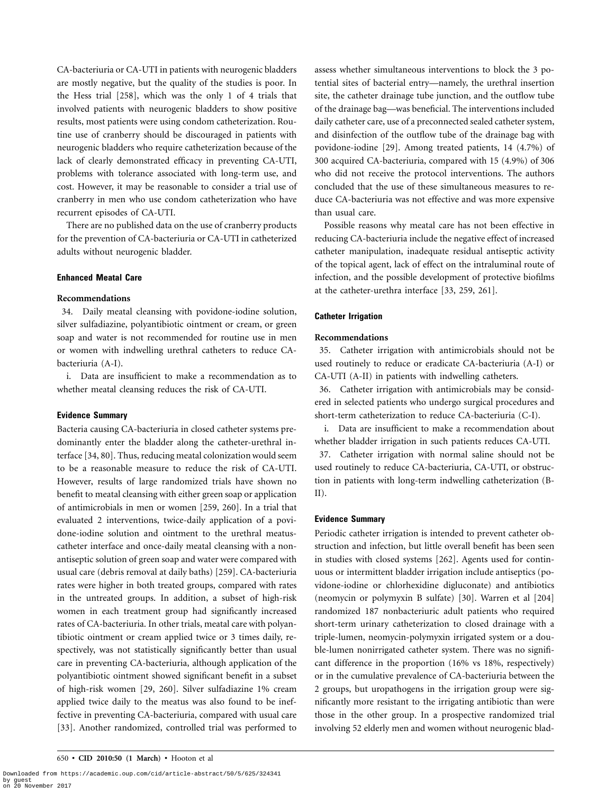CA-bacteriuria or CA-UTI in patients with neurogenic bladders are mostly negative, but the quality of the studies is poor. In the Hess trial [258], which was the only 1 of 4 trials that involved patients with neurogenic bladders to show positive results, most patients were using condom catheterization. Routine use of cranberry should be discouraged in patients with neurogenic bladders who require catheterization because of the lack of clearly demonstrated efficacy in preventing CA-UTI, problems with tolerance associated with long-term use, and cost. However, it may be reasonable to consider a trial use of cranberry in men who use condom catheterization who have recurrent episodes of CA-UTI.

There are no published data on the use of cranberry products for the prevention of CA-bacteriuria or CA-UTI in catheterized adults without neurogenic bladder.

#### **Enhanced Meatal Care**

#### **Recommendations**

34. Daily meatal cleansing with povidone-iodine solution, silver sulfadiazine, polyantibiotic ointment or cream, or green soap and water is not recommended for routine use in men or women with indwelling urethral catheters to reduce CAbacteriuria (A-I).

i. Data are insufficient to make a recommendation as to whether meatal cleansing reduces the risk of CA-UTI.

#### **Evidence Summary**

Bacteria causing CA-bacteriuria in closed catheter systems predominantly enter the bladder along the catheter-urethral interface [34, 80]. Thus, reducing meatal colonization would seem to be a reasonable measure to reduce the risk of CA-UTI. However, results of large randomized trials have shown no benefit to meatal cleansing with either green soap or application of antimicrobials in men or women [259, 260]. In a trial that evaluated 2 interventions, twice-daily application of a povidone-iodine solution and ointment to the urethral meatuscatheter interface and once-daily meatal cleansing with a nonantiseptic solution of green soap and water were compared with usual care (debris removal at daily baths) [259]. CA-bacteriuria rates were higher in both treated groups, compared with rates in the untreated groups. In addition, a subset of high-risk women in each treatment group had significantly increased rates of CA-bacteriuria. In other trials, meatal care with polyantibiotic ointment or cream applied twice or 3 times daily, respectively, was not statistically significantly better than usual care in preventing CA-bacteriuria, although application of the polyantibiotic ointment showed significant benefit in a subset of high-risk women [29, 260]. Silver sulfadiazine 1% cream applied twice daily to the meatus was also found to be ineffective in preventing CA-bacteriuria, compared with usual care [33]. Another randomized, controlled trial was performed to

assess whether simultaneous interventions to block the 3 potential sites of bacterial entry—namely, the urethral insertion site, the catheter drainage tube junction, and the outflow tube of the drainage bag—was beneficial. The interventions included daily catheter care, use of a preconnected sealed catheter system, and disinfection of the outflow tube of the drainage bag with povidone-iodine [29]. Among treated patients, 14 (4.7%) of 300 acquired CA-bacteriuria, compared with 15 (4.9%) of 306 who did not receive the protocol interventions. The authors concluded that the use of these simultaneous measures to reduce CA-bacteriuria was not effective and was more expensive than usual care.

Possible reasons why meatal care has not been effective in reducing CA-bacteriuria include the negative effect of increased catheter manipulation, inadequate residual antiseptic activity of the topical agent, lack of effect on the intraluminal route of infection, and the possible development of protective biofilms at the catheter-urethra interface [33, 259, 261].

#### **Catheter Irrigation**

#### **Recommendations**

35. Catheter irrigation with antimicrobials should not be used routinely to reduce or eradicate CA-bacteriuria (A-I) or CA-UTI (A-II) in patients with indwelling catheters.

36. Catheter irrigation with antimicrobials may be considered in selected patients who undergo surgical procedures and short-term catheterization to reduce CA-bacteriuria (C-I).

i. Data are insufficient to make a recommendation about whether bladder irrigation in such patients reduces CA-UTI.

37. Catheter irrigation with normal saline should not be used routinely to reduce CA-bacteriuria, CA-UTI, or obstruction in patients with long-term indwelling catheterization (B-II).

### **Evidence Summary**

Periodic catheter irrigation is intended to prevent catheter obstruction and infection, but little overall benefit has been seen in studies with closed systems [262]. Agents used for continuous or intermittent bladder irrigation include antiseptics (povidone-iodine or chlorhexidine digluconate) and antibiotics (neomycin or polymyxin B sulfate) [30]. Warren et al [204] randomized 187 nonbacteriuric adult patients who required short-term urinary catheterization to closed drainage with a triple-lumen, neomycin-polymyxin irrigated system or a double-lumen nonirrigated catheter system. There was no significant difference in the proportion (16% vs 18%, respectively) or in the cumulative prevalence of CA-bacteriuria between the 2 groups, but uropathogens in the irrigation group were significantly more resistant to the irrigating antibiotic than were those in the other group. In a prospective randomized trial involving 52 elderly men and women without neurogenic blad-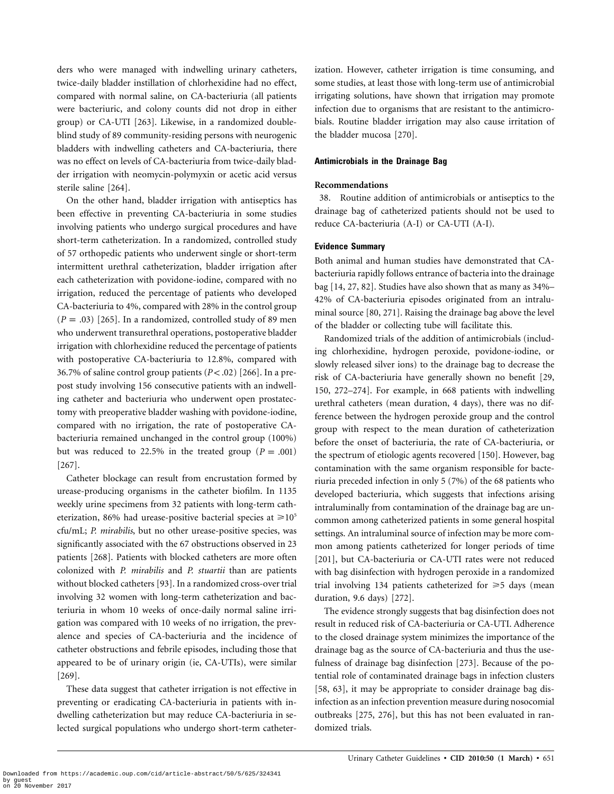ders who were managed with indwelling urinary catheters, twice-daily bladder instillation of chlorhexidine had no effect, compared with normal saline, on CA-bacteriuria (all patients were bacteriuric, and colony counts did not drop in either group) or CA-UTI [263]. Likewise, in a randomized doubleblind study of 89 community-residing persons with neurogenic bladders with indwelling catheters and CA-bacteriuria, there was no effect on levels of CA-bacteriuria from twice-daily bladder irrigation with neomycin-polymyxin or acetic acid versus sterile saline [264].

On the other hand, bladder irrigation with antiseptics has been effective in preventing CA-bacteriuria in some studies involving patients who undergo surgical procedures and have short-term catheterization. In a randomized, controlled study of 57 orthopedic patients who underwent single or short-term intermittent urethral catheterization, bladder irrigation after each catheterization with povidone-iodine, compared with no irrigation, reduced the percentage of patients who developed CA-bacteriuria to 4%, compared with 28% in the control group  $(P = .03)$  [265]. In a randomized, controlled study of 89 men who underwent transurethral operations, postoperative bladder irrigation with chlorhexidine reduced the percentage of patients with postoperative CA-bacteriuria to 12.8%, compared with 36.7% of saline control group patients  $(P < .02)$  [266]. In a prepost study involving 156 consecutive patients with an indwelling catheter and bacteriuria who underwent open prostatectomy with preoperative bladder washing with povidone-iodine, compared with no irrigation, the rate of postoperative CAbacteriuria remained unchanged in the control group (100%) but was reduced to 22.5% in the treated group ( $P = .001$ ) [267].

Catheter blockage can result from encrustation formed by urease-producing organisms in the catheter biofilm. In 1135 weekly urine specimens from 32 patients with long-term catheterization, 86% had urease-positive bacterial species at  $\geq 10^5$ cfu/mL; *P. mirabilis*, but no other urease-positive species, was significantly associated with the 67 obstructions observed in 23 patients [268]. Patients with blocked catheters are more often colonized with *P. mirabilis* and *P. stuartii* than are patients without blocked catheters [93]. In a randomized cross-over trial involving 32 women with long-term catheterization and bacteriuria in whom 10 weeks of once-daily normal saline irrigation was compared with 10 weeks of no irrigation, the prevalence and species of CA-bacteriuria and the incidence of catheter obstructions and febrile episodes, including those that appeared to be of urinary origin (ie, CA-UTIs), were similar [269].

These data suggest that catheter irrigation is not effective in preventing or eradicating CA-bacteriuria in patients with indwelling catheterization but may reduce CA-bacteriuria in selected surgical populations who undergo short-term catheterization. However, catheter irrigation is time consuming, and some studies, at least those with long-term use of antimicrobial irrigating solutions, have shown that irrigation may promote infection due to organisms that are resistant to the antimicrobials. Routine bladder irrigation may also cause irritation of the bladder mucosa [270].

# **Antimicrobials in the Drainage Bag**

# **Recommendations**

38. Routine addition of antimicrobials or antiseptics to the drainage bag of catheterized patients should not be used to reduce CA-bacteriuria (A-I) or CA-UTI (A-I).

# **Evidence Summary**

Both animal and human studies have demonstrated that CAbacteriuria rapidly follows entrance of bacteria into the drainage bag [14, 27, 82]. Studies have also shown that as many as 34%– 42% of CA-bacteriuria episodes originated from an intraluminal source [80, 271]. Raising the drainage bag above the level of the bladder or collecting tube will facilitate this.

Randomized trials of the addition of antimicrobials (including chlorhexidine, hydrogen peroxide, povidone-iodine, or slowly released silver ions) to the drainage bag to decrease the risk of CA-bacteriuria have generally shown no benefit [29, 150, 272–274]. For example, in 668 patients with indwelling urethral catheters (mean duration, 4 days), there was no difference between the hydrogen peroxide group and the control group with respect to the mean duration of catheterization before the onset of bacteriuria, the rate of CA-bacteriuria, or the spectrum of etiologic agents recovered [150]. However, bag contamination with the same organism responsible for bacteriuria preceded infection in only 5 (7%) of the 68 patients who developed bacteriuria, which suggests that infections arising intraluminally from contamination of the drainage bag are uncommon among catheterized patients in some general hospital settings. An intraluminal source of infection may be more common among patients catheterized for longer periods of time [201], but CA-bacteriuria or CA-UTI rates were not reduced with bag disinfection with hydrogen peroxide in a randomized trial involving 134 patients catheterized for  $\geq 5$  days (mean duration, 9.6 days) [272].

The evidence strongly suggests that bag disinfection does not result in reduced risk of CA-bacteriuria or CA-UTI. Adherence to the closed drainage system minimizes the importance of the drainage bag as the source of CA-bacteriuria and thus the usefulness of drainage bag disinfection [273]. Because of the potential role of contaminated drainage bags in infection clusters [58, 63], it may be appropriate to consider drainage bag disinfection as an infection prevention measure during nosocomial outbreaks [275, 276], but this has not been evaluated in randomized trials.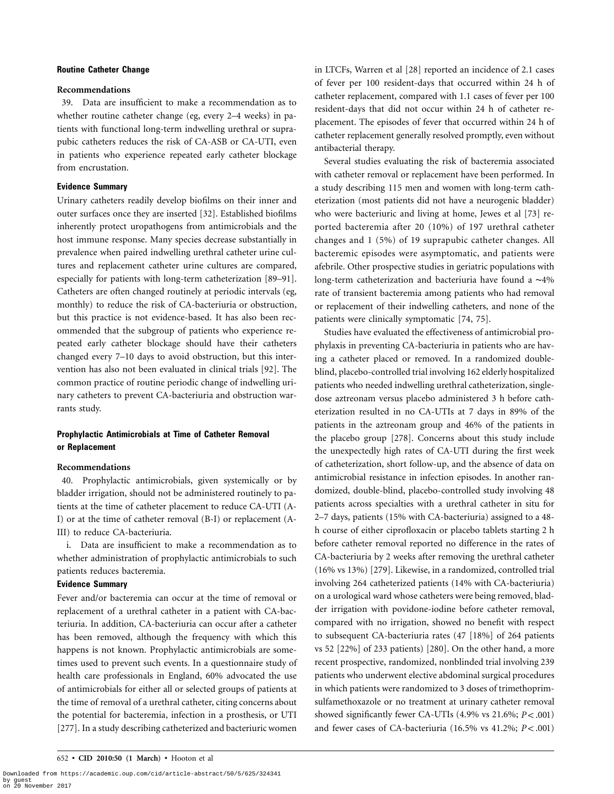#### **Routine Catheter Change**

#### **Recommendations**

39. Data are insufficient to make a recommendation as to whether routine catheter change (eg, every 2–4 weeks) in patients with functional long-term indwelling urethral or suprapubic catheters reduces the risk of CA-ASB or CA-UTI, even in patients who experience repeated early catheter blockage from encrustation.

#### **Evidence Summary**

Urinary catheters readily develop biofilms on their inner and outer surfaces once they are inserted [32]. Established biofilms inherently protect uropathogens from antimicrobials and the host immune response. Many species decrease substantially in prevalence when paired indwelling urethral catheter urine cultures and replacement catheter urine cultures are compared, especially for patients with long-term catheterization [89–91]. Catheters are often changed routinely at periodic intervals (eg, monthly) to reduce the risk of CA-bacteriuria or obstruction, but this practice is not evidence-based. It has also been recommended that the subgroup of patients who experience repeated early catheter blockage should have their catheters changed every 7–10 days to avoid obstruction, but this intervention has also not been evaluated in clinical trials [92]. The common practice of routine periodic change of indwelling urinary catheters to prevent CA-bacteriuria and obstruction warrants study.

# **Prophylactic Antimicrobials at Time of Catheter Removal or Replacement**

#### **Recommendations**

40. Prophylactic antimicrobials, given systemically or by bladder irrigation, should not be administered routinely to patients at the time of catheter placement to reduce CA-UTI (A-I) or at the time of catheter removal (B-I) or replacement (A-III) to reduce CA-bacteriuria.

i. Data are insufficient to make a recommendation as to whether administration of prophylactic antimicrobials to such patients reduces bacteremia.

## **Evidence Summary**

Fever and/or bacteremia can occur at the time of removal or replacement of a urethral catheter in a patient with CA-bacteriuria. In addition, CA-bacteriuria can occur after a catheter has been removed, although the frequency with which this happens is not known. Prophylactic antimicrobials are sometimes used to prevent such events. In a questionnaire study of health care professionals in England, 60% advocated the use of antimicrobials for either all or selected groups of patients at the time of removal of a urethral catheter, citing concerns about the potential for bacteremia, infection in a prosthesis, or UTI [277]. In a study describing catheterized and bacteriuric women in LTCFs, Warren et al [28] reported an incidence of 2.1 cases of fever per 100 resident-days that occurred within 24 h of catheter replacement, compared with 1.1 cases of fever per 100 resident-days that did not occur within 24 h of catheter replacement. The episodes of fever that occurred within 24 h of catheter replacement generally resolved promptly, even without antibacterial therapy.

Several studies evaluating the risk of bacteremia associated with catheter removal or replacement have been performed. In a study describing 115 men and women with long-term catheterization (most patients did not have a neurogenic bladder) who were bacteriuric and living at home, Jewes et al [73] reported bacteremia after 20 (10%) of 197 urethral catheter changes and 1 (5%) of 19 suprapubic catheter changes. All bacteremic episodes were asymptomatic, and patients were afebrile. Other prospective studies in geriatric populations with long-term catheterization and bacteriuria have found a ∼4% rate of transient bacteremia among patients who had removal or replacement of their indwelling catheters, and none of the patients were clinically symptomatic [74, 75].

Studies have evaluated the effectiveness of antimicrobial prophylaxis in preventing CA-bacteriuria in patients who are having a catheter placed or removed. In a randomized doubleblind, placebo-controlled trial involving 162 elderly hospitalized patients who needed indwelling urethral catheterization, singledose aztreonam versus placebo administered 3 h before catheterization resulted in no CA-UTIs at 7 days in 89% of the patients in the aztreonam group and 46% of the patients in the placebo group [278]. Concerns about this study include the unexpectedly high rates of CA-UTI during the first week of catheterization, short follow-up, and the absence of data on antimicrobial resistance in infection episodes. In another randomized, double-blind, placebo-controlled study involving 48 patients across specialties with a urethral catheter in situ for 2–7 days, patients (15% with CA-bacteriuria) assigned to a 48 h course of either ciprofloxacin or placebo tablets starting 2 h before catheter removal reported no difference in the rates of CA-bacteriuria by 2 weeks after removing the urethral catheter (16% vs 13%) [279]. Likewise, in a randomized, controlled trial involving 264 catheterized patients (14% with CA-bacteriuria) on a urological ward whose catheters were being removed, bladder irrigation with povidone-iodine before catheter removal, compared with no irrigation, showed no benefit with respect to subsequent CA-bacteriuria rates (47 [18%] of 264 patients vs 52 [22%] of 233 patients) [280]. On the other hand, a more recent prospective, randomized, nonblinded trial involving 239 patients who underwent elective abdominal surgical procedures in which patients were randomized to 3 doses of trimethoprimsulfamethoxazole or no treatment at urinary catheter removal showed significantly fewer CA-UTIs (4.9% vs 21.6%;  $P < .001$ ) and fewer cases of CA-bacteriuria  $(16.5\% \text{ vs } 41.2\%; P < .001)$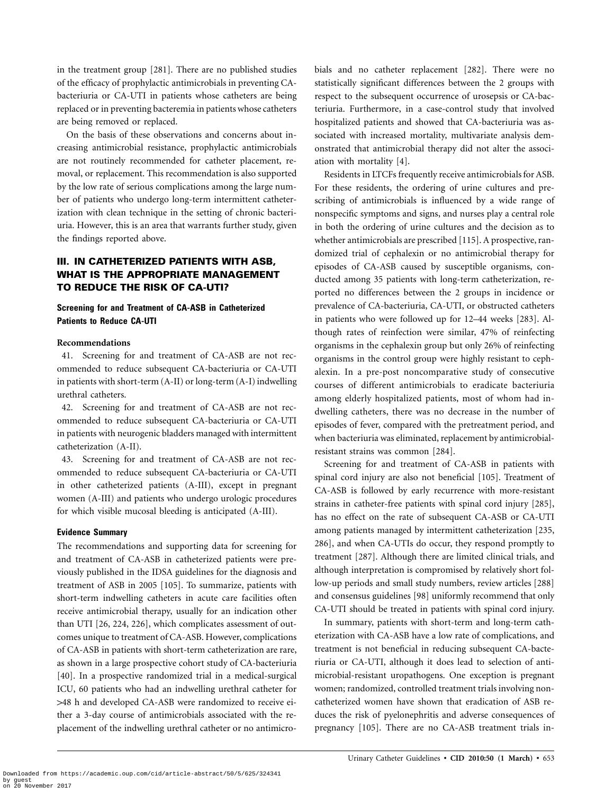in the treatment group [281]. There are no published studies of the efficacy of prophylactic antimicrobials in preventing CAbacteriuria or CA-UTI in patients whose catheters are being replaced or in preventing bacteremia in patients whose catheters are being removed or replaced.

On the basis of these observations and concerns about increasing antimicrobial resistance, prophylactic antimicrobials are not routinely recommended for catheter placement, removal, or replacement. This recommendation is also supported by the low rate of serious complications among the large number of patients who undergo long-term intermittent catheterization with clean technique in the setting of chronic bacteriuria. However, this is an area that warrants further study, given the findings reported above.

# **III. IN CATHETERIZED PATIENTS WITH ASB, WHAT IS THE APPROPRIATE MANAGEMENT TO REDUCE THE RISK OF CA-UTI?**

# **Screening for and Treatment of CA-ASB in Catheterized Patients to Reduce CA-UTI**

# **Recommendations**

41. Screening for and treatment of CA-ASB are not recommended to reduce subsequent CA-bacteriuria or CA-UTI in patients with short-term (A-II) or long-term (A-I) indwelling urethral catheters.

42. Screening for and treatment of CA-ASB are not recommended to reduce subsequent CA-bacteriuria or CA-UTI in patients with neurogenic bladders managed with intermittent catheterization (A-II).

43. Screening for and treatment of CA-ASB are not recommended to reduce subsequent CA-bacteriuria or CA-UTI in other catheterized patients (A-III), except in pregnant women (A-III) and patients who undergo urologic procedures for which visible mucosal bleeding is anticipated (A-III).

# **Evidence Summary**

The recommendations and supporting data for screening for and treatment of CA-ASB in catheterized patients were previously published in the IDSA guidelines for the diagnosis and treatment of ASB in 2005 [105]. To summarize, patients with short-term indwelling catheters in acute care facilities often receive antimicrobial therapy, usually for an indication other than UTI [26, 224, 226], which complicates assessment of outcomes unique to treatment of CA-ASB. However, complications of CA-ASB in patients with short-term catheterization are rare, as shown in a large prospective cohort study of CA-bacteriuria [40]. In a prospective randomized trial in a medical-surgical ICU, 60 patients who had an indwelling urethral catheter for 148 h and developed CA-ASB were randomized to receive either a 3-day course of antimicrobials associated with the replacement of the indwelling urethral catheter or no antimicrobials and no catheter replacement [282]. There were no statistically significant differences between the 2 groups with respect to the subsequent occurrence of urosepsis or CA-bacteriuria. Furthermore, in a case-control study that involved hospitalized patients and showed that CA-bacteriuria was associated with increased mortality, multivariate analysis demonstrated that antimicrobial therapy did not alter the association with mortality [4].

Residents in LTCFs frequently receive antimicrobials for ASB. For these residents, the ordering of urine cultures and prescribing of antimicrobials is influenced by a wide range of nonspecific symptoms and signs, and nurses play a central role in both the ordering of urine cultures and the decision as to whether antimicrobials are prescribed [115]. A prospective, randomized trial of cephalexin or no antimicrobial therapy for episodes of CA-ASB caused by susceptible organisms, conducted among 35 patients with long-term catheterization, reported no differences between the 2 groups in incidence or prevalence of CA-bacteriuria, CA-UTI, or obstructed catheters in patients who were followed up for 12–44 weeks [283]. Although rates of reinfection were similar, 47% of reinfecting organisms in the cephalexin group but only 26% of reinfecting organisms in the control group were highly resistant to cephalexin. In a pre-post noncomparative study of consecutive courses of different antimicrobials to eradicate bacteriuria among elderly hospitalized patients, most of whom had indwelling catheters, there was no decrease in the number of episodes of fever, compared with the pretreatment period, and when bacteriuria was eliminated, replacement by antimicrobialresistant strains was common [284].

Screening for and treatment of CA-ASB in patients with spinal cord injury are also not beneficial [105]. Treatment of CA-ASB is followed by early recurrence with more-resistant strains in catheter-free patients with spinal cord injury [285], has no effect on the rate of subsequent CA-ASB or CA-UTI among patients managed by intermittent catheterization [235, 286], and when CA-UTIs do occur, they respond promptly to treatment [287]. Although there are limited clinical trials, and although interpretation is compromised by relatively short follow-up periods and small study numbers, review articles [288] and consensus guidelines [98] uniformly recommend that only CA-UTI should be treated in patients with spinal cord injury.

In summary, patients with short-term and long-term catheterization with CA-ASB have a low rate of complications, and treatment is not beneficial in reducing subsequent CA-bacteriuria or CA-UTI, although it does lead to selection of antimicrobial-resistant uropathogens. One exception is pregnant women; randomized, controlled treatment trials involving noncatheterized women have shown that eradication of ASB reduces the risk of pyelonephritis and adverse consequences of pregnancy [105]. There are no CA-ASB treatment trials in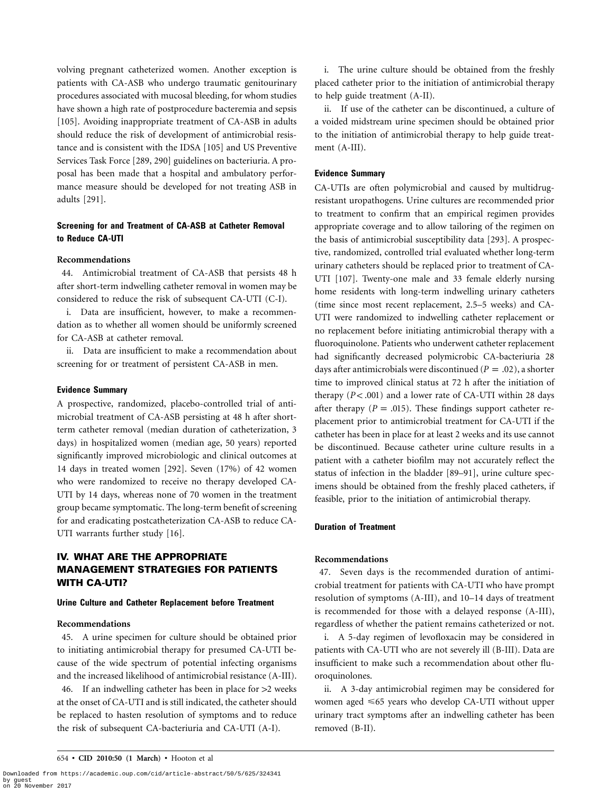volving pregnant catheterized women. Another exception is patients with CA-ASB who undergo traumatic genitourinary procedures associated with mucosal bleeding, for whom studies have shown a high rate of postprocedure bacteremia and sepsis [105]. Avoiding inappropriate treatment of CA-ASB in adults should reduce the risk of development of antimicrobial resistance and is consistent with the IDSA [105] and US Preventive Services Task Force [289, 290] guidelines on bacteriuria. A proposal has been made that a hospital and ambulatory performance measure should be developed for not treating ASB in adults [291].

# **Screening for and Treatment of CA-ASB at Catheter Removal to Reduce CA-UTI**

#### **Recommendations**

44. Antimicrobial treatment of CA-ASB that persists 48 h after short-term indwelling catheter removal in women may be considered to reduce the risk of subsequent CA-UTI (C-I).

i. Data are insufficient, however, to make a recommendation as to whether all women should be uniformly screened for CA-ASB at catheter removal.

ii. Data are insufficient to make a recommendation about screening for or treatment of persistent CA-ASB in men.

#### **Evidence Summary**

A prospective, randomized, placebo-controlled trial of antimicrobial treatment of CA-ASB persisting at 48 h after shortterm catheter removal (median duration of catheterization, 3 days) in hospitalized women (median age, 50 years) reported significantly improved microbiologic and clinical outcomes at 14 days in treated women [292]. Seven (17%) of 42 women who were randomized to receive no therapy developed CA-UTI by 14 days, whereas none of 70 women in the treatment group became symptomatic. The long-term benefit of screening for and eradicating postcatheterization CA-ASB to reduce CA-UTI warrants further study [16].

# **IV. WHAT ARE THE APPROPRIATE MANAGEMENT STRATEGIES FOR PATIENTS WITH CA-UTI?**

#### **Urine Culture and Catheter Replacement before Treatment**

#### **Recommendations**

45. A urine specimen for culture should be obtained prior to initiating antimicrobial therapy for presumed CA-UTI because of the wide spectrum of potential infecting organisms and the increased likelihood of antimicrobial resistance (A-III).

46. If an indwelling catheter has been in place for  $>2$  weeks at the onset of CA-UTI and is still indicated, the catheter should be replaced to hasten resolution of symptoms and to reduce the risk of subsequent CA-bacteriuria and CA-UTI (A-I).

Downloaded from https://academic.oup.com/cid/article-abstract/50/5/625/324341 by guest on 20 November 2017

i. The urine culture should be obtained from the freshly placed catheter prior to the initiation of antimicrobial therapy to help guide treatment (A-II).

ii. If use of the catheter can be discontinued, a culture of a voided midstream urine specimen should be obtained prior to the initiation of antimicrobial therapy to help guide treatment (A-III).

#### **Evidence Summary**

CA-UTIs are often polymicrobial and caused by multidrugresistant uropathogens. Urine cultures are recommended prior to treatment to confirm that an empirical regimen provides appropriate coverage and to allow tailoring of the regimen on the basis of antimicrobial susceptibility data [293]. A prospective, randomized, controlled trial evaluated whether long-term urinary catheters should be replaced prior to treatment of CA-UTI [107]. Twenty-one male and 33 female elderly nursing home residents with long-term indwelling urinary catheters (time since most recent replacement, 2.5–5 weeks) and CA-UTI were randomized to indwelling catheter replacement or no replacement before initiating antimicrobial therapy with a fluoroquinolone. Patients who underwent catheter replacement had significantly decreased polymicrobic CA-bacteriuria 28 days after antimicrobials were discontinued ( $P = .02$ ), a shorter time to improved clinical status at 72 h after the initiation of therapy  $(P < .001)$  and a lower rate of CA-UTI within 28 days after therapy ( $P = .015$ ). These findings support catheter replacement prior to antimicrobial treatment for CA-UTI if the catheter has been in place for at least 2 weeks and its use cannot be discontinued. Because catheter urine culture results in a patient with a catheter biofilm may not accurately reflect the status of infection in the bladder [89–91], urine culture specimens should be obtained from the freshly placed catheters, if feasible, prior to the initiation of antimicrobial therapy.

#### **Duration of Treatment**

#### **Recommendations**

47. Seven days is the recommended duration of antimicrobial treatment for patients with CA-UTI who have prompt resolution of symptoms (A-III), and 10–14 days of treatment is recommended for those with a delayed response (A-III), regardless of whether the patient remains catheterized or not.

i. A 5-day regimen of levofloxacin may be considered in patients with CA-UTI who are not severely ill (B-III). Data are insufficient to make such a recommendation about other fluoroquinolones.

ii. A 3-day antimicrobial regimen may be considered for women aged -65 years who develop CA-UTI without upper urinary tract symptoms after an indwelling catheter has been removed (B-II).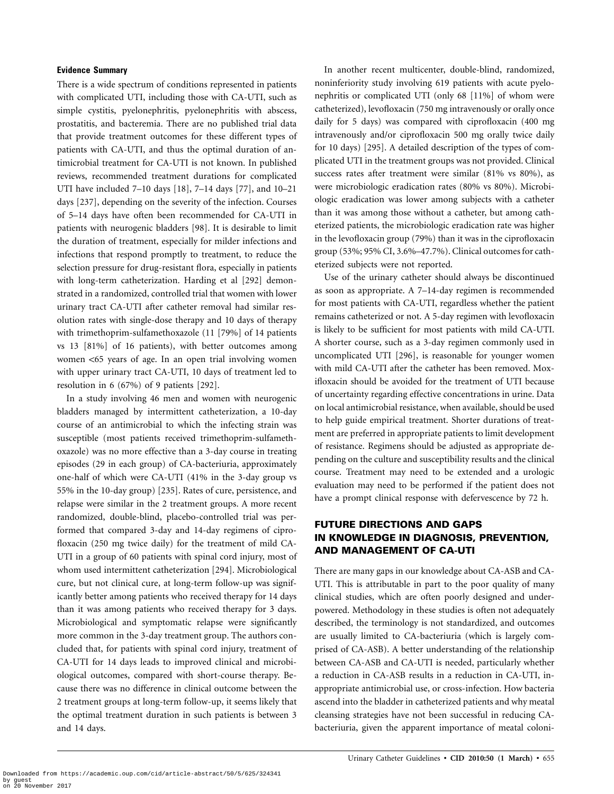#### **Evidence Summary**

There is a wide spectrum of conditions represented in patients with complicated UTI, including those with CA-UTI, such as simple cystitis, pyelonephritis, pyelonephritis with abscess, prostatitis, and bacteremia. There are no published trial data that provide treatment outcomes for these different types of patients with CA-UTI, and thus the optimal duration of antimicrobial treatment for CA-UTI is not known. In published reviews, recommended treatment durations for complicated UTI have included 7–10 days [18], 7–14 days [77], and 10–21 days [237], depending on the severity of the infection. Courses of 5–14 days have often been recommended for CA-UTI in patients with neurogenic bladders [98]. It is desirable to limit the duration of treatment, especially for milder infections and infections that respond promptly to treatment, to reduce the selection pressure for drug-resistant flora, especially in patients with long-term catheterization. Harding et al [292] demonstrated in a randomized, controlled trial that women with lower urinary tract CA-UTI after catheter removal had similar resolution rates with single-dose therapy and 10 days of therapy with trimethoprim-sulfamethoxazole (11 [79%] of 14 patients vs 13 [81%] of 16 patients), with better outcomes among women <65 years of age. In an open trial involving women with upper urinary tract CA-UTI, 10 days of treatment led to resolution in 6 (67%) of 9 patients [292].

In a study involving 46 men and women with neurogenic bladders managed by intermittent catheterization, a 10-day course of an antimicrobial to which the infecting strain was susceptible (most patients received trimethoprim-sulfamethoxazole) was no more effective than a 3-day course in treating episodes (29 in each group) of CA-bacteriuria, approximately one-half of which were CA-UTI (41% in the 3-day group vs 55% in the 10-day group) [235]. Rates of cure, persistence, and relapse were similar in the 2 treatment groups. A more recent randomized, double-blind, placebo-controlled trial was performed that compared 3-day and 14-day regimens of ciprofloxacin (250 mg twice daily) for the treatment of mild CA-UTI in a group of 60 patients with spinal cord injury, most of whom used intermittent catheterization [294]. Microbiological cure, but not clinical cure, at long-term follow-up was significantly better among patients who received therapy for 14 days than it was among patients who received therapy for 3 days. Microbiological and symptomatic relapse were significantly more common in the 3-day treatment group. The authors concluded that, for patients with spinal cord injury, treatment of CA-UTI for 14 days leads to improved clinical and microbiological outcomes, compared with short-course therapy. Because there was no difference in clinical outcome between the 2 treatment groups at long-term follow-up, it seems likely that the optimal treatment duration in such patients is between 3 and 14 days.

In another recent multicenter, double-blind, randomized, noninferiority study involving 619 patients with acute pyelonephritis or complicated UTI (only 68 [11%] of whom were catheterized), levofloxacin (750 mg intravenously or orally once daily for 5 days) was compared with ciprofloxacin (400 mg intravenously and/or ciprofloxacin 500 mg orally twice daily for 10 days) [295]. A detailed description of the types of complicated UTI in the treatment groups was not provided. Clinical success rates after treatment were similar (81% vs 80%), as were microbiologic eradication rates (80% vs 80%). Microbiologic eradication was lower among subjects with a catheter than it was among those without a catheter, but among catheterized patients, the microbiologic eradication rate was higher in the levofloxacin group (79%) than it was in the ciprofloxacin group (53%; 95% CI, 3.6%–47.7%). Clinical outcomes for catheterized subjects were not reported.

Use of the urinary catheter should always be discontinued as soon as appropriate. A 7–14-day regimen is recommended for most patients with CA-UTI, regardless whether the patient remains catheterized or not. A 5-day regimen with levofloxacin is likely to be sufficient for most patients with mild CA-UTI. A shorter course, such as a 3-day regimen commonly used in uncomplicated UTI [296], is reasonable for younger women with mild CA-UTI after the catheter has been removed. Moxifloxacin should be avoided for the treatment of UTI because of uncertainty regarding effective concentrations in urine. Data on local antimicrobial resistance, when available, should be used to help guide empirical treatment. Shorter durations of treatment are preferred in appropriate patients to limit development of resistance. Regimens should be adjusted as appropriate depending on the culture and susceptibility results and the clinical course. Treatment may need to be extended and a urologic evaluation may need to be performed if the patient does not have a prompt clinical response with defervescence by 72 h.

# **FUTURE DIRECTIONS AND GAPS IN KNOWLEDGE IN DIAGNOSIS, PREVENTION, AND MANAGEMENT OF CA-UTI**

There are many gaps in our knowledge about CA-ASB and CA-UTI. This is attributable in part to the poor quality of many clinical studies, which are often poorly designed and underpowered. Methodology in these studies is often not adequately described, the terminology is not standardized, and outcomes are usually limited to CA-bacteriuria (which is largely comprised of CA-ASB). A better understanding of the relationship between CA-ASB and CA-UTI is needed, particularly whether a reduction in CA-ASB results in a reduction in CA-UTI, inappropriate antimicrobial use, or cross-infection. How bacteria ascend into the bladder in catheterized patients and why meatal cleansing strategies have not been successful in reducing CAbacteriuria, given the apparent importance of meatal coloni-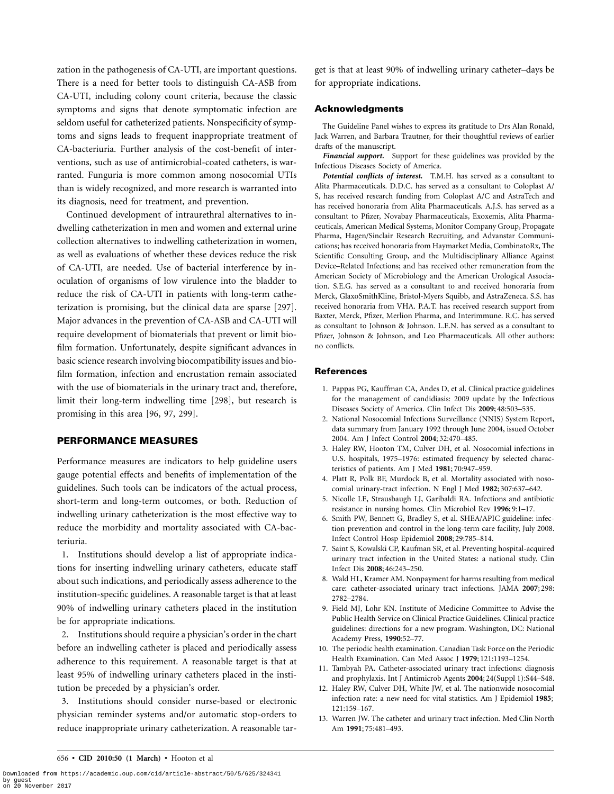zation in the pathogenesis of CA-UTI, are important questions. There is a need for better tools to distinguish CA-ASB from CA-UTI, including colony count criteria, because the classic symptoms and signs that denote symptomatic infection are seldom useful for catheterized patients. Nonspecificity of symptoms and signs leads to frequent inappropriate treatment of CA-bacteriuria. Further analysis of the cost-benefit of interventions, such as use of antimicrobial-coated catheters, is warranted. Funguria is more common among nosocomial UTIs than is widely recognized, and more research is warranted into its diagnosis, need for treatment, and prevention.

Continued development of intraurethral alternatives to indwelling catheterization in men and women and external urine collection alternatives to indwelling catheterization in women, as well as evaluations of whether these devices reduce the risk of CA-UTI, are needed. Use of bacterial interference by inoculation of organisms of low virulence into the bladder to reduce the risk of CA-UTI in patients with long-term catheterization is promising, but the clinical data are sparse [297]. Major advances in the prevention of CA-ASB and CA-UTI will require development of biomaterials that prevent or limit biofilm formation. Unfortunately, despite significant advances in basic science research involving biocompatibility issues and biofilm formation, infection and encrustation remain associated with the use of biomaterials in the urinary tract and, therefore, limit their long-term indwelling time [298], but research is promising in this area [96, 97, 299].

# **PERFORMANCE MEASURES**

Performance measures are indicators to help guideline users gauge potential effects and benefits of implementation of the guidelines. Such tools can be indicators of the actual process, short-term and long-term outcomes, or both. Reduction of indwelling urinary catheterization is the most effective way to reduce the morbidity and mortality associated with CA-bacteriuria.

1. Institutions should develop a list of appropriate indications for inserting indwelling urinary catheters, educate staff about such indications, and periodically assess adherence to the institution-specific guidelines. A reasonable target is that at least 90% of indwelling urinary catheters placed in the institution be for appropriate indications.

2. Institutions should require a physician's order in the chart before an indwelling catheter is placed and periodically assess adherence to this requirement. A reasonable target is that at least 95% of indwelling urinary catheters placed in the institution be preceded by a physician's order.

3. Institutions should consider nurse-based or electronic physician reminder systems and/or automatic stop-orders to reduce inappropriate urinary catheterization. A reasonable target is that at least 90% of indwelling urinary catheter–days be for appropriate indications.

#### **Acknowledgments**

The Guideline Panel wishes to express its gratitude to Drs Alan Ronald, Jack Warren, and Barbara Trautner, for their thoughtful reviews of earlier drafts of the manuscript.

*Financial support.* Support for these guidelines was provided by the Infectious Diseases Society of America.

*Potential conflicts of interest.* T.M.H. has served as a consultant to Alita Pharmaceuticals. D.D.C. has served as a consultant to Coloplast A/ S, has received research funding from Coloplast A/C and AstraTech and has received honoraria from Alita Pharmaceuticals. A.J.S. has served as a consultant to Pfizer, Novabay Pharmaceuticals, Exoxemis, Alita Pharmaceuticals, American Medical Systems, Monitor Company Group, Propagate Pharma, Hagen/Sinclair Research Recruiting, and Advanstar Communications; has received honoraria from Haymarket Media, CombinatoRx, The Scientific Consulting Group, and the Multidisciplinary Alliance Against Device–Related Infections; and has received other remuneration from the American Society of Microbiology and the American Urological Association. S.E.G. has served as a consultant to and received honoraria from Merck, GlaxoSmithKline, Bristol-Myers Squibb, and AstraZeneca. S.S. has received honoraria from VHA. P.A.T. has received research support from Baxter, Merck, Pfizer, Merlion Pharma, and Interimmune. R.C. has served as consultant to Johnson & Johnson. L.E.N. has served as a consultant to Pfizer, Johnson & Johnson, and Leo Pharmaceuticals. All other authors: no conflicts.

#### **References**

- 1. Pappas PG, Kauffman CA, Andes D, et al. Clinical practice guidelines for the management of candidiasis: 2009 update by the Infectious Diseases Society of America. Clin Infect Dis **2009**; 48:503–535.
- 2. National Nosocomial Infections Surveillance (NNIS) System Report, data summary from January 1992 through June 2004, issued October 2004. Am J Infect Control **2004**; 32:470–485.
- 3. Haley RW, Hooton TM, Culver DH, et al. Nosocomial infections in U.S. hospitals, 1975–1976: estimated frequency by selected characteristics of patients. Am J Med **1981**; 70:947–959.
- 4. Platt R, Polk BF, Murdock B, et al. Mortality associated with nosocomial urinary-tract infection. N Engl J Med **1982**; 307:637–642.
- 5. Nicolle LE, Strausbaugh LJ, Garibaldi RA. Infections and antibiotic resistance in nursing homes. Clin Microbiol Rev **1996**; 9:1–17.
- 6. Smith PW, Bennett G, Bradley S, et al. SHEA/APIC guideline: infection prevention and control in the long-term care facility, July 2008. Infect Control Hosp Epidemiol **2008**; 29:785–814.
- 7. Saint S, Kowalski CP, Kaufman SR, et al. Preventing hospital-acquired urinary tract infection in the United States: a national study. Clin Infect Dis **2008**; 46:243–250.
- 8. Wald HL, Kramer AM. Nonpayment for harms resulting from medical care: catheter-associated urinary tract infections. JAMA **2007**; 298: 2782–2784.
- 9. Field MJ, Lohr KN. Institute of Medicine Committee to Advise the Public Health Service on Clinical Practice Guidelines. Clinical practice guidelines: directions for a new program. Washington, DC: National Academy Press, **1990**:52–77.
- 10. The periodic health examination. Canadian Task Force on the Periodic Health Examination. Can Med Assoc J **1979**; 121:1193–1254.
- 11. Tambyah PA. Catheter-associated urinary tract infections: diagnosis and prophylaxis. Int J Antimicrob Agents **2004**; 24(Suppl 1):S44–S48.
- 12. Haley RW, Culver DH, White JW, et al. The nationwide nosocomial infection rate: a new need for vital statistics. Am J Epidemiol **1985**; 121:159–167.
- 13. Warren JW. The catheter and urinary tract infection. Med Clin North Am **1991**; 75:481–493.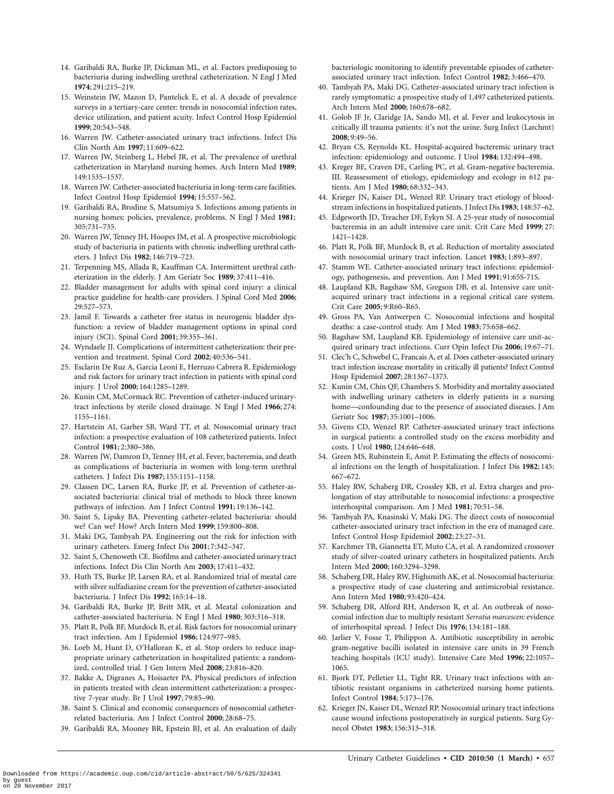- 14. Garibaldi RA, Burke JP, Dickman ML, et al. Factors predisposing to bacteriuria during indwelling urethral catheterization. N Engl J Med **1974**; 291:215–219.
- 15. Weinstein JW, Mazon D, Pantelick E, et al. A decade of prevalence surveys in a tertiary-care center: trends in nosocomial infection rates, device utilization, and patient acuity. Infect Control Hosp Epidemiol **1999**; 20:543–548.
- 16. Warren JW. Catheter-associated urinary tract infections. Infect Dis Clin North Am **1997**; 11:609–622.
- 17. Warren JW, Steinberg L, Hebel JR, et al. The prevalence of urethral catheterization in Maryland nursing homes. Arch Intern Med **1989**; 149:1535–1537.
- 18. Warren JW. Catheter-associated bacteriuria in long-term care facilities. Infect Control Hosp Epidemiol **1994**; 15:557–562.
- 19. Garibaldi RA, Brodine S, Matsumiya S. Infections among patients in nursing homes: policies, prevalence, problems. N Engl J Med **1981**; 305:731–735.
- 20. Warren JW, Tenney JH, Hoopes JM, et al. A prospective microbiologic study of bacteriuria in patients with chronic indwelling urethral catheters. J Infect Dis **1982**; 146:719–723.
- 21. Terpenning MS, Allada R, Kauffman CA. Intermittent urethral catheterization in the elderly. J Am Geriatr Soc **1989**; 37:411–416.
- 22. Bladder management for adults with spinal cord injury: a clinical practice guideline for health-care providers. J Spinal Cord Med **2006**; 29:527–573.
- 23. Jamil F. Towards a catheter free status in neurogenic bladder dysfunction: a review of bladder management options in spinal cord injury (SCI). Spinal Cord **2001**; 39:355–361.
- 24. Wyndaele JJ. Complications of intermittent catheterization: their prevention and treatment. Spinal Cord **2002**; 40:536–541.
- 25. Esclarin De Ruz A, Garcia Leoni E, Herruzo Cabrera R. Epidemiology and risk factors for urinary tract infection in patients with spinal cord injury. J Urol **2000**; 164:1285–1289.
- 26. Kunin CM, McCormack RC. Prevention of catheter-induced urinarytract infections by sterile closed drainage. N Engl J Med **1966**; 274: 1155–1161.
- 27. Hartstein AI, Garber SB, Ward TT, et al. Nosocomial urinary tract infection: a prospective evaluation of 108 catheterized patients. Infect Control **1981**; 2:380–386.
- 28. Warren JW, Damron D, Tenney JH, et al. Fever, bacteremia, and death as complications of bacteriuria in women with long-term urethral catheters. J Infect Dis **1987**; 155:1151–1158.
- 29. Classen DC, Larsen RA, Burke JP, et al. Prevention of catheter-associated bacteriuria: clinical trial of methods to block three known pathways of infection. Am J Infect Control **1991**; 19:136–142.
- 30. Saint S, Lipsky BA. Preventing catheter-related bacteriuria: should we? Can we? How? Arch Intern Med **1999**; 159:800–808.
- 31. Maki DG, Tambyah PA. Engineering out the risk for infection with urinary catheters. Emerg Infect Dis **2001**; 7:342–347.
- 32. Saint S, Chenoweth CE. Biofilms and catheter-associated urinary tract infections. Infect Dis Clin North Am **2003**; 17:411–432.
- 33. Huth TS, Burke JP, Larsen RA, et al. Randomized trial of meatal care with silver sulfadiazine cream for the prevention of catheter-associated bacteriuria. J Infect Dis **1992**; 165:14–18.
- 34. Garibaldi RA, Burke JP, Britt MR, et al. Meatal colonization and catheter-associated bacteriuria. N Engl J Med **1980**; 303:316–318.
- 35. Platt R, Polk BF, Murdock B, et al. Risk factors for nosocomial urinary tract infection. Am J Epidemiol **1986**; 124:977–985.
- 36. Loeb M, Hunt D, O'Halloran K, et al. Stop orders to reduce inappropriate urinary catheterization in hospitalized patients: a randomized, controlled trial. J Gen Intern Med **2008**; 23:816–820.
- 37. Bakke A, Digranes A, Hoisaeter PA. Physical predictors of infection in patients treated with clean intermittent catheterization: a prospective 7-year study. Br J Urol **1997**; 79:85–90.
- 38. Saint S. Clinical and economic consequences of nosocomial catheterrelated bacteriuria. Am J Infect Control **2000**; 28:68–75.
- 39. Garibaldi RA, Mooney BR, Epstein BJ, et al. An evaluation of daily

bacteriologic monitoring to identify preventable episodes of catheterassociated urinary tract infection. Infect Control **1982**; 3:466–470.

- 40. Tambyah PA, Maki DG. Catheter-associated urinary tract infection is rarely symptomatic: a prospective study of 1,497 catheterized patients. Arch Intern Med **2000**; 160:678–682.
- 41. Golob JF Jr, Claridge JA, Sando MJ, et al. Fever and leukocytosis in critically ill trauma patients: it's not the urine. Surg Infect (Larchmt) **2008**; 9:49–56.
- 42. Bryan CS, Reynolds KL. Hospital-acquired bacteremic urinary tract infection: epidemiology and outcome. J Urol **1984**; 132:494–498.
- 43. Kreger BE, Craven DE, Carling PC, et al. Gram-negative bacteremia. III. Reassessment of etiology, epidemiology and ecology in 612 patients. Am J Med **1980**; 68:332–343.
- 44. Krieger JN, Kaiser DL, Wenzel RP. Urinary tract etiology of bloodstream infections in hospitalized patients. J Infect Dis **1983**; 148:57–62.
- 45. Edgeworth JD, Treacher DF, Eykyn SJ. A 25-year study of nosocomial bacteremia in an adult intensive care unit. Crit Care Med **1999**; 27: 1421–1428.
- 46. Platt R, Polk BF, Murdock B, et al. Reduction of mortality associated with nosocomial urinary tract infection. Lancet **1983**; 1:893–897.
- 47. Stamm WE. Catheter-associated urinary tract infections: epidemiology, pathogenesis, and prevention. Am J Med **1991**; 91:65S-71S.
- 48. Laupland KB, Bagshaw SM, Gregson DB, et al. Intensive care unitacquired urinary tract infections in a regional critical care system. Crit Care **2005**; 9:R60–R65.
- 49. Gross PA, Van Antwerpen C. Nosocomial infections and hospital deaths: a case-control study. Am J Med **1983**; 75:658–662.
- 50. Bagshaw SM, Laupland KB. Epidemiology of intensive care unit-acquired urinary tract infections. Curr Opin Infect Dis **2006**; 19:67–71.
- 51. Clec'h C, Schwebel C, Francais A, et al. Does catheter-associated urinary tract infection increase mortality in critically ill patients? Infect Control Hosp Epidemiol **2007**; 28:1367–1373.
- 52. Kunin CM, Chin QF, Chambers S. Morbidity and mortality associated with indwelling urinary catheters in elderly patients in a nursing home—confounding due to the presence of associated diseases. J Am Geriatr Soc **1987**; 35:1001–1006.
- 53. Givens CD, Wenzel RP. Catheter-associated urinary tract infections in surgical patients: a controlled study on the excess morbidity and costs. J Urol **1980**; 124:646–648.
- 54. Green MS, Rubinstein E, Amit P. Estimating the effects of nosocomial infections on the length of hospitalization. J Infect Dis **1982**; 145: 667–672.
- 55. Haley RW, Schaberg DR, Crossley KB, et al. Extra charges and prolongation of stay attributable to nosocomial infections: a prospective interhospital comparison. Am J Med **1981**; 70:51–58.
- 56. Tambyah PA, Knasinski V, Maki DG. The direct costs of nosocomial catheter-associated urinary tract infection in the era of managed care. Infect Control Hosp Epidemiol **2002**; 23:27–31.
- 57. Karchmer TB, Giannetta ET, Muto CA, et al. A randomized crossover study of silver-coated urinary catheters in hospitalized patients. Arch Intern Med **2000**; 160:3294–3298.
- 58. Schaberg DR, Haley RW, Highsmith AK, et al. Nosocomial bacteriuria: a prospective study of case clustering and antimicrobial resistance. Ann Intern Med **1980**; 93:420–424.
- 59. Schaberg DR, Alford RH, Anderson R, et al. An outbreak of nosocomial infection due to multiply resistant *Serratia marcescen:* evidence of interhospital spread. J Infect Dis **1976**; 134:181–188.
- 60. Jarlier V, Fosse T, Philippon A. Antibiotic susceptibility in aerobic gram-negative bacilli isolated in intensive care units in 39 French teaching hospitals (ICU study). Intensive Care Med **1996**; 22:1057– 1065.
- 61. Bjork DT, Pelletier LL, Tight RR. Urinary tract infections with antibiotic resistant organisms in catheterized nursing home patients. Infect Control **1984**; 5:173–176.
- 62. Krieger JN, Kaiser DL, Wenzel RP. Nosocomial urinary tract infections cause wound infections postoperatively in surgical patients. Surg Gynecol Obstet **1983**; 156:313–318.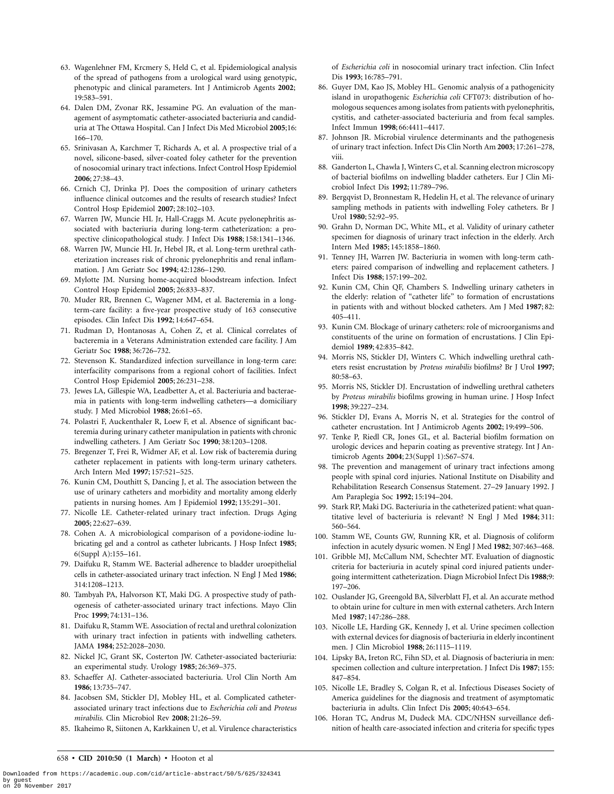- 63. Wagenlehner FM, Krcmery S, Held C, et al. Epidemiological analysis of the spread of pathogens from a urological ward using genotypic, phenotypic and clinical parameters. Int J Antimicrob Agents **2002**; 19:583–591.
- 64. Dalen DM, Zvonar RK, Jessamine PG. An evaluation of the management of asymptomatic catheter-associated bacteriuria and candiduria at The Ottawa Hospital. Can J Infect Dis Med Microbiol **2005**;16: 166–170.
- 65. Srinivasan A, Karchmer T, Richards A, et al. A prospective trial of a novel, silicone-based, silver-coated foley catheter for the prevention of nosocomial urinary tract infections. Infect Control Hosp Epidemiol **2006**; 27:38–43.
- 66. Crnich CJ, Drinka PJ. Does the composition of urinary catheters influence clinical outcomes and the results of research studies? Infect Control Hosp Epidemiol **2007**; 28:102–103.
- 67. Warren JW, Muncie HL Jr, Hall-Craggs M. Acute pyelonephritis associated with bacteriuria during long-term catheterization: a prospective clinicopathological study. J Infect Dis **1988**; 158:1341–1346.
- 68. Warren JW, Muncie HL Jr, Hebel JR, et al. Long-term urethral catheterization increases risk of chronic pyelonephritis and renal inflammation. J Am Geriatr Soc **1994**; 42:1286–1290.
- 69. Mylotte JM. Nursing home-acquired bloodstream infection. Infect Control Hosp Epidemiol **2005**; 26:833–837.
- 70. Muder RR, Brennen C, Wagener MM, et al. Bacteremia in a longterm-care facility: a five-year prospective study of 163 consecutive episodes. Clin Infect Dis **1992**; 14:647–654.
- 71. Rudman D, Hontanosas A, Cohen Z, et al. Clinical correlates of bacteremia in a Veterans Administration extended care facility. J Am Geriatr Soc **1988**; 36:726–732.
- 72. Stevenson K. Standardized infection surveillance in long-term care: interfacility comparisons from a regional cohort of facilities. Infect Control Hosp Epidemiol **2005**; 26:231–238.
- 73. Jewes LA, Gillespie WA, Leadbetter A, et al. Bacteriuria and bacteraemia in patients with long-term indwelling catheters—a domiciliary study. J Med Microbiol **1988**; 26:61–65.
- 74. Polastri F, Auckenthaler R, Loew F, et al. Absence of significant bacteremia during urinary catheter manipulation in patients with chronic indwelling catheters. J Am Geriatr Soc **1990**; 38:1203–1208.
- 75. Bregenzer T, Frei R, Widmer AF, et al. Low risk of bacteremia during catheter replacement in patients with long-term urinary catheters. Arch Intern Med **1997**; 157:521–525.
- 76. Kunin CM, Douthitt S, Dancing J, et al. The association between the use of urinary catheters and morbidity and mortality among elderly patients in nursing homes. Am J Epidemiol **1992**; 135:291–301.
- 77. Nicolle LE. Catheter-related urinary tract infection. Drugs Aging **2005**; 22:627–639.
- 78. Cohen A. A microbiological comparison of a povidone-iodine lubricating gel and a control as catheter lubricants. J Hosp Infect **1985**; 6(Suppl A):155–161.
- 79. Daifuku R, Stamm WE. Bacterial adherence to bladder uroepithelial cells in catheter-associated urinary tract infection. N Engl J Med **1986**; 314:1208–1213.
- 80. Tambyah PA, Halvorson KT, Maki DG. A prospective study of pathogenesis of catheter-associated urinary tract infections. Mayo Clin Proc **1999**; 74:131–136.
- 81. Daifuku R, Stamm WE. Association of rectal and urethral colonization with urinary tract infection in patients with indwelling catheters. JAMA **1984**; 252:2028–2030.
- 82. Nickel JC, Grant SK, Costerton JW. Catheter-associated bacteriuria: an experimental study. Urology **1985**; 26:369–375.
- 83. Schaeffer AJ. Catheter-associated bacteriuria. Urol Clin North Am **1986**; 13:735–747.
- 84. Jacobsen SM, Stickler DJ, Mobley HL, et al. Complicated catheterassociated urinary tract infections due to *Escherichia coli* and *Proteus mirabilis.* Clin Microbiol Rev **2008**; 21:26–59.
- 85. Ikaheimo R, Siitonen A, Karkkainen U, et al. Virulence characteristics

of *Escherichia coli* in nosocomial urinary tract infection. Clin Infect Dis **1993**; 16:785–791.

- 86. Guyer DM, Kao JS, Mobley HL. Genomic analysis of a pathogenicity island in uropathogenic *Escherichia coli* CFT073: distribution of homologous sequences among isolates from patients with pyelonephritis, cystitis, and catheter-associated bacteriuria and from fecal samples. Infect Immun **1998**; 66:4411–4417.
- 87. Johnson JR. Microbial virulence determinants and the pathogenesis of urinary tract infection. Infect Dis Clin North Am **2003**; 17:261–278, viii.
- 88. Ganderton L, Chawla J, Winters C, et al. Scanning electron microscopy of bacterial biofilms on indwelling bladder catheters. Eur J Clin Microbiol Infect Dis **1992**; 11:789–796.
- 89. Bergqvist D, Bronnestam R, Hedelin H, et al. The relevance of urinary sampling methods in patients with indwelling Foley catheters. Br J Urol **1980**; 52:92–95.
- 90. Grahn D, Norman DC, White ML, et al. Validity of urinary catheter specimen for diagnosis of urinary tract infection in the elderly. Arch Intern Med **1985**; 145:1858–1860.
- 91. Tenney JH, Warren JW. Bacteriuria in women with long-term catheters: paired comparison of indwelling and replacement catheters. J Infect Dis **1988**; 157:199–202.
- 92. Kunin CM, Chin QF, Chambers S. Indwelling urinary catheters in the elderly: relation of "catheter life" to formation of encrustations in patients with and without blocked catheters. Am J Med **1987**; 82: 405–411.
- 93. Kunin CM. Blockage of urinary catheters: role of microorganisms and constituents of the urine on formation of encrustations. J Clin Epidemiol **1989**; 42:835–842.
- 94. Morris NS, Stickler DJ, Winters C. Which indwelling urethral catheters resist encrustation by *Proteus mirabilis* biofilms? Br J Urol **1997**; 80:58–63.
- 95. Morris NS, Stickler DJ. Encrustation of indwelling urethral catheters by *Proteus mirabilis* biofilms growing in human urine. J Hosp Infect **1998**; 39:227–234.
- 96. Stickler DJ, Evans A, Morris N, et al. Strategies for the control of catheter encrustation. Int J Antimicrob Agents **2002**; 19:499–506.
- 97. Tenke P, Riedl CR, Jones GL, et al. Bacterial biofilm formation on urologic devices and heparin coating as preventive strategy. Int J Antimicrob Agents **2004**; 23(Suppl 1):S67–S74.
- 98. The prevention and management of urinary tract infections among people with spinal cord injuries. National Institute on Disability and Rehabilitation Research Consensus Statement. 27–29 January 1992. J Am Paraplegia Soc **1992**; 15:194–204.
- 99. Stark RP, Maki DG. Bacteriuria in the catheterized patient: what quantitative level of bacteriuria is relevant? N Engl J Med **1984**; 311: 560–564.
- 100. Stamm WE, Counts GW, Running KR, et al. Diagnosis of coliform infection in acutely dysuric women. N Engl J Med **1982**; 307:463–468.
- 101. Gribble MJ, McCallum NM, Schechter MT. Evaluation of diagnostic criteria for bacteriuria in acutely spinal cord injured patients undergoing intermittent catheterization. Diagn Microbiol Infect Dis **1988**;9: 197–206.
- 102. Ouslander JG, Greengold BA, Silverblatt FJ, et al. An accurate method to obtain urine for culture in men with external catheters. Arch Intern Med **1987**; 147:286–288.
- 103. Nicolle LE, Harding GK, Kennedy J, et al. Urine specimen collection with external devices for diagnosis of bacteriuria in elderly incontinent men. J Clin Microbiol **1988**; 26:1115–1119.
- 104. Lipsky BA, Ireton RC, Fihn SD, et al. Diagnosis of bacteriuria in men: specimen collection and culture interpretation. J Infect Dis **1987**; 155: 847–854.
- 105. Nicolle LE, Bradley S, Colgan R, et al. Infectious Diseases Society of America guidelines for the diagnosis and treatment of asymptomatic bacteriuria in adults. Clin Infect Dis **2005**; 40:643–654.
- 106. Horan TC, Andrus M, Dudeck MA. CDC/NHSN surveillance definition of health care-associated infection and criteria for specific types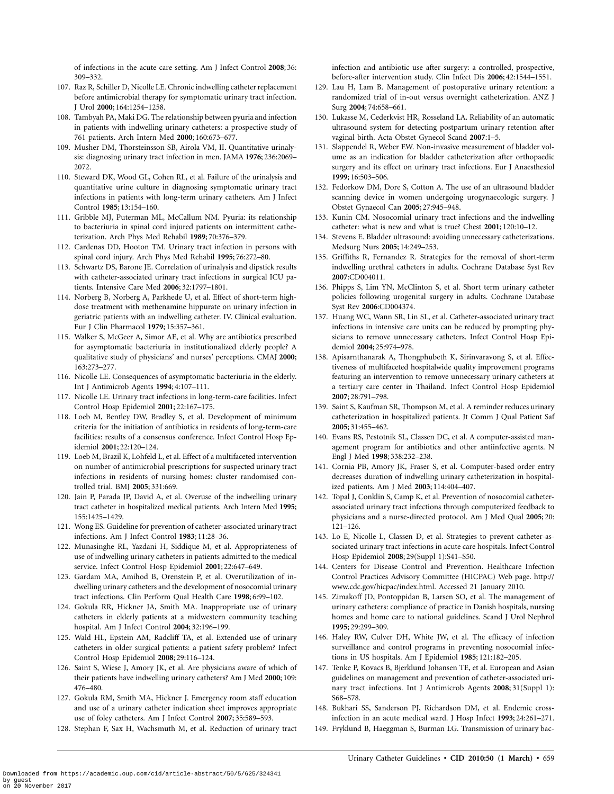of infections in the acute care setting. Am J Infect Control **2008**; 36: 309–332.

- 107. Raz R, Schiller D, Nicolle LE. Chronic indwelling catheter replacement before antimicrobial therapy for symptomatic urinary tract infection. J Urol **2000**; 164:1254–1258.
- 108. Tambyah PA, Maki DG. The relationship between pyuria and infection in patients with indwelling urinary catheters: a prospective study of 761 patients. Arch Intern Med **2000**; 160:673–677.
- 109. Musher DM, Thorsteinsson SB, Airola VM, II. Quantitative urinalysis: diagnosing urinary tract infection in men. JAMA **1976**; 236:2069– 2072.
- 110. Steward DK, Wood GL, Cohen RL, et al. Failure of the urinalysis and quantitative urine culture in diagnosing symptomatic urinary tract infections in patients with long-term urinary catheters. Am J Infect Control **1985**; 13:154–160.
- 111. Gribble MJ, Puterman ML, McCallum NM. Pyuria: its relationship to bacteriuria in spinal cord injured patients on intermittent catheterization. Arch Phys Med Rehabil **1989**; 70:376–379.
- 112. Cardenas DD, Hooton TM. Urinary tract infection in persons with spinal cord injury. Arch Phys Med Rehabil **1995**; 76:272–80.
- 113. Schwartz DS, Barone JE. Correlation of urinalysis and dipstick results with catheter-associated urinary tract infections in surgical ICU patients. Intensive Care Med **2006**; 32:1797–1801.
- 114. Norberg B, Norberg A, Parkhede U, et al. Effect of short-term highdose treatment with methenamine hippurate on urinary infection in geriatric patients with an indwelling catheter. IV. Clinical evaluation. Eur J Clin Pharmacol **1979**; 15:357–361.
- 115. Walker S, McGeer A, Simor AE, et al. Why are antibiotics prescribed for asymptomatic bacteriuria in institutionalized elderly people? A qualitative study of physicians' and nurses' perceptions. CMAJ **2000**; 163:273–277.
- 116. Nicolle LE. Consequences of asymptomatic bacteriuria in the elderly. Int J Antimicrob Agents **1994**; 4:107–111.
- 117. Nicolle LE. Urinary tract infections in long-term-care facilities. Infect Control Hosp Epidemiol **2001**; 22:167–175.
- 118. Loeb M, Bentley DW, Bradley S, et al. Development of minimum criteria for the initiation of antibiotics in residents of long-term-care facilities: results of a consensus conference. Infect Control Hosp Epidemiol **2001**; 22:120–124.
- 119. Loeb M, Brazil K, Lohfeld L, et al. Effect of a multifaceted intervention on number of antimicrobial prescriptions for suspected urinary tract infections in residents of nursing homes: cluster randomised controlled trial. BMJ **2005**; 331:669.
- 120. Jain P, Parada JP, David A, et al. Overuse of the indwelling urinary tract catheter in hospitalized medical patients. Arch Intern Med **1995**; 155:1425–1429.
- 121. Wong ES. Guideline for prevention of catheter-associated urinary tract infections. Am J Infect Control **1983**; 11:28–36.
- 122. Munasinghe RL, Yazdani H, Siddique M, et al. Appropriateness of use of indwelling urinary catheters in patients admitted to the medical service. Infect Control Hosp Epidemiol **2001**; 22:647–649.
- 123. Gardam MA, Amihod B, Orenstein P, et al. Overutilization of indwelling urinary catheters and the development of nosocomial urinary tract infections. Clin Perform Qual Health Care **1998**; 6:99–102.
- 124. Gokula RR, Hickner JA, Smith MA. Inappropriate use of urinary catheters in elderly patients at a midwestern community teaching hospital. Am J Infect Control **2004**; 32:196–199.
- 125. Wald HL, Epstein AM, Radcliff TA, et al. Extended use of urinary catheters in older surgical patients: a patient safety problem? Infect Control Hosp Epidemiol **2008**; 29:116–124.
- 126. Saint S, Wiese J, Amory JK, et al. Are physicians aware of which of their patients have indwelling urinary catheters? Am J Med **2000**; 109: 476–480.
- 127. Gokula RM, Smith MA, Hickner J. Emergency room staff education and use of a urinary catheter indication sheet improves appropriate use of foley catheters. Am J Infect Control **2007**; 35:589–593.
- 128. Stephan F, Sax H, Wachsmuth M, et al. Reduction of urinary tract

infection and antibiotic use after surgery: a controlled, prospective, before-after intervention study. Clin Infect Dis **2006**; 42:1544–1551.

- 129. Lau H, Lam B. Management of postoperative urinary retention: a randomized trial of in-out versus overnight catheterization. ANZ J Surg **2004**; 74:658–661.
- 130. Lukasse M, Cederkvist HR, Rosseland LA. Reliability of an automatic ultrasound system for detecting postpartum urinary retention after vaginal birth. Acta Obstet Gynecol Scand **2007**:1–5.
- 131. Slappendel R, Weber EW. Non-invasive measurement of bladder volume as an indication for bladder catheterization after orthopaedic surgery and its effect on urinary tract infections. Eur J Anaesthesiol **1999**; 16:503–506.
- 132. Fedorkow DM, Dore S, Cotton A. The use of an ultrasound bladder scanning device in women undergoing urogynaecologic surgery. J Obstet Gynaecol Can **2005**; 27:945–948.
- 133. Kunin CM. Nosocomial urinary tract infections and the indwelling catheter: what is new and what is true? Chest **2001**; 120:10–12.
- 134. Stevens E. Bladder ultrasound: avoiding unnecessary catheterizations. Medsurg Nurs **2005**; 14:249–253.
- 135. Griffiths R, Fernandez R. Strategies for the removal of short-term indwelling urethral catheters in adults. Cochrane Database Syst Rev **2007**:CD004011.
- 136. Phipps S, Lim YN, McClinton S, et al. Short term urinary catheter policies following urogenital surgery in adults. Cochrane Database Syst Rev **2006**:CD004374.
- 137. Huang WC, Wann SR, Lin SL, et al. Catheter-associated urinary tract infections in intensive care units can be reduced by prompting physicians to remove unnecessary catheters. Infect Control Hosp Epidemiol **2004**; 25:974–978.
- 138. Apisarnthanarak A, Thongphubeth K, Sirinvaravong S, et al. Effectiveness of multifaceted hospitalwide quality improvement programs featuring an intervention to remove unnecessary urinary catheters at a tertiary care center in Thailand. Infect Control Hosp Epidemiol **2007**; 28:791–798.
- 139. Saint S, Kaufman SR, Thompson M, et al. A reminder reduces urinary catheterization in hospitalized patients. Jt Comm J Qual Patient Saf **2005**; 31:455–462.
- 140. Evans RS, Pestotnik SL, Classen DC, et al. A computer-assisted management program for antibiotics and other antiinfective agents. N Engl J Med **1998**; 338:232–238.
- 141. Cornia PB, Amory JK, Fraser S, et al. Computer-based order entry decreases duration of indwelling urinary catheterization in hospitalized patients. Am J Med **2003**; 114:404–407.
- 142. Topal J, Conklin S, Camp K, et al. Prevention of nosocomial catheterassociated urinary tract infections through computerized feedback to physicians and a nurse-directed protocol. Am J Med Qual **2005**; 20: 121–126.
- 143. Lo E, Nicolle L, Classen D, et al. Strategies to prevent catheter-associated urinary tract infections in acute care hospitals. Infect Control Hosp Epidemiol **2008**; 29(Suppl 1):S41–S50.
- 144. Centers for Disease Control and Prevention. Healthcare Infection Control Practices Advisory Committee (HICPAC) Web page. http:// www.cdc.gov/hicpac/index.html. Accessed 21 January 2010.
- 145. Zimakoff JD, Pontoppidan B, Larsen SO, et al. The management of urinary catheters: compliance of practice in Danish hospitals, nursing homes and home care to national guidelines. Scand J Urol Nephrol **1995**; 29:299–309.
- 146. Haley RW, Culver DH, White JW, et al. The efficacy of infection surveillance and control programs in preventing nosocomial infections in US hospitals. Am J Epidemiol **1985**; 121:182–205.
- 147. Tenke P, Kovacs B, Bjerklund Johansen TE, et al. European and Asian guidelines on management and prevention of catheter-associated urinary tract infections. Int J Antimicrob Agents **2008**; 31(Suppl 1): S68–S78.
- 148. Bukhari SS, Sanderson PJ, Richardson DM, et al. Endemic crossinfection in an acute medical ward. J Hosp Infect **1993**; 24:261–271.
- 149. Fryklund B, Haeggman S, Burman LG. Transmission of urinary bac-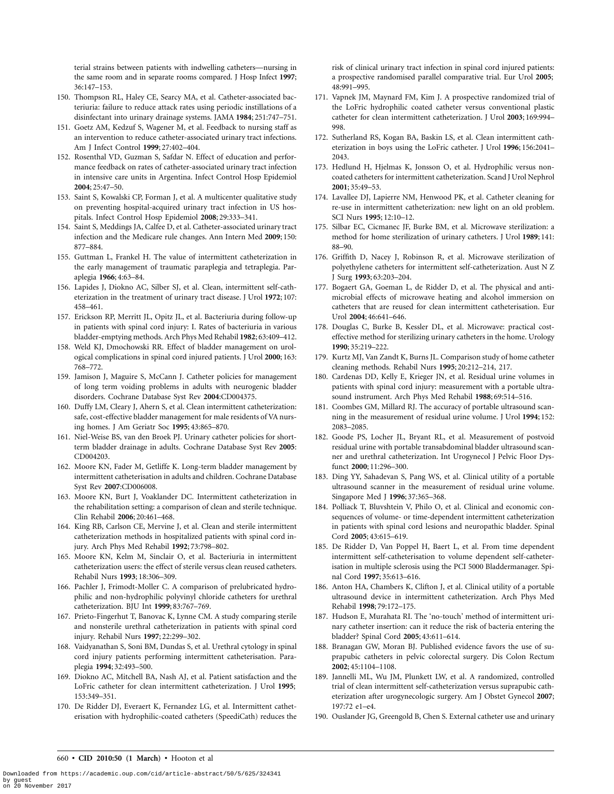terial strains between patients with indwelling catheters—nursing in the same room and in separate rooms compared. J Hosp Infect **1997**; 36:147–153.

- 150. Thompson RL, Haley CE, Searcy MA, et al. Catheter-associated bacteriuria: failure to reduce attack rates using periodic instillations of a disinfectant into urinary drainage systems. JAMA **1984**; 251:747–751.
- 151. Goetz AM, Kedzuf S, Wagener M, et al. Feedback to nursing staff as an intervention to reduce catheter-associated urinary tract infections. Am J Infect Control **1999**; 27:402–404.
- 152. Rosenthal VD, Guzman S, Safdar N. Effect of education and performance feedback on rates of catheter-associated urinary tract infection in intensive care units in Argentina. Infect Control Hosp Epidemiol **2004**; 25:47–50.
- 153. Saint S, Kowalski CP, Forman J, et al. A multicenter qualitative study on preventing hospital-acquired urinary tract infection in US hospitals. Infect Control Hosp Epidemiol **2008**; 29:333–341.
- 154. Saint S, Meddings JA, Calfee D, et al. Catheter-associated urinary tract infection and the Medicare rule changes. Ann Intern Med **2009**; 150: 877–884.
- 155. Guttman L, Frankel H. The value of intermittent catheterization in the early management of traumatic paraplegia and tetraplegia. Paraplegia **1966**; 4:63–84.
- 156. Lapides J, Diokno AC, Silber SJ, et al. Clean, intermittent self-catheterization in the treatment of urinary tract disease. J Urol **1972**; 107: 458–461.
- 157. Erickson RP, Merritt JL, Opitz JL, et al. Bacteriuria during follow-up in patients with spinal cord injury: I. Rates of bacteriuria in various bladder-emptying methods. Arch Phys Med Rehabil **1982**; 63:409–412.
- 158. Weld KJ, Dmochowski RR. Effect of bladder management on urological complications in spinal cord injured patients. J Urol **2000**; 163: 768–772.
- 159. Jamison J, Maguire S, McCann J. Catheter policies for management of long term voiding problems in adults with neurogenic bladder disorders. Cochrane Database Syst Rev **2004**:CD004375.
- 160. Duffy LM, Cleary J, Ahern S, et al. Clean intermittent catheterization: safe, cost-effective bladder management for male residents of VA nursing homes. J Am Geriatr Soc **1995**; 43:865–870.
- 161. Niel-Weise BS, van den Broek PJ. Urinary catheter policies for shortterm bladder drainage in adults. Cochrane Database Syst Rev **2005**: CD004203.
- 162. Moore KN, Fader M, Getliffe K. Long-term bladder management by intermittent catheterisation in adults and children. Cochrane Database Syst Rev **2007**:CD006008.
- 163. Moore KN, Burt J, Voaklander DC. Intermittent catheterization in the rehabilitation setting: a comparison of clean and sterile technique. Clin Rehabil **2006**; 20:461–468.
- 164. King RB, Carlson CE, Mervine J, et al. Clean and sterile intermittent catheterization methods in hospitalized patients with spinal cord injury. Arch Phys Med Rehabil **1992**; 73:798–802.
- 165. Moore KN, Kelm M, Sinclair O, et al. Bacteriuria in intermittent catheterization users: the effect of sterile versus clean reused catheters. Rehabil Nurs **1993**; 18:306–309.
- 166. Pachler J, Frimodt-Moller C. A comparison of prelubricated hydrophilic and non-hydrophilic polyvinyl chloride catheters for urethral catheterization. BJU Int **1999**; 83:767–769.
- 167. Prieto-Fingerhut T, Banovac K, Lynne CM. A study comparing sterile and nonsterile urethral catheterization in patients with spinal cord injury. Rehabil Nurs **1997**; 22:299–302.
- 168. Vaidyanathan S, Soni BM, Dundas S, et al. Urethral cytology in spinal cord injury patients performing intermittent catheterisation. Paraplegia **1994**; 32:493–500.
- 169. Diokno AC, Mitchell BA, Nash AJ, et al. Patient satisfaction and the LoFric catheter for clean intermittent catheterization. J Urol **1995**; 153:349–351.
- 170. De Ridder DJ, Everaert K, Fernandez LG, et al. Intermittent catheterisation with hydrophilic-coated catheters (SpeediCath) reduces the

risk of clinical urinary tract infection in spinal cord injured patients: a prospective randomised parallel comparative trial. Eur Urol **2005**; 48:991–995.

- 171. Vapnek JM, Maynard FM, Kim J. A prospective randomized trial of the LoFric hydrophilic coated catheter versus conventional plastic catheter for clean intermittent catheterization. J Urol **2003**; 169:994– 998.
- 172. Sutherland RS, Kogan BA, Baskin LS, et al. Clean intermittent catheterization in boys using the LoFric catheter. J Urol **1996**; 156:2041– 2043.
- 173. Hedlund H, Hjelmas K, Jonsson O, et al. Hydrophilic versus noncoated catheters for intermittent catheterization. Scand J Urol Nephrol **2001**; 35:49–53.
- 174. Lavallee DJ, Lapierre NM, Henwood PK, et al. Catheter cleaning for re-use in intermittent catheterization: new light on an old problem. SCI Nurs **1995**; 12:10–12.
- 175. Silbar EC, Cicmanec JF, Burke BM, et al. Microwave sterilization: a method for home sterilization of urinary catheters. J Urol **1989**; 141: 88–90.
- 176. Griffith D, Nacey J, Robinson R, et al. Microwave sterilization of polyethylene catheters for intermittent self-catheterization. Aust N Z J Surg **1993**; 63:203–204.
- 177. Bogaert GA, Goeman L, de Ridder D, et al. The physical and antimicrobial effects of microwave heating and alcohol immersion on catheters that are reused for clean intermittent catheterisation. Eur Urol **2004**; 46:641–646.
- 178. Douglas C, Burke B, Kessler DL, et al. Microwave: practical costeffective method for sterilizing urinary catheters in the home. Urology **1990**; 35:219–222.
- 179. Kurtz MJ, Van Zandt K, Burns JL. Comparison study of home catheter cleaning methods. Rehabil Nurs **1995**; 20:212–214, 217.
- 180. Cardenas DD, Kelly E, Krieger JN, et al. Residual urine volumes in patients with spinal cord injury: measurement with a portable ultrasound instrument. Arch Phys Med Rehabil **1988**; 69:514–516.
- 181. Coombes GM, Millard RJ. The accuracy of portable ultrasound scanning in the measurement of residual urine volume. J Urol **1994**; 152: 2083–2085.
- 182. Goode PS, Locher JL, Bryant RL, et al. Measurement of postvoid residual urine with portable transabdominal bladder ultrasound scanner and urethral catheterization. Int Urogynecol J Pelvic Floor Dysfunct **2000**; 11:296–300.
- 183. Ding YY, Sahadevan S, Pang WS, et al. Clinical utility of a portable ultrasound scanner in the measurement of residual urine volume. Singapore Med J **1996**; 37:365–368.
- 184. Polliack T, Bluvshtein V, Philo O, et al. Clinical and economic consequences of volume- or time-dependent intermittent catheterization in patients with spinal cord lesions and neuropathic bladder. Spinal Cord **2005**; 43:615–619.
- 185. De Ridder D, Van Poppel H, Baert L, et al. From time dependent intermittent self-catheterisation to volume dependent self-catheterisation in multiple sclerosis using the PCI 5000 Bladdermanager. Spinal Cord **1997**; 35:613–616.
- 186. Anton HA, Chambers K, Clifton J, et al. Clinical utility of a portable ultrasound device in intermittent catheterization. Arch Phys Med Rehabil **1998**; 79:172–175.
- 187. Hudson E, Murahata RI. The 'no-touch' method of intermittent urinary catheter insertion: can it reduce the risk of bacteria entering the bladder? Spinal Cord **2005**; 43:611–614.
- 188. Branagan GW, Moran BJ. Published evidence favors the use of suprapubic catheters in pelvic colorectal surgery. Dis Colon Rectum **2002**; 45:1104–1108.
- 189. Jannelli ML, Wu JM, Plunkett LW, et al. A randomized, controlled trial of clean intermittent self-catheterization versus suprapubic catheterization after urogynecologic surgery. Am J Obstet Gynecol **2007**; 197:72 e1–e4.
- 190. Ouslander JG, Greengold B, Chen S. External catheter use and urinary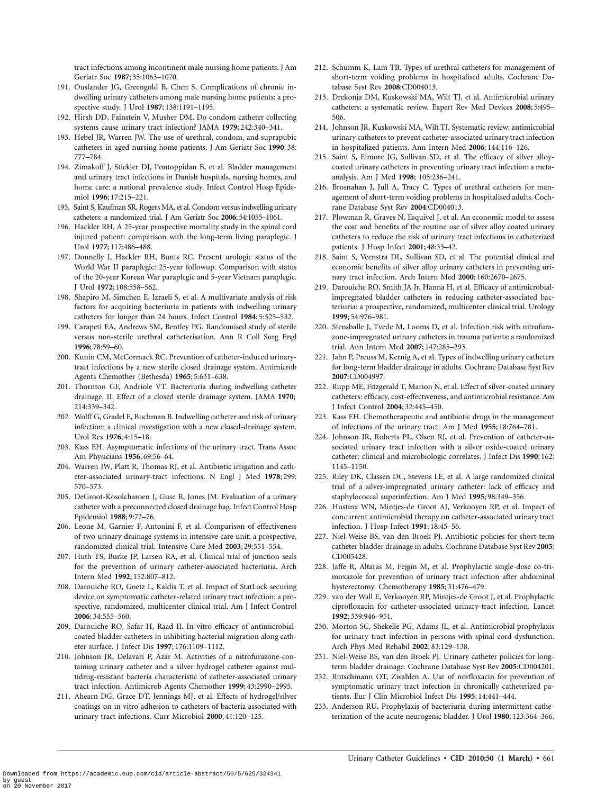tract infections among incontinent male nursing home patients. J Am Geriatr Soc **1987**; 35:1063–1070.

- 191. Ouslander JG, Greengold B, Chen S. Complications of chronic indwelling urinary catheters among male nursing home patients: a prospective study. J Urol **1987**; 138:1191–1195.
- 192. Hirsh DD, Fainstein V, Musher DM. Do condom catheter collecting systems cause urinary tract infection? JAMA **1979**; 242:340–341.
- 193. Hebel JR, Warren JW. The use of urethral, condom, and suprapubic catheters in aged nursing home patients. J Am Geriatr Soc **1990**; 38: 777–784.
- 194. Zimakoff J, Stickler DJ, Pontoppidan B, et al. Bladder management and urinary tract infections in Danish hospitals, nursing homes, and home care: a national prevalence study. Infect Control Hosp Epidemiol **1996**; 17:215–221.
- 195. Saint S, Kaufman SR, Rogers MA, et al. Condom versus indwelling urinary catheters: a randomized trial. J Am Geriatr Soc **2006**; 54:1055–1061.
- 196. Hackler RH. A 25-year prospective mortality study in the spinal cord injured patient: comparison with the long-term living paraplegic. J Urol **1977**; 117:486–488.
- 197. Donnelly J, Hackler RH, Bunts RC. Present urologic status of the World War II paraplegic: 25-year followup. Comparison with status of the 20-year Korean War paraplegic and 5-year Vietnam paraplegic. J Urol **1972**; 108:558–562.
- 198. Shapiro M, Simchen E, Izraeli S, et al. A multivariate analysis of risk factors for acquiring bacteriuria in patients with indwelling urinary catheters for longer than 24 hours. Infect Control **1984**; 5:525–532.
- 199. Carapeti EA, Andrews SM, Bentley PG. Randomised study of sterile versus non-sterile urethral catheterisation. Ann R Coll Surg Engl **1996**; 78:59–60.
- 200. Kunin CM, McCormack RC. Prevention of catheter-induced urinarytract infections by a new sterile closed drainage system. Antimicrob Agents Chemother (Bethesda) **1965**; 5:631–638.
- 201. Thornton GF, Andriole VT. Bacteriuria during indwelling catheter drainage. II. Effect of a closed sterile drainage system. JAMA **1970**; 214:339–342.
- 202. Wolff G, Gradel E, Buchman B. Indwelling catheter and risk of urinary infection: a clinical investigation with a new closed-drainage system. Urol Res **1976**; 4:15–18.
- 203. Kass EH. Asymptomatic infections of the urinary tract. Trans Assoc Am Physicians **1956**; 69:56–64.
- 204. Warren JW, Platt R, Thomas RJ, et al. Antibiotic irrigation and catheter-associated urinary-tract infections. N Engl J Med **1978**; 299: 570–573.
- 205. DeGroot-Kosolcharoen J, Guse R, Jones JM. Evaluation of a urinary catheter with a preconnected closed drainage bag. Infect Control Hosp Epidemiol **1988**; 9:72–76.
- 206. Leone M, Garnier F, Antonini F, et al. Comparison of effectiveness of two urinary drainage systems in intensive care unit: a prospective, randomized clinical trial. Intensive Care Med **2003**; 29:551–554.
- 207. Huth TS, Burke JP, Larsen RA, et al. Clinical trial of junction seals for the prevention of urinary catheter-associated bacteriuria. Arch Intern Med **1992**; 152:807–812.
- 208. Darouiche RO, Goetz L, Kaldis T, et al. Impact of StatLock securing device on symptomatic catheter-related urinary tract infection: a prospective, randomized, multicenter clinical trial. Am J Infect Control **2006**; 34:555–560.
- 209. Darouiche RO, Safar H, Raad II. In vitro efficacy of antimicrobialcoated bladder catheters in inhibiting bacterial migration along catheter surface. J Infect Dis **1997**; 176:1109–1112.
- 210. Johnson JR, Delavari P, Azar M. Activities of a nitrofurazone-containing urinary catheter and a silver hydrogel catheter against multidrug-resistant bacteria characteristic of catheter-associated urinary tract infection. Antimicrob Agents Chemother **1999**; 43:2990–2995.
- 211. Ahearn DG, Grace DT, Jennings MJ, et al. Effects of hydrogel/silver coatings on in vitro adhesion to catheters of bacteria associated with urinary tract infections. Curr Microbiol **2000**; 41:120–125.
- 212. Schumm K, Lam TB. Types of urethral catheters for management of short-term voiding problems in hospitalised adults. Cochrane Database Syst Rev **2008**:CD004013.
- 213. Drekonja DM, Kuskowski MA, Wilt TJ, et al. Antimicrobial urinary catheters: a systematic review. Expert Rev Med Devices **2008**; 5:495– 506.
- 214. Johnson JR, Kuskowski MA, Wilt TJ. Systematic review: antimicrobial urinary catheters to prevent catheter-associated urinary tract infection in hospitalized patients. Ann Intern Med **2006**; 144:116–126.
- 215. Saint S, Elmore JG, Sullivan SD, et al. The efficacy of silver alloycoated urinary catheters in preventing urinary tract infection: a metaanalysis. Am J Med **1998**; 105:236–241.
- 216. Brosnahan J, Jull A, Tracy C. Types of urethral catheters for management of short-term voiding problems in hospitalised adults. Cochrane Database Syst Rev **2004**:CD004013.
- 217. Plowman R, Graves N, Esquivel J, et al. An economic model to assess the cost and benefits of the routine use of silver alloy coated urinary catheters to reduce the risk of urinary tract infections in catheterized patients. J Hosp Infect **2001**; 48:33–42.
- 218. Saint S, Veenstra DL, Sullivan SD, et al. The potential clinical and economic benefits of silver alloy urinary catheters in preventing urinary tract infection. Arch Intern Med **2000**; 160:2670–2675.
- 219. Darouiche RO, Smith JA Jr, Hanna H, et al. Efficacy of antimicrobialimpregnated bladder catheters in reducing catheter-associated bacteriuria: a prospective, randomized, multicenter clinical trial. Urology **1999**; 54:976–981.
- 220. Stensballe J, Tvede M, Looms D, et al. Infection risk with nitrofurazone-impregnated urinary catheters in trauma patients: a randomized trial. Ann Intern Med **2007**; 147:285–293.
- 221. Jahn P, Preuss M, Kernig A, et al. Types of indwelling urinary catheters for long-term bladder drainage in adults. Cochrane Database Syst Rev **2007**:CD004997.
- 222. Rupp ME, Fitzgerald T, Marion N, et al. Effect of silver-coated urinary catheters: efficacy, cost-effectiveness, and antimicrobial resistance. Am J Infect Control **2004**; 32:445–450.
- 223. Kass EH. Chemotherapeutic and antibiotic drugs in the management of infections of the urinary tract. Am J Med **1955**; 18:764–781.
- 224. Johnson JR, Roberts PL, Olsen RJ, et al. Prevention of catheter-associated urinary tract infection with a silver oxide-coated urinary catheter: clinical and microbiologic correlates. J Infect Dis **1990**; 162: 1145–1150.
- 225. Riley DK, Classen DC, Stevens LE, et al. A large randomized clinical trial of a silver-impregnated urinary catheter: lack of efficacy and staphylococcal superinfection. Am J Med **1995**; 98:349–356.
- 226. Hustinx WN, Mintjes-de Groot AJ, Verkooyen RP, et al. Impact of concurrent antimicrobial therapy on catheter-associated urinary tract infection. J Hosp Infect **1991**; 18:45–56.
- 227. Niel-Weise BS, van den Broek PJ. Antibiotic policies for short-term catheter bladder drainage in adults. Cochrane Database Syst Rev **2005**: CD005428.
- 228. Jaffe R, Altaras M, Fejgin M, et al. Prophylactic single-dose co-trimoxazole for prevention of urinary tract infection after abdominal hysterectomy. Chemotherapy **1985**; 31:476–479.
- 229. van der Wall E, Verkooyen RP, Mintjes-de Groot J, et al. Prophylactic ciprofloxacin for catheter-associated urinary-tract infection. Lancet **1992**; 339:946–951.
- 230. Morton SC, Shekelle PG, Adams JL, et al. Antimicrobial prophylaxis for urinary tract infection in persons with spinal cord dysfunction. Arch Phys Med Rehabil **2002**; 83:129–138.
- 231. Niel-Weise BS, van den Broek PJ. Urinary catheter policies for longterm bladder drainage. Cochrane Database Syst Rev **2005**:CD004201.
- 232. Rutschmann OT, Zwahlen A. Use of norfloxacin for prevention of symptomatic urinary tract infection in chronically catheterized patients. Eur J Clin Microbiol Infect Dis **1995**; 14:441–444.
- 233. Anderson RU. Prophylaxis of bacteriuria during intermittent catheterization of the acute neurogenic bladder. J Urol **1980**; 123:364–366.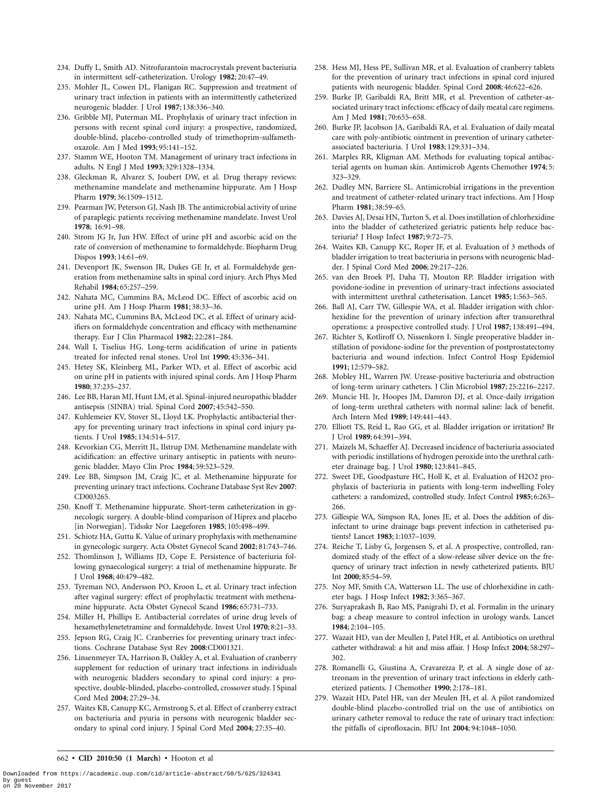- 234. Duffy L, Smith AD. Nitrofurantoin macrocrystals prevent bacteriuria in intermittent self-catheterization. Urology **1982**; 20:47–49.
- 235. Mohler JL, Cowen DL, Flanigan RC. Suppression and treatment of urinary tract infection in patients with an intermittently catheterized neurogenic bladder. J Urol **1987**; 138:336–340.
- 236. Gribble MJ, Puterman ML. Prophylaxis of urinary tract infection in persons with recent spinal cord injury: a prospective, randomized, double-blind, placebo-controlled study of trimethoprim-sulfamethoxazole. Am J Med **1993**; 95:141–152.
- 237. Stamm WE, Hooton TM. Management of urinary tract infections in adults. N Engl J Med **1993**; 329:1328–1334.
- 238. Gleckman R, Alvarez S, Joubert DW, et al. Drug therapy reviews: methenamine mandelate and methenamine hippurate. Am J Hosp Pharm **1979**; 36:1509–1512.
- 239. Pearman JW, Peterson GJ, Nash JB. The antimicrobial activity of urine of paraplegic patients receiving methenamine mandelate. Invest Urol **1978**; 16:91–98.
- 240. Strom JG Jr, Jun HW. Effect of urine pH and ascorbic acid on the rate of conversion of methenamine to formaldehyde. Biopharm Drug Dispos **1993**; 14:61–69.
- 241. Devenport JK, Swenson JR, Dukes GE Jr, et al. Formaldehyde generation from methenamine salts in spinal cord injury. Arch Phys Med Rehabil **1984**; 65:257–259.
- 242. Nahata MC, Cummins BA, McLeod DC. Effect of ascorbic acid on urine pH. Am J Hosp Pharm **1981**; 38:33–36.
- 243. Nahata MC, Cummins BA, McLeod DC, et al. Effect of urinary acidifiers on formaldehyde concentration and efficacy with methenamine therapy. Eur J Clin Pharmacol **1982**; 22:281–284.
- 244. Wall I, Tiselius HG. Long-term acidification of urine in patients treated for infected renal stones. Urol Int **1990**; 45:336–341.
- 245. Hetey SK, Kleinberg ML, Parker WD, et al. Effect of ascorbic acid on urine pH in patients with injured spinal cords. Am J Hosp Pharm **1980**; 37:235–237.
- 246. Lee BB, Haran MJ, Hunt LM, et al. Spinal-injured neuropathic bladder antisepsis (SINBA) trial. Spinal Cord **2007**; 45:542–550.
- 247. Kuhlemeier KV, Stover SL, Lloyd LK. Prophylactic antibacterial therapy for preventing urinary tract infections in spinal cord injury patients. J Urol **1985**; 134:514–517.
- 248. Kevorkian CG, Merritt JL, Ilstrup DM. Methenamine mandelate with acidification: an effective urinary antiseptic in patients with neurogenic bladder. Mayo Clin Proc **1984**; 59:523–529.
- 249. Lee BB, Simpson JM, Craig JC, et al. Methenamine hippurate for preventing urinary tract infections. Cochrane Database Syst Rev **2007**: CD003265.
- 250. Knoff T. Methenamine hippurate. Short-term catheterization in gynecologic surgery. A double-blind comparison of Hiprex and placebo [in Norwegian]. Tidsskr Nor Laegeforen **1985**; 105:498–499.
- 251. Schiotz HA, Guttu K. Value of urinary prophylaxis with methenamine in gynecologic surgery. Acta Obstet Gynecol Scand **2002**; 81:743–746.
- 252. Thomlinson J, Williams JD, Cope E. Persistence of bacteriuria following gynaecological surgery: a trial of methenamine hippurate. Br J Urol **1968**; 40:479–482.
- 253. Tyreman NO, Andersson PO, Kroon L, et al. Urinary tract infection after vaginal surgery: effect of prophylactic treatment with methenamine hippurate. Acta Obstet Gynecol Scand **1986**; 65:731–733.
- 254. Miller H, Phillips E. Antibacterial correlates of urine drug levels of hexamethylenetetramine and formaldehyde. Invest Urol **1970**; 8:21–33.
- 255. Jepson RG, Craig JC. Cranberries for preventing urinary tract infections. Cochrane Database Syst Rev **2008**:CD001321.
- 256. Linsenmeyer TA, Harrison B, Oakley A, et al. Evaluation of cranberry supplement for reduction of urinary tract infections in individuals with neurogenic bladders secondary to spinal cord injury: a prospective, double-blinded, placebo-controlled, crossover study. J Spinal Cord Med **2004**; 27:29–34.
- 257. Waites KB, Canupp KC, Armstrong S, et al. Effect of cranberry extract on bacteriuria and pyuria in persons with neurogenic bladder secondary to spinal cord injury. J Spinal Cord Med **2004**; 27:35–40.

258. Hess MJ, Hess PE, Sullivan MR, et al. Evaluation of cranberry tablets for the prevention of urinary tract infections in spinal cord injured patients with neurogenic bladder. Spinal Cord **2008**; 46:622–626.

- 259. Burke JP, Garibaldi RA, Britt MR, et al. Prevention of catheter-associated urinary tract infections: efficacy of daily meatal care regimens. Am J Med **1981**; 70:655–658.
- 260. Burke JP, Jacobson JA, Garibaldi RA, et al. Evaluation of daily meatal care with poly-antibiotic ointment in prevention of urinary catheterassociated bacteriuria. J Urol **1983**; 129:331–334.
- 261. Marples RR, Kligman AM. Methods for evaluating topical antibacterial agents on human skin. Antimicrob Agents Chemother **1974**; 5: 323–329.
- 262. Dudley MN, Barriere SL. Antimicrobial irrigations in the prevention and treatment of catheter-related urinary tract infections. Am J Hosp Pharm **1981**; 38:59–65.
- 263. Davies AJ, Desai HN, Turton S, et al. Does instillation of chlorhexidine into the bladder of catheterized geriatric patients help reduce bacteriuria? J Hosp Infect **1987**; 9:72–75.
- 264. Waites KB, Canupp KC, Roper JF, et al. Evaluation of 3 methods of bladder irrigation to treat bacteriuria in persons with neurogenic bladder. J Spinal Cord Med **2006**; 29:217–226.
- 265. van den Broek PJ, Daha TJ, Mouton RP. Bladder irrigation with povidone-iodine in prevention of urinary-tract infections associated with intermittent urethral catheterisation. Lancet **1985**; 1:563–565.
- 266. Ball AJ, Carr TW, Gillespie WA, et al. Bladder irrigation with chlorhexidine for the prevention of urinary infection after transurethral operations: a prospective controlled study. J Urol **1987**; 138:491–494.
- 267. Richter S, Kotliroff O, Nissenkorn I. Single preoperative bladder instillation of povidone-iodine for the prevention of postprostatectomy bacteriuria and wound infection. Infect Control Hosp Epidemiol **1991**; 12:579–582.
- 268. Mobley HL, Warren JW. Urease-positive bacteriuria and obstruction of long-term urinary catheters. J Clin Microbiol **1987**; 25:2216–2217.
- 269. Muncie HL Jr, Hoopes JM, Damron DJ, et al. Once-daily irrigation of long-term urethral catheters with normal saline: lack of benefit. Arch Intern Med **1989**; 149:441–443.
- 270. Elliott TS, Reid L, Rao GG, et al. Bladder irrigation or irritation? Br J Urol **1989**; 64:391–394.
- 271. Maizels M, Schaeffer AJ. Decreased incidence of bacteriuria associated with periodic instillations of hydrogen peroxide into the urethral catheter drainage bag. J Urol **1980**; 123:841–845.
- 272. Sweet DE, Goodpasture HC, Holl K, et al. Evaluation of H2O2 prophylaxis of bacteriuria in patients with long-term indwelling Foley catheters: a randomized, controlled study. Infect Control **1985**; 6:263– 266.
- 273. Gillespie WA, Simpson RA, Jones JE, et al. Does the addition of disinfectant to urine drainage bags prevent infection in catheterised patients? Lancet **1983**; 1:1037–1039.
- 274. Reiche T, Lisby G, Jorgensen S, et al. A prospective, controlled, randomized study of the effect of a slow-release silver device on the frequency of urinary tract infection in newly catheterized patients. BJU Int **2000**; 85:54–59.
- 275. Noy MF, Smith CA, Watterson LL. The use of chlorhexidine in catheter bags. J Hosp Infect **1982**; 3:365–367.
- 276. Suryaprakash B, Rao MS, Panigrahi D, et al. Formalin in the urinary bag: a cheap measure to control infection in urology wards. Lancet **1984**; 2:104–105.
- 277. Wazait HD, van der Meullen J, Patel HR, et al. Antibiotics on urethral catheter withdrawal: a hit and miss affair. J Hosp Infect **2004**; 58:297– 302.
- 278. Romanelli G, Giustina A, Cravarezza P, et al. A single dose of aztreonam in the prevention of urinary tract infections in elderly catheterized patients. J Chemother **1990**; 2:178–181.
- 279. Wazait HD, Patel HR, van der Meulen JH, et al. A pilot randomized double-blind placebo-controlled trial on the use of antibiotics on urinary catheter removal to reduce the rate of urinary tract infection: the pitfalls of ciprofloxacin. BJU Int **2004**; 94:1048–1050.

662 • **CID 2010:50 (1 March)** • Hooton et al